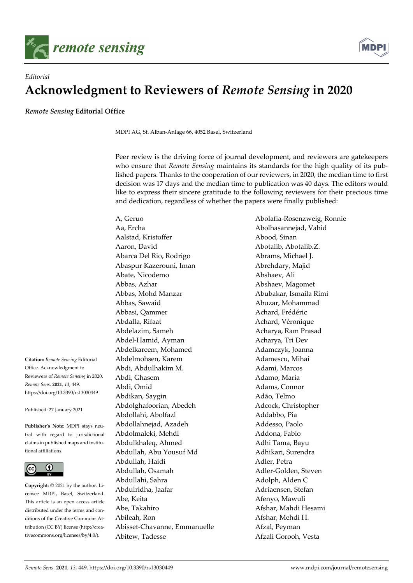



## *Editorial*  **Acknowledgment to Reviewers of** *Remote Sensing* **in 2020**

*Remote Sensing* **Editorial Office** 

MDPI AG, St. Alban-Anlage 66, 4052 Basel, Switzerland

Peer review is the driving force of journal development, and reviewers are gatekeepers who ensure that *Remote Sensing* maintains its standards for the high quality of its published papers. Thanks to the cooperation of our reviewers, in 2020, the median time to first decision was 17 days and the median time to publication was 40 days. The editors would like to express their sincere gratitude to the following reviewers for their precious time and dedication, regardless of whether the papers were finally published:

**Citation:** *Remote Sensing* Editorial Office. Acknowledgment to Reviewers of *Remote Sensing* in 2020. *Remote Sens.* **2021**, *13*, 449. https://doi.org/10.3390/rs13030449

Published: 27 January 2021

**Publisher's Note:** MDPI stays neutral with regard to jurisdictional claims in published maps and institutional affiliations.



**Copyright:** © 2021 by the author. Licensee MDPI, Basel, Switzerland. This article is an open access article distributed under the terms and conditions of the Creative Commons Attribution (CC BY) license (http://creativecommons.org/licenses/by/4.0/).

Aa, Ercha Abolhasannejad, Vahid Aalstad, Kristoffer Abood, Sinan Aaron, David Abotalib, Abotalib.Z. Abarca Del Rio, Rodrigo **Abrams**, Michael J. Abaspur Kazerouni, Iman Abrehdary, Majid Abate, Nicodemo Abshaev, Ali Abbas, Azhar **Abshaev, Magomet** Abbas, Mohd Manzar Abubakar, Ismaila Rimi Abbas, Sawaid Abuzar, Mohammad Abbasi, Qammer Achard, Frédéric Abdalla, Rifaat **Achard, Véronique** Achard, Véronique Abdelazim, Sameh Acharya, Ram Prasad Abdel-Hamid, Ayman Acharya, Tri Dev Abdelkareem, Mohamed Adamczyk, Joanna Abdelmohsen, Karem Adamescu, Mihai Abdi, Abdulhakim M. Adami, Marcos Abdi, Ghasem Adamo, Maria Abdi, Omid Adams, Connor Abdikan, Saygin **Adão**, Telmo Abdolghafoorian, Abedeh Adcock, Christopher Abdollahi, Abolfazl Addabbo, Pia Abdollahnejad, Azadeh Addesso, Paolo Abdolmaleki, Mehdi Addona, Fabio Abdulkhaleq, Ahmed Adhi Tama, Bayu Abdullah, Abu Yousuf Md<br>
Adhikari, Surendra Abdullah, Haidi **Adler**, Petra Abdullah, Osamah Adler-Golden, Steven Abdullahi, Sahra **Adolph, Alden C** Abdulridha, Jaafar Adriaensen, Stefan Abe, Keita Afenyo, Mawuli Abe, Takahiro **Afshar, Mahdi Hesami** Abileah, Ron Afshar, Mehdi H. Abisset-Chavanne, Emmanuelle Afzal, Peyman Abitew, Tadesse **Afzali Gorooh, Vesta** 

A, Geruo Abolafia-Rosenzweig, Ronnie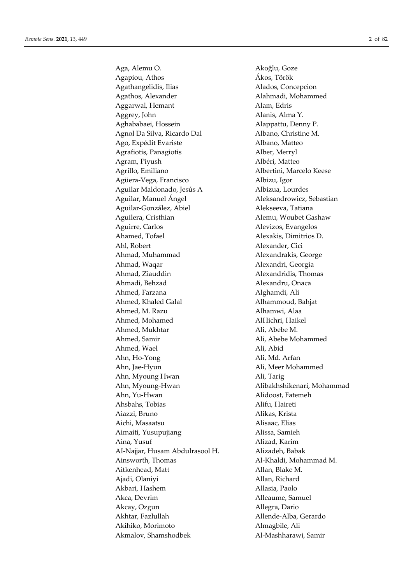Aga, Alemu O. Akoğlu, Goze Agapiou, Athos Ákos, Török Agathangelidis, Ilias Alados, Concepcion Agathos, Alexander **Alahmadi**, Mohammed Aggarwal, Hemant Alam, Edris Aggrey, John Alanis, Alma Y. Aghababaei, Hossein Alappattu, Denny P. Agnol Da Silva, Ricardo Dal Albano, Christine M. Ago, Expédit Evariste **Albano**, Matteo Agrafiotis, Panagiotis Alber, Merryl Agram, Piyush **Albéri**, Matteo Agrillo, Emiliano **Albertini**, Marcelo Keese Agüera-Vega, Francisco Albizu, Igor Aguilar Maldonado, Jesús A Albizua, Lourdes Aguilar, Manuel Ángel **Aleksandrowicz**, Sebastian Aguilar-González, Abiel **Alekseeva**, Tatiana Aguilera, Cristhian Alemu, Woubet Gashaw Aguirre, Carlos Alevizos, Evangelos Ahamed, Tofael **Alexakis**, Dimitrios D. Ahl, Robert Alexander, Cici Ahmad, Muhammad Alexandrakis, George Ahmad, Waqar **Alexandri**, Georgia Ahmad, Ziauddin Alexandridis, Thomas Ahmadi, Behzad Alexandru, Onaca Ahmed, Farzana **Alghamdi**, Ali Ahmed, Khaled Galal Alhammoud, Bahjat Ahmed, M. Razu Alhamwi, Alaa Ahmed, Mohamed AlHichri, Haikel Ahmed, Mukhtar Ali, Abebe M. Ahmed, Samir Ali, Abebe Mohammed Ahmed, Wael Ali, Abid Ahn, Ho-Yong Ali, Md. Arfan Ahn, Jae-Hyun Ali, Meer Mohammed Ahn, Myoung Hwan Ali, Tarig Ahn, Myoung-Hwan Alibakhshikenari, Mohammad Ahn, Yu-Hwan Alidoost, Fatemeh Ahsbahs, Tobias Alifu, Haireti Aiazzi, Bruno Alikas, Krista Aichi, Masaatsu Alisaac, Elias Aimaiti, Yusupujiang **Alissa**, Samieh Aina, Yusuf Alizad, Karim AI-Najjar, Husam Abdulrasool H. Alizadeh, Babak Ainsworth, Thomas **Al-Khaldi**, Mohammad M. Aitkenhead, Matt Allan, Blake M. Ajadi, Olaniyi Allan, Richard Akbari, Hashem Allasia, Paolo Akca, Devrim Alleaume, Samuel Akcay, Ozgun Allegra, Dario Akhtar, Fazlullah Allende-Alba, Gerardo Akihiko, Morimoto Almagbile, Ali Akmalov, Shamshodbek Al-Mashharawi, Samir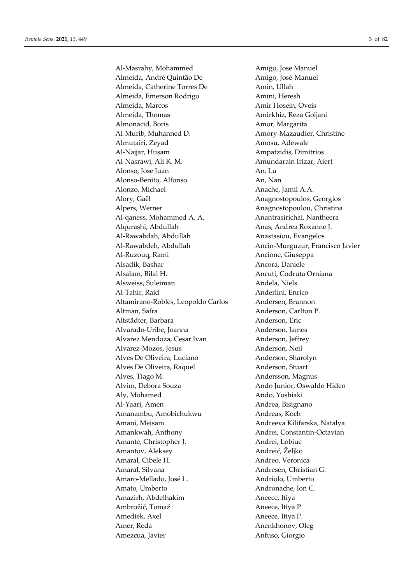Al-Masrahy, Mohammed Amigo, Jose Manuel Almeida, André Quintão De Amigo, José-Manuel Almeida, Catherine Torres De Amin, Ullah Almeida, Emerson Rodrigo **Amini**, Heresh Almeida, Marcos **Amir Hosein, Oveis** Almeida, Thomas **Amirkhiz, Reza Goljani** Almonacid, Boris **Amor, Margarita** Al-Murib, Muhanned D. Amory-Mazaudier, Christine Almutairi, Zeyad Amosu, Adewale Al-Najjar, Husam Ampatzidis, Dimitrios Al-Nasrawi, Ali K. M. Amundarain Irizar, Aiert Alonso, Jose Juan An, Lu Alonso-Benito, Alfonso An, Nan Alonzo, Michael **Anache**, Jamil A.A. Alory, Gaël Anagnostopoulos, Georgios Alpers, Werner Anagnostopoulou, Christina Al-qaness, Mohammed A. A. Anantrasirichai, Nantheera Algurashi, Abdullah Anas, Andrea Roxanne J. Al-Rawabdah, Abdullah Anastasiou, Evangelos Al-Rawabdeh, Abdullah Ancin-Murguzur, Francisco Javier Al-Ruzouq, Rami Ancione, Giuseppa Alsadik, Bashar **Ancora**, Daniele Alsalam, Bilal H. Ancuti, Codruta Orniana Alsweiss, Suleiman Andela, Niels Al-Tahir, Raid Anderlini, Enrico Altamirano-Robles, Leopoldo Carlos Andersen, Brannon Altman, Safra **Anderson, Carlton P.** Anderson, Carlton P. Altstädter, Barbara anderson, Eric Alvarado-Uribe, Joanna **Anderson**, James Alvarez Mendoza, Cesar Ivan Anderson, Jeffrey Alvarez-Mozos, Jesus **Anderson**, Neil Alves De Oliveira, Luciano **Anderson**, Sharolyn Alves De Oliveira, Raquel Anderson, Stuart Alves, Tiago M. Andersson, Magnus Alvim, Debora Souza Ando Junior, Oswaldo Hideo Aly, Mohamed Ando, Yoshiaki Al-Yaari, Amen **Andrea**, Bisignano Amanambu, Amobichukwu Andreas, Koch Amani, Meisam **Andreeva Kilifarska**, Natalya Amankwah, Anthony **Andrei, Constantin-Octavian** Amante, Christopher J. Andrei, Lobiuc Amantov, Aleksey Andreić, Željko Amaral, Cibele H. Amaral, Cibele H. Amaral, Silvana **Andresen**, Christian G. Amaro-Mellado, José L. Andriolo, Umberto Amato, Umberto **Andronache**, Ion C. Amazirh, Abdelhakim **Aneece**, Itiva Ambrožič, Tomaž **Aneece**, Itiya P Amediek, Axel Aneece, Itiya P. Amer, Reda Anenkhonov, Oleg Amezcua, Javier **Anfuso**, Giorgio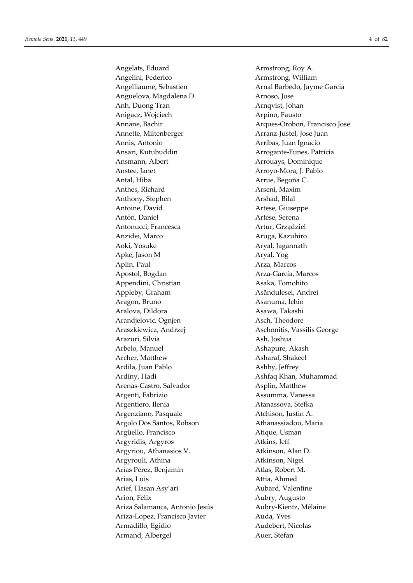Angelats, Eduard **Armstrong**, Roy A. Angelini, Federico **Armstrong**, William Angelliaume, Sebastien **Arnal Barbedo**, Jayme Garcia Anguelova, Magdalena D. (Arnoso, Jose) Anh, Duong Tran Arnqvist, Johan Anigacz, Wojciech **Arpino**, Fausto Annette, Miltenberger Arranz-Justel, Jose Juan Annis, Antonio Arribas, Juan Ignacio Ansari, Kutubuddin Arrogante-Funes, Patricia Ansmann, Albert **Arrouaus**, Dominique Anstee, Janet **Arroyo-Mora**, J. Pablo Antal, Hiba **Arrue**, Begoña C. Anthes, Richard Arseni, Maxim Anthony, Stephen Arshad, Bilal Antoine, David Artese, Giuseppe Antón, Daniel Artese, Serena Antonucci, Francesca **Artur**, Grządziel Anzidei, Marco **Aruga, Kazuhiro** Aruga, Kazuhiro Aoki, Yosuke **Aryal, Jagannath** Apke, Jason M Aryal, Yog Aplin, Paul **Arza, Marcos** Apostol, Bogdan Arza-García, Marcos Appendini, Christian Asaka, Tomohito Appleby, Graham Asăndulesei, Andrei Aragon, Bruno **Asanuma**, Ichio Aralova, Dildora **Asawa, Takashi** Arandjelovic, Ognjen Asch, Theodore Araszkiewicz, Andrzej **Aschonitis, Vassilis George** Arazuri, Silvia **Ash**, Joshua Arbelo, Manuel **Ashapure**, Akash Archer, Matthew Asharaf, Shakeel Ardila, Juan Pablo Ashby, Jeffrey Ardiny, Hadi **Ashfaq Khan, Muhammad** Arenas-Castro, Salvador Asplin, Matthew Argenti, Fabrizio **Assumma**, Vanessa Argentiero, Ilenia **Atanassova**, Stefka Argenziano, Pasquale Atchison, Justin A. Argolo Dos Santos, Robson Athanassiadou, Maria Argüello, Francisco **Atique, Usman** Argyridis, Argyros Atkins, Jeff Argyriou, Athanasios V. Atkinson, Alan D. Argyrouli, Athina Atkinson, Nigel Arías Pérez, Benjamín Atlas, Robert M. Arias, Luis **Attia, Ahmed** Arief, Hasan Asy'ari Aubard, Valentine Arion, Felix Aubry, Augusto Ariza Salamanca, Antonio Jesús Aubry-Kientz, Mélaine Ariza-Lopez, Francisco Javier Auda, Yves Armadillo, Egidio Audebert, Nicolas Armand, Albergel **Auer**, Stefan

Annane, Bachir Arques-Orobon, Francisco Jose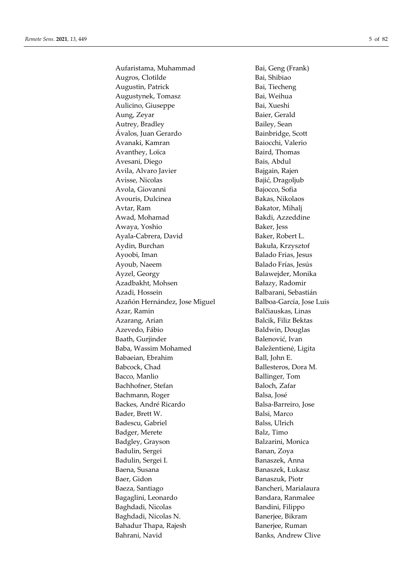Aufaristama, Muhammad Bai, Geng (Frank) Augros, Clotilde Bai, Shibiao Augustin, Patrick Bai, Tiecheng Augustynek, Tomasz **Bai**, Weihua Aulicino, Giuseppe Bai, Xueshi Aung, Zeyar Baier, Gerald Autrey, Bradley Bailey, Sean Ávalos, Juan Gerardo Bainbridge, Scott Avanaki, Kamran Baiocchi, Valerio Avanthey, Loïca Baird, Thomas Avesani, Diego Bais, Abdul Avila, Alvaro Javier **Bajgain**, Rajen Avisse, Nicolas Bajić, Dragoljub Avola, Giovanni Bajocco, Sofia Avouris, Dulcinea Bakas, Nikolaos Avtar, Ram Bakator, Mihalj Awad, Mohamad Bakdi, Azzeddine Awaya, Yoshio Baker, Jess Ayala-Cabrera, David Baker, Robert L. Aydin, Burchan Bakuła, Krzysztof Ayoobi, Iman Balado Frias, Jesus Ayoub, Naeem Balado Frías, Jesús Ayzel, Georgy **Balaweider**, Monika Azadbakht, Mohsen Bałazy, Radomir Azadi, Hossein Balbarani, Sebastián Azañón Hernández, Jose Miguel Balboa-García, Jose Luis Azar, Ramin Balčiauskas, Linas Azarang, Arian **Balcik**, Filiz Bektas Azevedo, Fábio Baldwin, Douglas Baath, Gurjinder Balenović, Ivan Baba, Wassim Mohamed Baležentienė, Ligita Babaeian, Ebrahim Ball, John E. Babcock, Chad Ballesteros, Dora M. Bacco, Manlio Ballinger, Tom Bachhofner, Stefan Baloch, Zafar Bachmann, Roger Balsa, José Backes, André Ricardo **Balsa-Barreiro**, Jose Bader, Brett W. Balsi, Marco Badescu, Gabriel Balss, Ulrich Badger, Merete Balz, Timo Badgley, Grayson Balzarini, Monica Badulin, Sergei Banan, Zoya Badulin, Sergei I. Banaszek, Anna Baena, Susana Banaszek, Łukasz Baer, Gidon Banaszuk, Piotr Baeza, Santiago Bancheri, Marialaura Bagaglini, Leonardo Bandara, Ranmalee Baghdadi, Nicolas Bandini, Filippo Baghdadi, Nicolas N. Banerjee, Bikram Bahadur Thapa, Rajesh Banerjee, Ruman Bahrani, Navid Banks, Andrew Clive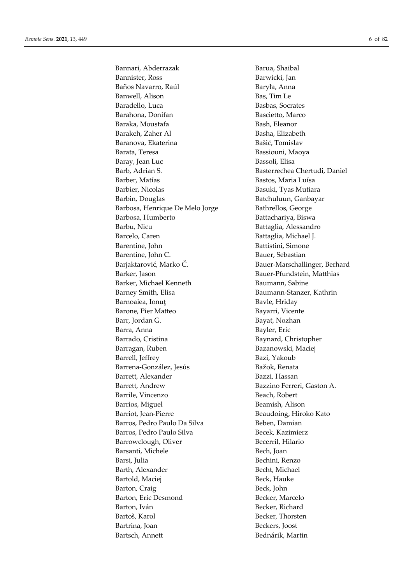Bannari, Abderrazak **Bannari, Abderrazak** Barua, Shaibal Bannister, Ross Barwicki, Jan Baños Navarro, Raúl Baryła, Anna Banwell, Alison Bas, Tim Le Baradello, Luca Basbas, Socrates Barahona, Donifan **Bascietto, Marco** Baraka, Moustafa Bash, Eleanor Barakeh, Zaher Al Basha, Elizabeth Baranova, Ekaterina Bašić, Tomislav Barata, Teresa Bassiouni, Maoya Baray, Jean Luc Bassoli, Elisa Barb, Adrian S. Basterrechea Chertudi, Daniel Barber, Matías **Bastos**, Maria Luísa Barbier, Nicolas Basuki, Tyas Mutiara Barbin, Douglas Batchuluun, Ganbayar Barbosa, Henrique De Melo Jorge Bathrellos, George Barbosa, Humberto Battachariya, Biswa Barbu, Nicu Battaglia, Alessandro Barcelo, Caren Battaglia, Michael J. Barentine, John Battistini, Simone Barentine, John C. Bauer, Sebastian Barjaktarović, Marko Č. Bauer-Marschallinger, Berhard Barker, Jason Bauer-Pfundstein, Matthias Barker, Michael Kenneth Baumann, Sabine Barney Smith, Elisa Baumann-Stanzer, Kathrin Barnoaiea, Ionuț Bavle, Hriday Barone, Pier Matteo **Bayarri**, Vicente Barr, Jordan G. Bayat, Nozhan Barra, Anna Bayler, Eric Barrado, Cristina Baynard, Christopher Barragan, Ruben Bazanowski, Maciej Barrell, Jeffrey Bazi, Yakoub Barrena-González, Jesús Bažok, Renata Barrett, Alexander Bazzi, Hassan Barrett, Andrew Bazzino Ferreri, Gaston A. Barrile, Vincenzo Beach, Robert Barrios, Miguel Beamish, Alison Barriot, Jean-Pierre Beaudoing, Hiroko Kato Barros, Pedro Paulo Da Silva Beben, Damian Barros, Pedro Paulo Silva Becek, Kazimierz Barrowclough, Oliver Becerril, Hilario Barsanti, Michele Bech, Joan Barsi, Julia **Bechini, Renzo** Barth, Alexander Becht, Michael Bartold, Maciej Beck, Hauke Barton, Craig Beck, John Barton, Eric Desmond Becker, Marcelo Barton, Iván Becker, Richard Bartoš, Karol Becker, Thorsten Bartrina, Joan Beckers, Joost Bartsch, Annett Bednárik, Martin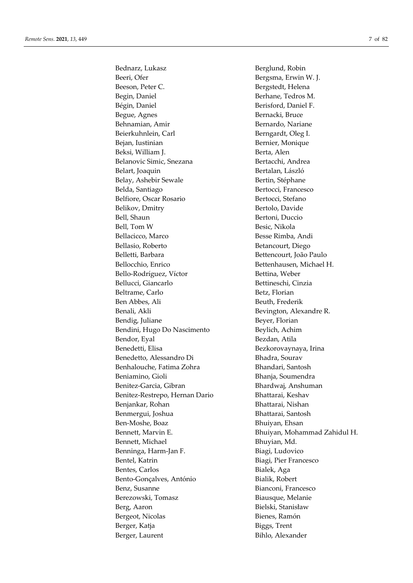Bednarz, Lukasz **Berglund, Robin** Beeri, Ofer Bergsma, Erwin W. J. Beeson, Peter C. Bergstedt, Helena Begin, Daniel Berhane, Tedros M. Bégin, Daniel Berisford, Daniel F. Begue, Agnes Bernacki, Bruce Behnamian, Amir **Bernardo, Nariane** Beierkuhnlein, Carl Berngardt, Oleg I. Bejan, Iustinian Bernier, Monique Beksi, William J. **Berta**, Alen Belanovic Simic, Snezana Bertacchi, Andrea Belart, Joaquin Bertalan, László Belay, Ashebir Sewale Bertin, Stéphane Belda, Santiago Bertocci, Francesco Belfiore, Oscar Rosario Bertocci, Stefano Belikov, Dmitry Bertolo, Davide Bell, Shaun Bertoni, Duccio Bell, Tom W Besic, Nikola Bellacicco, Marco Besse Rimba, Andi Bellasio, Roberto Betancourt, Diego Belletti, Barbara Bettencourt, João Paulo Bellocchio, Enrico Bettenhausen, Michael H. Bello-Rodríguez, Víctor Bettina, Weber Bellucci, Giancarlo Bettineschi, Cinzia Beltrame, Carlo Betz, Florian Ben Abbes, Ali Beuth, Frederik Benali, Akli Bevington, Alexandre R. Bendig, Juliane Beyer, Florian Bendini, Hugo Do Nascimento Beylich, Achim Bendor, Eyal Bezdan, Atila Benedetti, Elisa Bezkorovaynaya, Irina Benedetto, Alessandro Di Bhadra, Sourav Benhalouche, Fatima Zohra Bhandari, Santosh Beniamino, Gioli Bhanja, Soumendra Benitez-Garcia, Gibran Bhardwaj, Anshuman Benitez-Restrepo, Hernan Dario Bhattarai, Keshav Benjankar, Rohan Bhattarai, Nishan Benmergui, Joshua **Bhattarai**, Santosh Ben-Moshe, Boaz Bhuiyan, Ehsan Bennett, Michael Bhuyian, Md. Benninga, Harm-Jan F. Biagi, Ludovico Bentel, Katrin Biagi, Pier Francesco Bentes, Carlos **Bialek**, Aga Bento-Gonçalves, António Bialik, Robert Benz, Susanne Bianconi, Francesco Berezowski, Tomasz Biausque, Melanie Berg, Aaron Bielski, Stanisław Bergeot, Nicolas Bienes, Ramón Berger, Katja **Biggs**, Trent Berger, Laurent Bihlo, Alexander

Bennett, Marvin E. Bhuiyan, Mohammad Zahidul H.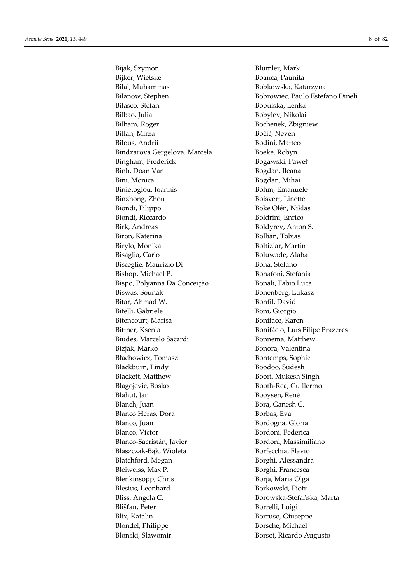Bijak, Szymon Blumler, Mark Bijker, Wietske Boanca, Paunita Bilal, Muhammas **Bobkowska**, Katarzyna Bilasco, Stefan Bobulska, Lenka Bilbao, Julia Bobylev, Nikolai Bilham, Roger Bochenek, Zbigniew Billah, Mirza Bočić, Neven Bilous, Andrii Bodini, Matteo Bindzarova Gergelova, Marcela Boeke, Robyn Bingham, Frederick Bogawski, Paweł Binh, Doan Van Bogdan, Ileana Bini, Monica Bogdan, Mihai Binietoglou, Ioannis Bohm, Emanuele Binzhong, Zhou Boisvert, Linette Biondi, Filippo Boke Olén, Niklas Biondi, Riccardo Boldrini, Enrico Birk, Andreas Boldyrev, Anton S. Biron, Katerina **Bollian**, Tobias Birylo, Monika Boltiziar, Martin Bisaglia, Carlo Boluwade, Alaba Bisceglie, Maurizio Di Bona, Stefano Bishop, Michael P. **Bonafoni**, Stefania Bispo, Polyanna Da Conceição Bonali, Fabio Luca Biswas, Sounak Bonenberg, Lukasz Bitar, Ahmad W. Bonfil, David Bitelli, Gabriele Boni, Giorgio Bitencourt, Marisa Boniface, Karen Bittner, Ksenia **Bonifácio, Luís Filipe Prazeres** Biudes, Marcelo Sacardi Bonnema, Matthew Bizjak, Marko **Bonora**, Valentina Błachowicz, Tomasz Bontemps, Sophie Blackburn, Lindy Boodoo, Sudesh Blackett, Matthew Boori, Mukesh Singh Blagojevic, Bosko Booth-Rea, Guillermo Blahut, Jan Booysen, René Blanch, Juan Bora, Ganesh C. Blanco Heras, Dora Borbas, Eva Blanco, Juan Bordogna, Gloria Blanco, Víctor Bordoni, Federica Blanco-Sacristán, Javier Bordoni, Massimiliano Błaszczak-Bąk, Wioleta Borfecchia, Flavio Blatchford, Megan Borghi, Alessandra Bleiweiss, Max P. Borghi, Francesca Blenkinsopp, Chris Borja, Maria Olga Blesius, Leonhard Borkowski, Piotr Bliss, Angela C. Borowska-Stefańska, Marta Blišťan, Peter Borrelli, Luigi Blix, Katalin Borruso, Giuseppe Blondel, Philippe Borsche, Michael Blonski, Slawomir Borsoi, Ricardo Augusto

Bilanow, Stephen Bobrowiec, Paulo Estefano Dineli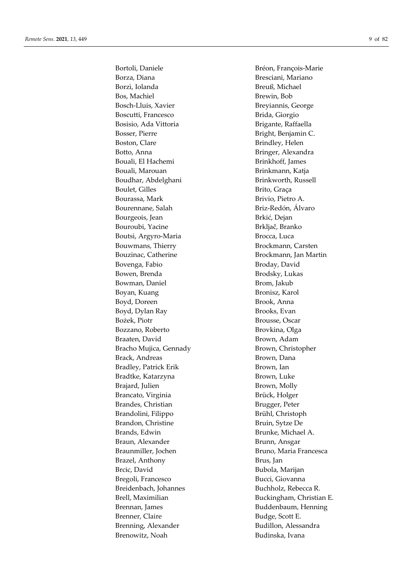Bortoli, Daniele Bréon, François-Marie Borza, Diana **Bresciani**, Mariano Borzì, Iolanda Breuß, Michael Bos, Machiel Brewin, Bob Bosch-Lluis, Xavier Breyiannis, George Boscutti, Francesco Brida, Giorgio Bosisio, Ada Vittoria **Brigante**, Raffaella Bosser, Pierre Bright, Benjamin C. Boston, Clare Brindley, Helen Botto, Anna Bringer, Alexandra Bouali, El Hachemi Brinkhoff, James Bouali, Marouan Brinkmann, Katja Boudhar, Abdelghani Brinkworth, Russell Boulet, Gilles Brito, Graça Bourassa, Mark Brivio, Pietro A. Bourennane, Salah Briz-Redón, Álvaro Bourgeois, Jean Brkić, Dejan Bouroubi, Yacine **Britannia** Brkljač, Branko Boutsi, Argyro-Maria Brocca, Luca Bouwmans, Thierry Brockmann, Carsten Bouzinac, Catherine Brockmann, Jan Martin Bovenga, Fabio Broday, David Bowen, Brenda Brodsky, Lukas Bowman, Daniel Brom, Jakub Boyan, Kuang Bronisz, Karol Boyd, Doreen Brook, Anna Boyd, Dylan Ray Brooks, Evan Bożek, Piotr Brousse, Oscar Bozzano, Roberto Brovkina, Olga Braaten, David Brown, Adam Bracho Mujica, Gennady Brown, Christopher Brack, Andreas Brown, Dana Bradley, Patrick Erik Brown, Ian Bradtke, Katarzyna Brown, Luke Brajard, Julien Brown, Molly Brancato, Virginia Brück, Holger Brandes, Christian Brugger, Peter Brandolini, Filippo Brühl, Christoph Brandon, Christine Bruin, Sytze De Brands, Edwin Brunke, Michael A. Braun, Alexander Brunn, Ansgar Braunmiller, Jochen Bruno, Maria Francesca Brazel, Anthony Brus, Jan Brcic, David Bubola, Marijan Bregoli, Francesco Bucci, Giovanna Breidenbach, Johannes Buchholz, Rebecca R. Brennan, James Buddenbaum, Henning Brenner, Claire Budge, Scott E. Brenning, Alexander Budillon, Alessandra Brenowitz, Noah Budinska, Ivana

Brell, Maximilian Buckingham, Christian E.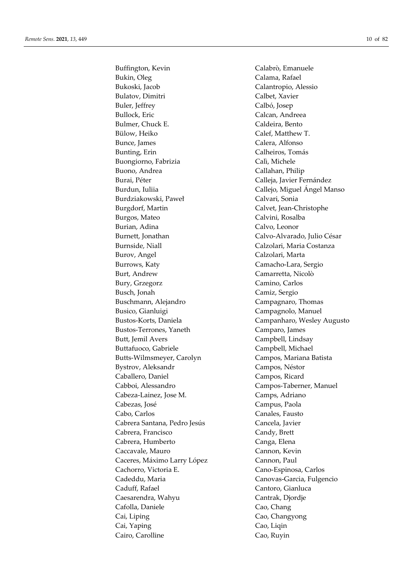Bukin, Oleg Calama, Rafael Bukoski, Jacob Calantropio, Alessio Bulatov, Dimitri Calbet, Xavier Buler, Jeffrey Calbó, Josep Bullock, Eric Calcan, Andreea Bulmer, Chuck E. Caldeira, Bento Bülow, Heiko Calef, Matthew T. Bunce, James Calera, Alfonso Bunting, Erin Calheiros, Tomás Buongiorno, Fabrizia Calì, Michele Buono, Andrea Callahan, Philip Burai, Péter Calleja, Javier Fernández Burdun, Iuliia Callejo, Miguel Ángel Manso Burdziakowski, Paweł Calvari, Sonia Burgdorf, Martin Calvet, Jean-Christophe Burgos, Mateo Calvini, Rosalba Burian, Adina **Calvo**, Leonor Burnett, Jonathan Calvo-Alvarado, Julio César Burnside, Niall **Calzolari**, Maria Costanza Burov, Angel Calzolari, Marta Burrows, Katy Camacho-Lara, Sergio Burt, Andrew Camarretta, Nicolò Bury, Grzegorz Camino, Carlos Busch, Jonah Camiz, Sergio Buschmann, Alejandro Campagnaro, Thomas Busico, Gianluigi Campagnolo, Manuel Bustos-Terrones, Yaneth Camparo, James Butt, Jemil Avers Campbell, Lindsay Buttafuoco, Gabriele Campbell, Michael Butts-Wilmsmeyer, Carolyn Campos, Mariana Batista Bystrov, Aleksandr Campos, Néstor Caballero, Daniel Campos, Ricard Cabboi, Alessandro Campos-Taberner, Manuel Cabeza-Lainez, Jose M. Camps, Adriano Cabezas, José Campus, Paola Cabo, Carlos Canales, Fausto Cabrera Santana, Pedro Jesús Cancela, Javier Cabrera, Francisco Candy, Brett Cabrera, Humberto Canga, Elena Caccavale, Mauro Cannon, Kevin Caceres, Máximo Larry López Cannon, Paul Cachorro, Victoria E. Cano-Espinosa, Carlos Cadeddu, Maria Canovas-Garcia, Fulgencio Caduff, Rafael Cantoro, Gianluca Caesarendra, Wahyu Cantrak, Djordje Cafolla, Daniele Cao, Chang Cai, Liping Cao, Changyong Cai, Yaping Cao, Liqin Cairo, Carolline Cao, Ruyin

Buffington, Kevin Calabrò, Emanuele Bustos-Korts, Daniela Campanharo, Wesley Augusto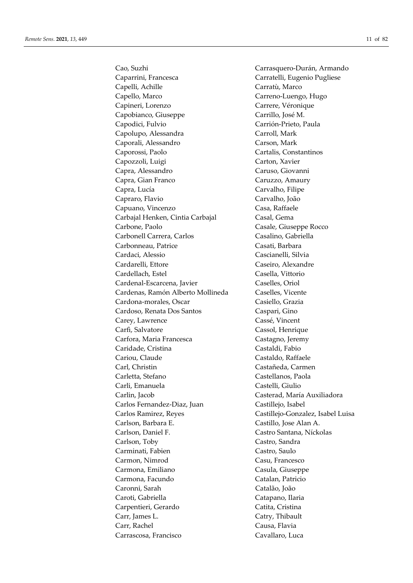Cao, Suzhi Carrasquero-Durán, Armando Caparrini, Francesca Carratelli, Eugenio Pugliese Capelli, Achille Carratù, Marco Capello, Marco Carreno-Luengo, Hugo Capineri, Lorenzo Carrere, Véronique Capobianco, Giuseppe Carrillo, José M. Capodici, Fulvio Carrión-Prieto, Paula Capolupo, Alessandra Carroll, Mark Caporali, Alessandro Carson, Mark Caporossi, Paolo Cartalis, Constantinos Capozzoli, Luigi Carton, Xavier Capra, Alessandro Caruso, Giovanni Capra, Gian Franco Caruzzo, Amaury Capra, Lucía Carvalho, Filipe Capraro, Flavio Carvalho, João Capuano, Vincenzo Casa, Raffaele Carbajal Henken, Cintia Carbajal Casal, Gema Carbone, Paolo Casale, Giuseppe Rocco Carbonell Carrera, Carlos Casalino, Gabriella Carbonneau, Patrice Casati, Barbara Cardaci, Alessio Cascianelli, Silvia Cardarelli, Ettore Caseiro, Alexandre Cardellach, Estel Casella, Vittorio Cardenal-Escarcena, Javier Caselles, Oriol Cardenas, Ramón Alberto Mollineda Caselles, Vicente Cardona-morales, Oscar Casiello, Grazia Cardoso, Renata Dos Santos Caspari, Gino Carey, Lawrence Cassé, Vincent Carfì, Salvatore Cassol, Henrique Carfora, Maria Francesca Castagno, Jeremy Caridade, Cristina Castaldi, Fabio Cariou, Claude Castaldo, Raffaele Carl, Christin Castañeda, Carmen Carletta, Stefano Castellanos, Paola Carli, Emanuela Castelli, Giulio Carlin, Jacob Casterad, María Auxiliadora Carlos Fernandez-Diaz, Juan Castillejo, Isabel Carlos Ramirez, Reyes Castillejo-Gonzalez, Isabel Luisa Carlson, Barbara E. Castillo, Jose Alan A. Carlson, Daniel F. Castro Santana, Níckolas Carlson, Toby Castro, Sandra Carminati, Fabien Castro, Saulo Carmon, Nimrod Casu, Francesco Carmona, Emiliano Casula, Giuseppe Carmona, Facundo Catalan, Patricio Caronni, Sarah Catalão, João Caroti, Gabriella Catapano, Ilaria Carpentieri, Gerardo Catita, Cristina Carr, James L. Catry, Thibault Carr, Rachel Causa, Flavia Carrascosa, Francisco Cavallaro, Luca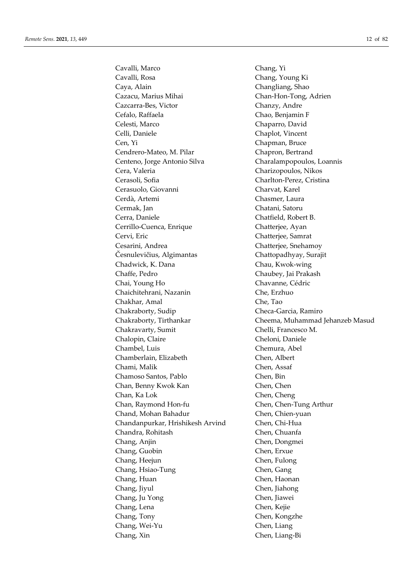Cavalli, Marco Chang, Yi Cavalli, Rosa Chang, Young Ki Caya, Alain Changliang, Shao Cazacu, Marius Mihai Chan-Hon-Tong, Adrien Cazcarra-Bes, Victor Chanzy, Andre Cefalo, Raffaela Chao, Benjamin F Celesti, Marco Chaparro, David Celli, Daniele Chaplot, Vincent Cen, Yi Chapman, Bruce Cendrero-Mateo, M. Pilar Chapron, Bertrand Centeno, Jorge Antonio Silva Charalampopoulos, Loannis Cera, Valeria Charizopoulos, Nikos Cerasoli, Sofia Charlton-Perez, Cristina Cerasuolo, Giovanni Charvat, Karel Cerdà, Artemi Chasmer, Laura Cermak, Jan Chatani, Satoru Cerra, Daniele Chatfield, Robert B. Cerrillo-Cuenca, Enrique Chatterjee, Ayan Cervi, Eric Chatterjee, Samrat Cesarini, Andrea Chatterjee, Snehamoy Česnulevičius, Algimantas Chattopadhyay, Surajit Chadwick, K. Dana Chau, Kwok-wing Chaffe, Pedro Chaubey, Jai Prakash Chai, Young Ho Chavanne, Cédric Chaichitehrani, Nazanin Che, Erzhuo Chakhar, Amal Che, Tao Chakraborty, Sudip Checa-Garcia, Ramiro Chakravarty, Sumit Chelli, Francesco M. Chalopin, Claire Cheloni, Daniele Chambel, Luis Chemura, Abel Chamberlain, Elizabeth Chen, Albert Chami, Malik Chen, Assaf Chamoso Santos, Pablo Chen, Bin Chan, Benny Kwok Kan Chen, Chen, Chen Chan, Ka Lok Chen, Cheng Chan, Raymond Hon-fu Chen, Chen-Tung Arthur Chand, Mohan Bahadur Chen, Chien-yuan Chandanpurkar, Hrishikesh Arvind Chen, Chi-Hua Chandra, Rohitash Chen, Chuanfa Chang, Anjin Chen, Dongmei Chang, Guobin Chen, Erxue Chang, Heejun Chen, Fulong Chang, Hsiao-Tung Chen, Gang Chang, Huan Chen, Haonan Chang, Jiyul Chen, Jiahong Chang, Ju Yong Chen, Jiawei Chang, Lena Chen, Kejie Chang, Tony Chen, Kongzhe Chang, Wei-Yu Chen, Liang Chang, Xin Chen, Liang-Bi

Chakraborty, Tirthankar Cheema, Muhammad Jehanzeb Masud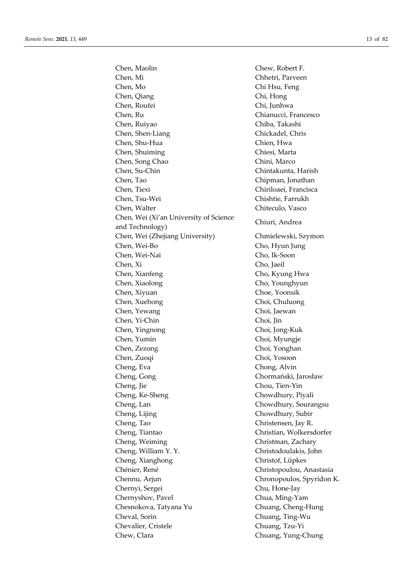Chen, Maolin Chew, Robert F. Chen, Mi Chhetri, Parveen Chen, Mo Chi Hsu, Feng Chen, Qiang Chi, Hong Chen, Roufei Chi, Junhwa Chen, Ru Chianucci, Francesco Chen, Ruiyao Chiba, Takashi Chen, Shen-Liang Chickadel, Chris Chen, Shu-Hua Chien, Hwa Chen, Shuiming Chiesi, Marta Chen, Song Chao Chini, Marco Chen, Su-Chin Chintakunta, Harish Chen, Tao Chipman, Jonathan Chen, Tiexi Chiriloaei, Francisca Chen, Tsu-Wei Chishtie, Farrukh Chen, Walter Chiteculo, Vasco Chen, Wei (Xi'an University of Science Chiuri, Andrea and Technology) Chiuri, Andrea Chen, Wei (Zhejiang University) Chmielewski, Szymon Chen, Wei-Bo Cho, Hyun Jung Chen, Wei-Nai Cho, Ik-Soon Chen, Xi Cho, Jaeil Chen, Xianfeng Cho, Kyung Hwa Chen, Xiaolong Cho, Younghyun Chen, Xiyuan Choe, Yoonsik Chen, Xuehong Choi, Chuluong Chen, Yewang Choi, Jaewan Chen, Yi-Chin Choi, Jin Chen, Yingnong Choi, Jong-Kuk Chen, Yumin Choi, Myungje Chen, Zezong Choi, Yonghan Chen, Zuoqi Choi, Yosoon Cheng, Eva Chong, Alvin Cheng, Gong Chormański, Jarosław Cheng, Jie Chou, Tien-Yin Cheng, Ke-Sheng Chowdhury, Piyali Cheng, Lan Chowdhury, Sourangsu Cheng, Lijing Chowdhury, Subir Cheng, Tao Christensen, Jay R. Cheng, Tiantao Christian, Wolkersdorfer Cheng, Weiming Christman, Zachary Cheng, William Y. Y. Christodoulakis, John Cheng, Xianghong Christof, Lüpkes Chénier, René Christopoulou, Anastasia Chennu, Arjun Chronopoulos, Spyridon K. Chernyi, Sergei Chu, Hone-Jay Chernyshov, Pavel Chua, Ming-Yam Chesnokova, Tatyana Yu Chuang, Cheng-Hung Cheval, Sorin Chuang, Ting-Wu Chevalier, Cristele Chuang, Tzu-Yi Chew, Clara Chuang, Yung-Chung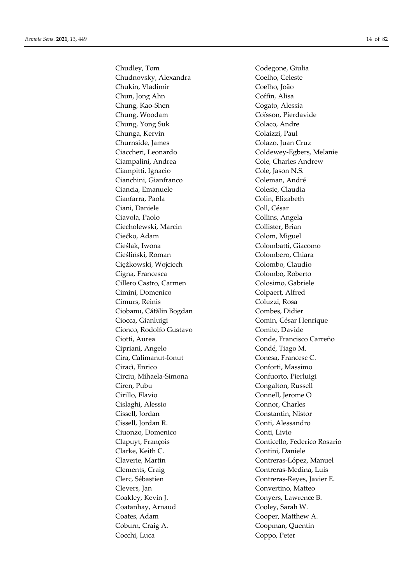Chudley, Tom Codegone, Giulia Chudnovsky, Alexandra Coelho, Celeste Chukin, Vladimir Coelho, João Chun, Jong Ahn Coffin, Alisa Chung, Kao-Shen Cogato, Alessia Chung, Woodam Coïsson, Pierdavide Chung, Yong Suk Colaco, Andre Chunga, Kervin Colaizzi, Paul Churnside, James Colazo, Juan Cruz Ciampalini, Andrea Cole, Charles Andrew Ciampitti, Ignacio Cole, Jason N.S. Cianchini, Gianfranco Coleman, André Ciancia, Emanuele Colesie, Claudia Cianfarra, Paola Colin, Elizabeth Ciani, Daniele Coll, César Ciavola, Paolo Collins, Angela Ciecholewski, Marcin Collister, Brian Ciećko, Adam Colom, Miguel Cieślak, Iwona Colombatti, Giacomo Cieśliński, Roman Colombero, Chiara Ciężkowski, Wojciech Colombo, Claudio Cigna, Francesca Colombo, Roberto Cillero Castro, Carmen Colosimo, Gabriele Cimini, Domenico Colpaert, Alfred Cimurs, Reinis Coluzzi, Rosa Ciobanu, Cătălin Bogdan Combes, Didier Ciocca, Gianluigi Comin, César Henrique Cionco, Rodolfo Gustavo Comite, Davide Ciotti, Aurea Conde, Francisco Carreño Cipriani, Angelo Condé, Tiago M. Cira, Calimanut-Ionut Conesa, Francesc C. Ciracì, Enrico Conforti, Massimo Circiu, Mihaela-Simona Confuorto, Pierluigi Ciren, Pubu Congalton, Russell Cirillo, Flavio Connell, Jerome O Cislaghi, Alessio Connor, Charles Cissell, Jordan Constantin, Nistor Cissell, Jordan R. Conti, Alessandro Ciuonzo, Domenico Conti, Livio Clarke, Keith C. Contini, Daniele Claverie, Martin Contreras-López, Manuel Clements, Craig Contreras-Medina, Luis Clerc, Sébastien Contreras-Reyes, Javier E. Clevers, Jan Convertino, Matteo Coakley, Kevin J. Conyers, Lawrence B. Coatanhay, Arnaud Cooley, Sarah W. Coates, Adam Cooper, Matthew A. Coburn, Craig A. Coopman, Quentin Cocchi, Luca Coppo, Peter

Ciaccheri, Leonardo Coldewey-Egbers, Melanie Clapuyt, François Conticello, Federico Rosario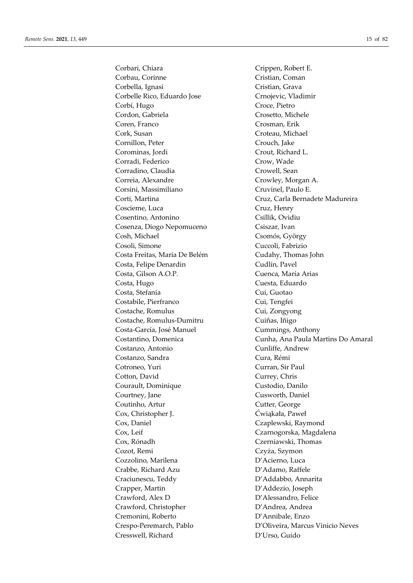Corbari, Chiara Crippen, Robert E. Corbau, Corinne Cristian, Coman Corbella, Ignasi Cristian, Grava Corbelle Rico, Eduardo Jose Crnojevic, Vladimir Corbí, Hugo Croce, Pietro Cordon, Gabriela Crosetto, Michele Coren, Franco Crosman, Erik Cork, Susan Croteau, Michael Cornillon, Peter Crouch, Jake Corominas, Jordi Crout, Richard L. Corradi, Federico Crow, Wade Corradino, Claudia Crowell, Sean Correia, Alexandre Crowley, Morgan A. Corsini, Massimiliano Cruvinel, Paulo E. Coscieme, Luca Cruz, Henry Cosentino, Antonino Csillik, Ovidiu Cosenza, Diogo Nepomuceno Csiszar, Ivan Cosh, Michael Csomós, György Cosoli, Simone Cuccoli, Fabrizio Costa Freitas, Maria De Belém Cudahy, Thomas John Costa, Felipe Denardin Cudlín, Pavel Costa, Gilson A.O.P. Cuenca, María Arias Costa, Hugo Cuesta, Eduardo Costa, Stefania Cui, Guotao Costabile, Pierfranco Cui, Tengfei Costache, Romulus Cui, Zongyong Costache, Romulus-Dumitru Cuiñas, Iñigo Costa-García, José Manuel Cummings, Anthony Costanzo, Antonio Cunliffe, Andrew Costanzo, Sandra Cura, Rémi Cotroneo, Yuri Curran, Sir Paul Cotton, David Currey, Chris Courault, Dominique Custodio, Danilo Courtney, Jane Cusworth, Daniel Coutinho, Artur Cutter, George Cox, Christopher J. Ćwiąkała, Paweł Cox, Daniel Czaplewski, Raymond Cox, Leif Czarnogorska, Magdalena Cox, Rónadh Czerniawski, Thomas Cozot, Remi Czyża, Szymon Cozzolino, Marilena **D'Acierno**, Luca Crabbe, Richard Azu D'Adamo, Raffele Craciunescu, Teddy D'Addabbo, Annarita Crapper, Martin D'Addezio, Joseph Crawford, Alex D D'Alessandro, Felice Crawford, Christopher **D'Andrea**, Andrea Cremonini, Roberto D'Annibale, Enzo Cresswell, Richard D'Urso, Guido

Corti, Martina Cruz, Carla Bernadete Madureira Costantino, Domenica Cunha, Ana Paula Martins Do Amaral Crespo-Peremarch, Pablo D'Oliveira, Marcus Vinicio Neves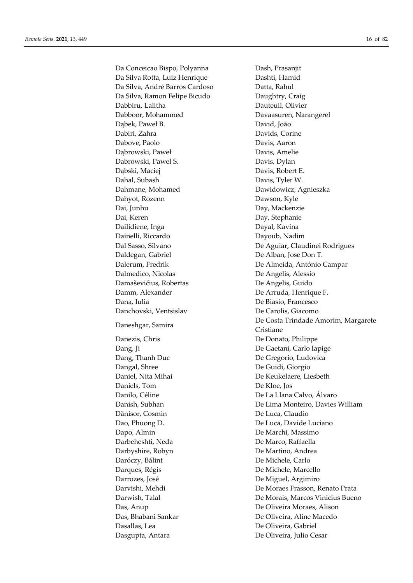Da Conceicao Bispo, Polyanna Dash, Prasanjit Da Silva Rotta, Luiz Henrique Dashti, Hamid Da Silva, André Barros Cardoso Datta, Rahul Da Silva, Ramon Felipe Bicudo Daughtry, Craig Dabbiru, Lalitha Dauteuil, Olivier Dabboor, Mohammed Davaasuren, Narangerel Dąbek, Paweł B. David, João Dabiri, Zahra Davids, Corine Dabove, Paolo Davis, Aaron Dąbrowski, Paweł Davis, Amelie Dabrowski, Pawel S. Davis, Dylan Dąbski, Maciej Davis, Robert E. Dahal, Subash Davis, Tyler W. Dahmane, Mohamed Dawidowicz, Agnieszka Dahyot, Rozenn Dawson, Kyle Dai, Junhu Day, Mackenzie Dai, Keren Day, Stephanie Dailidiene, Inga **Dayal, Kavina** Dainelli, Riccardo Dayoub, Nadim Daldegan, Gabriel De Alban, Jose Don T. Dalerum, Fredrik De Almeida, António Campar Dalmedico, Nicolas De Angelis, Alessio Damaševičius, Robertas De Angelis, Guido Damm, Alexander De Arruda, Henrique F. Dana, Iulia De Biasio, Francesco Danchovski, Ventsislav De Carolis, Giacomo Danezis, Chris De Donato, Philippe Dang, Ji De Gaetani, Carlo Iapige Dang, Thanh Duc De Gregorio, Ludovica Dangal, Shree De Guidi, Giorgio Daniel, Nita Mihai De Keukelaere, Liesbeth Daniels, Tom De Kloe, Jos Danilo, Céline De La Llana Calvo, Álvaro Dănisor, Cosmin De Luca, Claudio Dao, Phuong D. De Luca, Davide Luciano Dapo, Almin De Marchi, Massimo Darbeheshti, Neda De Marco, Raffaella Darbyshire, Robyn De Martino, Andrea Daróczy, Bálint De Michele, Carlo Darques, Régis De Michele, Marcello Darrozes, José De Miguel, Argimiro Das, Anup De Oliveira Moraes, Alison Das, Bhabani Sankar De Oliveira, Aline Macedo Dasallas, Lea De Oliveira, Gabriel Dasgupta, Antara De Oliveira, Julio Cesar

Dal Sasso, Silvano De Aguiar, Claudinei Rodrigues Daneshgar, Samira **De Costa Trindade Amorim, Margarete** Cristiane Danish, Subhan De Lima Monteiro, Davies William Darvishi, Mehdi De Moraes Frasson, Renato Prata Darwish, Talal De Morais, Marcos Vinicius Bueno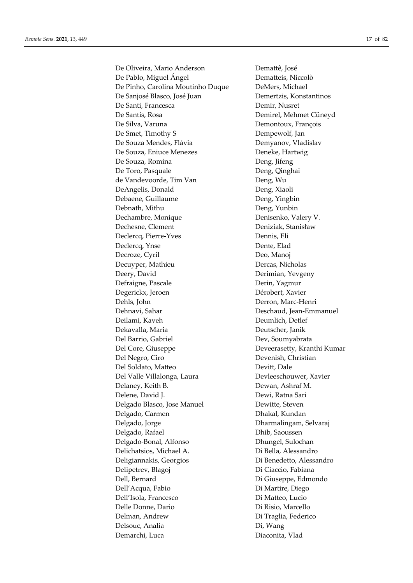De Oliveira, Mario Anderson Demattê, José De Pablo, Miguel Ángel **Dematteis**, Niccolò De Pinho, Carolina Moutinho Duque DeMers, Michael De Sanjosé Blasco, José Juan Demertzis, Konstantinos De Santi, Francesca Demir, Nusret De Santis, Rosa Demirel, Mehmet Cüneyd De Silva, Varuna Demontoux, François De Smet, Timothy S Dempewolf, Jan De Souza Mendes, Flávia **Demyanov**, Vladislav De Souza, Eniuce Menezes Deneke, Hartwig De Souza, Romina Deng, Jifeng De Toro, Pasquale Deng, Qinghai de Vandevoorde, Tim Van Deng, Wu DeAngelis, Donald Deng, Xiaoli Debaene, Guillaume Deng, Yingbin Debnath, Mithu Deng, Yunbin Dechambre, Monique Denisenko, Valery V. Dechesne, Clement Deniziak, Stanisław Declercq, Pierre-Yves Dennis, Eli Declercq, Ynse Dente, Elad Decroze, Cyril Deo, Manoj Decuyper, Mathieu Dercas, Nicholas Deery, David Derimian, Yevgeny Defraigne, Pascale Derin, Yagmur Degerickx, Jeroen Dérobert, Xavier Dehls, John Derron, Marc-Henri Dehnavi, Sahar Deschaud, Jean-Emmanuel Deilami, Kaveh Deumlich, Detlef Dekavalla, Maria Deutscher, Janik Del Barrio, Gabriel Dev, Soumyabrata Del Core, Giuseppe Deveerasetty, Kranthi Kumar Del Negro, Ciro Devenish, Christian Del Soldato, Matteo **Devitt**, Dale Del Valle Villalonga, Laura Devleeschouwer, Xavier Delaney, Keith B. Dewan, Ashraf M. Delene, David J. Dewi, Ratna Sari Delgado Blasco, Jose Manuel Dewitte, Steven Delgado, Carmen Dhakal, Kundan Delgado, Jorge Dharmalingam, Selvaraj Delgado, Rafael Dhib, Saoussen Delgado-Bonal, Alfonso Dhungel, Sulochan Delichatsios, Michael A. Di Bella, Alessandro Deligiannakis, Georgios Di Benedetto, Alessandro Delipetrev, Blagoj Di Ciaccio, Fabiana Dell, Bernard Di Giuseppe, Edmondo Dell'Acqua, Fabio Di Martire, Diego Dell'Isola, Francesco Di Matteo, Lucio Delle Donne, Dario **Di Risio**, Marcello Delman, Andrew Di Traglia, Federico Delsouc, Analia Di, Wang Demarchi, Luca Diaconita, Vlad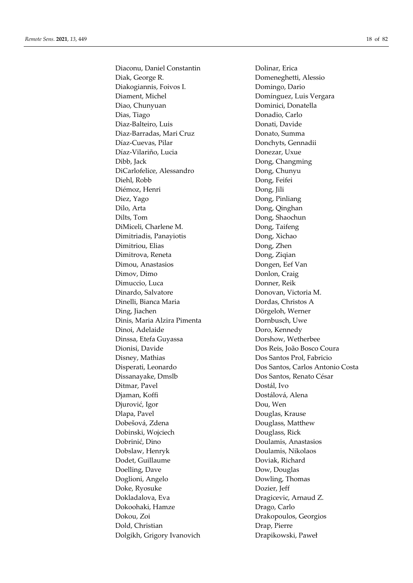Diaconu, Daniel Constantin Dolinar, Erica Diak, George R. Domeneghetti, Alessio Diakogiannis, Foivos I. Domingo, Dario Diament, Michel Domínguez, Luis Vergara Diao, Chunyuan Dominici, Donatella Dias, Tiago Donadio, Carlo Diaz-Balteiro, Luis Donati, Davide Diaz-Barradas, Mari Cruz Donato, Summa Díaz-Cuevas, Pilar Donchyts, Gennadii Díaz-Vilariño, Lucia Donezar, Uxue Dibb, Jack Dong, Changming DiCarlofelice, Alessandro Dong, Chunyu Diehl, Robb Dong, Feifei Diémoz, Henri Dong, Jili Diez, Yago Dong, Pinliang Dilo, Arta **Dong**, Qinghan Dilts, Tom Dong, Shaochun DiMiceli, Charlene M. Dong, Taifeng Dimitriadis, Panayiotis Dong, Xichao Dimitriou, Elias Dong, Zhen Dimitrova, Reneta Dong, Ziqian Dimou, Anastasios Dongen, Eef Van Dimov, Dimo Donlon, Craig Dimuccio, Luca Donner, Reik Dinardo, Salvatore Donovan, Victoria M. Dinelli, Bianca Maria Dordas, Christos A Ding, Jiachen Dörgeloh, Werner Dinis, Maria Alzira Pimenta Dornbusch, Uwe Dinoi, Adelaide Doro, Kennedy Dinssa, Etefa Guyassa **Dorshow**, Wetherbee Dionisi, Davide Dos Reis, João Bosco Coura Disney, Mathias Dos Santos Prol, Fabricio Dissanayake, Dmslb Dos Santos, Renato César Ditmar, Pavel Dostál, Ivo Djaman, Koffi **Dostálová**, Alena Djurović, Igor Dou, Wen Dlapa, Pavel **Douglas**, Krause Dobešová, Zdena Douglass, Matthew Dobinski, Wojciech Douglass, Rick Dobrinić, Dino Doulamis, Anastasios Dobslaw, Henryk Doulamis, Nikolaos Dodet, Guillaume Doviak, Richard Doelling, Dave Dow, Douglas Doglioni, Angelo Dowling, Thomas Doke, Ryosuke Dozier, Jeff Dokladalova, Eva Dragicevic, Arnaud Z. Dokoohaki, Hamze Drago, Carlo Dokou, Zoi Drakopoulos, Georgios Dold, Christian Drap, Pierre Dolgikh, Grigory Ivanovich Drapikowski, Paweł

Disperati, Leonardo Dos Santos, Carlos Antonio Costa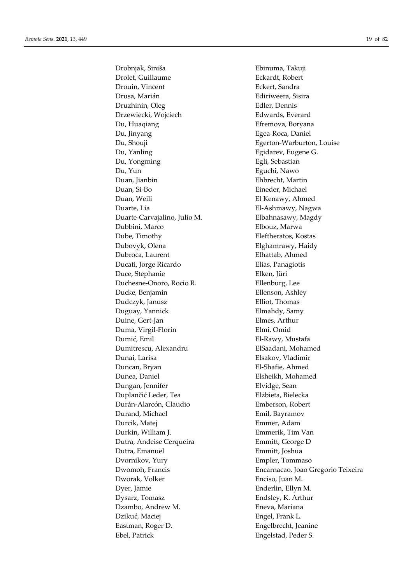Drobnjak, Siniša Ebinuma, Takuji Drolet, Guillaume Eckardt, Robert Drouin, Vincent Eckert, Sandra Drusa, Marián Ediriweera, Sisira Druzhinin, Oleg Edler, Dennis Drzewiecki, Wojciech Edwards, Everard Du, Huaqiang **Efremova**, Boryana Du, Jinyang **Egea-Roca**, Daniel Du, Shouji Egerton-Warburton, Louise Du, Yanling Egidarev, Eugene G. Du, Yongming **Egli**, Sebastian Du, Yun Eguchi, Nawo Duan, Jianbin Ehbrecht, Martin Duan, Si-Bo Eineder, Michael Duan, Weili **El Kenawy**, Ahmed Duarte, Lia El-Ashmawy, Nagwa Duarte-Carvajalino, Julio M. Elbahnasawy, Magdy Dubbini, Marco Elbouz, Marwa Dube, Timothy Eleftheratos, Kostas Dubovyk, Olena Elghamrawy, Haidy Dubroca, Laurent Elhattab, Ahmed Ducati, Jorge Ricardo Elias, Panagiotis Duce, Stephanie Elken, Jüri Duchesne-Onoro, Rocio R. Ellenburg, Lee Ducke, Benjamin Ellenson, Ashley Dudczyk, Janusz Elliot, Thomas Duguay, Yannick Elmahdy, Samy Duine, Gert-Jan Elmes, Arthur Duma, Virgil-Florin Elmi, Omid Dumić, Emil El-Rawy, Mustafa Dumitrescu, Alexandru ElSaadani, Mohamed Dunai, Larisa Elsakov, Vladimir Duncan, Bryan El-Shafie, Ahmed Dunea, Daniel Elsheikh, Mohamed Dungan, Jennifer Elvidge, Sean Duplančić Leder, Tea **Elżbieta**, Bielecka Durán-Alarcón, Claudio Emberson, Robert Durand, Michael Emil, Bayramov Durcik, Matej Emmer, Adam Durkin, William J. Emmerik, Tim Van Dutra, Andeise Cerqueira Emmitt, George D Dutra, Emanuel Emmitt, Joshua Dvornikov, Yury Empler, Tommaso Dworak, Volker Enciso, Juan M. Dyer, Jamie Enderlin, Ellyn M. Dysarz, Tomasz Endsley, K. Arthur Dzambo, Andrew M. Eneva, Mariana Dzikuć, Maciej **Engel, Frank L.** Eastman, Roger D. Engelbrecht, Jeanine Ebel, Patrick Engelstad, Peder S.

Dwomoh, Francis Encarnacao, Joao Gregorio Teixeira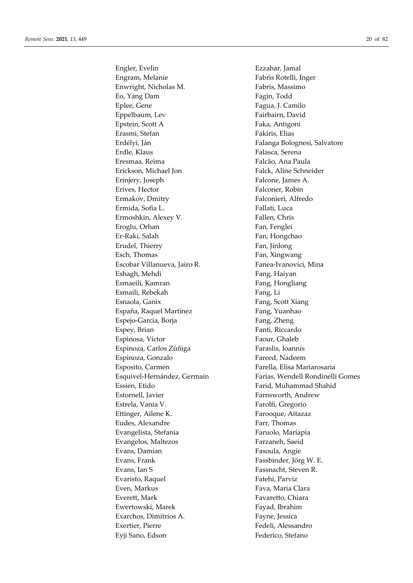Engler, Evelin Ezzahar, Jamal Engram, Melanie Fabris Rotelli, Inger Enwright, Nicholas M. Fabris, Massimo Eo, Yang Dam Fagin, Todd Eplee, Gene Fagua, J. Camilo Eppelbaum, Lev Fairbairn, David Epstein, Scott A Faka, Antigoni Erasmi, Stefan Fakiris, Elias Erdélyi, Ján **Falanga Bolognesi, Salvatore** Erdle, Klaus Falasca, Serena Eresmaa, Reima Falcão, Ana Paula Erickson, Michael Jon Falck, Aline Schneider Erinjery, Joseph Falcone, James A. Erives, Hector Falconer, Robin Ermakov, Dmitry Falconieri, Alfredo Ermida, Sofia L. **Fallati**, Luca Ermoshkin, Alexey V. Fallen, Chris Eroglu, Orhan Fan, Fenglei Er-Raki, Salah **Fan**, Hongchao Erudel, Thierry Fan, Jinlong Esch, Thomas Fan, Xingwang Escobar Villanueva, Jairo R. **Fanea-Ivanovici**, Mina Eshagh, Mehdi **Fang**, Haiyan Esmaeili, Kamran Fang, Hongliang Esmaili, Rebekah Fang, Li Esnaola, Ganix **Fang**, Scott Xiang España, Raquel Martínez **Fang**, Yuanhao Espejo-García, Borja Fang, Zheng Espey, Brian Fanti, Riccardo Espinosa, Víctor Faour, Ghaleb Espinoza, Carlos Zúñiga Faraslis, Ioannis Espinoza, Gonzalo **Fareed**, Nadeem Esposito, Carmen Farella, Elisa Mariarosaria Essien, Etido Farid, Muhammad Shahid Estornell, Javier **Farnsworth, Andrew** Estrela, Vania V. Farolfi, Gregorio Ettinger, Ailene K. Farooque, Aitazaz Eudes, Alexandre Farr, Thomas Evangelista, Stefania Faruolo, Mariapia Evangelos, Maltezos Farzaneh, Saeid Evans, Damian Fasoula, Angie Evans, Frank Fassbinder, Jörg W. E. Evans, Ian S<br>Fassnacht, Steven R. Evaristo, Raquel Fatehi, Parviz Even, Markus Fava, Maria Clara Everett, Mark Favaretto, Chiara Ewertowski, Marek Fayad, Ibrahim Exarchos, Dimitrios A. Fayne, Jessica Exertier, Pierre Fedeli, Alessandro Eyji Sano, Edson Federico, Stefano

Esquivel-Hernández, Germain Farias, Wendell Rondinelli Gomes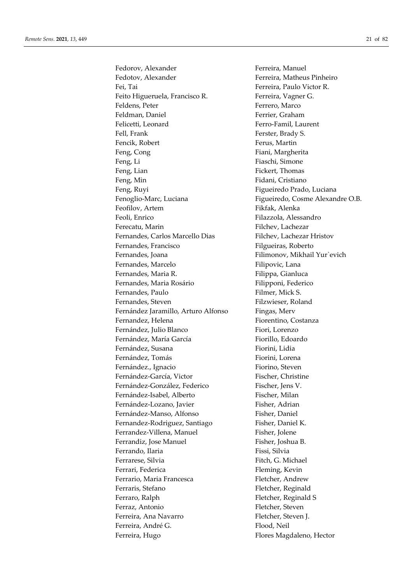Fedorov, Alexander Ferreira, Manuel Fedotov, Alexander Ferreira, Matheus Pinheiro Fei, Tai Ferreira, Paulo Victor R. Feito Higueruela, Francisco R. Ferreira, Vagner G. Feldens, Peter Ferrero, Marco Feldman, Daniel Ferrier, Graham Felicetti, Leonard Ferro-Famil, Laurent Fell, Frank Ferster, Brady S. Fencik, Robert Ferus, Martin Feng, Cong Fiani, Margherita Feng, Li Fiaschi, Simone Feng, Lian Fickert, Thomas Feng, Min Fidani, Cristiano Feng, Ruyi Figueiredo Prado, Luciana Fenoglio-Marc, Luciana Figueiredo, Cosme Alexandre O.B. Feofilov, Artem Fikfak, Alenka Feoli, Enrico Filazzola, Alessandro Ferecatu, Marin Filchev, Lachezar Fernandes, Carlos Marcello Dias Filchev, Lachezar Hristov Fernandes, Francisco Filgueiras, Roberto Fernandes, Joana Filimonov, Mikhail Yur'evich Fernandes, Marcelo Filipovic, Lana Fernandes, Maria R. **Filippa**, Gianluca Fernandes, Maria Rosário Filipponi, Federico Fernandes, Paulo Filmer, Mick S. Fernandes, Steven Filzwieser, Roland Fernández Jaramillo, Arturo Alfonso Fingas, Merv Fernandez, Helena Fiorentino, Costanza Fernández, Julio Blanco Fiori, Lorenzo Fernández, María García **Fiorillo**, Edoardo Fernández, Susana Fiorini, Lidia Fernández, Tomás Fiorini, Lorena Fernández., Ignacio Fiorino, Steven Fernández-García, Victor Fischer, Christine Fernández-González, Federico Fischer, Jens V. Fernández-Isabel, Alberto Fischer, Milan Fernández-Lozano, Javier Fisher, Adrian Fernández-Manso, Alfonso Fisher, Daniel Fernandez-Rodriguez, Santiago Fisher, Daniel K. Ferrandez-Villena, Manuel Fisher, Jolene Ferrandiz, Jose Manuel Fisher, Joshua B. Ferrando, Ilaria **Films** Fissi, Silvia Ferrarese, Silvia **Fitch, G. Michael** Ferrari, Federica Fleming, Kevin Ferrario, Maria Francesca Fletcher, Andrew Ferraris, Stefano Fletcher, Reginald Ferraro, Ralph Fletcher, Reginald S Ferraz, Antonio Fletcher, Steven Ferreira, Ana Navarro Fletcher, Steven J. Ferreira, André G. **Flood**, Neil Ferreira, Hugo Flores Magdaleno, Hector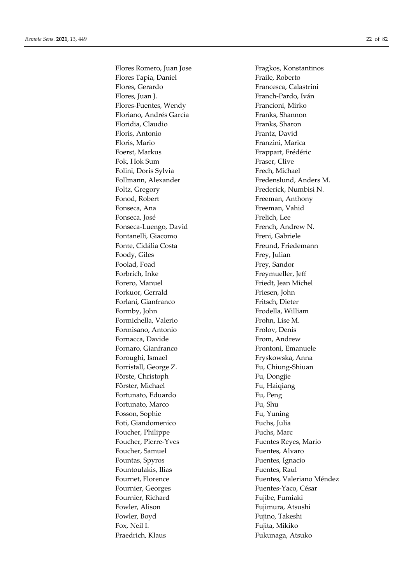Flores Romero, Juan Jose Fragkos, Konstantinos Flores Tapia, Daniel Fraile, Roberto Flores, Gerardo Francesca, Calastrini Flores, Juan J. **Franch-Pardo**, Iván Flores-Fuentes, Wendy Francioni, Mirko Floriano, Andrés García Franks, Shannon Floridia, Claudio Franks, Sharon Floris, Antonio Frantz, David Floris, Mario Franzini, Marica Foerst, Markus Frappart, Frédéric Fok, Hok Sum Fraser, Clive Folini, Doris Sylvia Frech, Michael Foltz, Gregory Frederick, Numbisi N. Fonod, Robert Freeman, Anthony Fonseca, Ana Freeman, Vahid Fonseca, José Frelich, Lee Fonseca-Luengo, David French, Andrew N. Fontanelli, Giacomo Freni, Gabriele Fonte, Cidália Costa Freund, Friedemann Foody, Giles Frey, Julian Foolad, Foad Frey, Sandor Forbrich, Inke Freymueller, Jeff Forero, Manuel **Fixall** Friedt, Jean Michel Forkuor, Gerrald Friesen, John Forlani, Gianfranco Fritsch, Dieter Formby, John Frodella, William Formichella, Valerio Frohn, Lise M. Formisano, Antonio Frolov, Denis Fornacca, Davide From, Andrew Fornaro, Gianfranco Frontoni, Emanuele Foroughi, Ismael **Fryskowska**, Anna Forristall, George Z. Fu, Chiung-Shiuan Förste, Christoph Fu, Dongjie Förster, Michael Fü, Haiqiang Fortunato, Eduardo Fu, Peng Fortunato, Marco Fu, Shu Fosson, Sophie Fu, Yuning Foti, Giandomenico Fuchs, Julia Foucher, Philippe Fuchs, Marc Foucher, Pierre-Yves Fuentes Reyes, Mario Foucher, Samuel **Fuentes**, Alvaro Fountas, Spyros Fuentes, Ignacio Fountoulakis, Ilias Fuentes, Raul Fournier, Georges Fuentes-Yaco, César Fournier, Richard Fujibe, Fumiaki Fowler, Alison Fujimura, Atsushi Fowler, Boyd Fujino, Takeshi Fox, Neil I. Fujita, Mikiko Fraedrich, Klaus Fukunaga, Atsuko

Follmann, Alexander Fredenslund, Anders M. Fournet, Florence Fuentes, Valeriano Méndez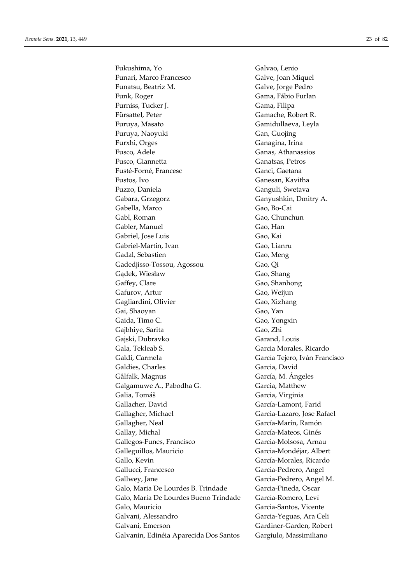Fukushima, Yo Galvao, Lenio Funari, Marco Francesco Galve, Joan Miquel Funatsu, Beatriz M. Galve, Jorge Pedro Funk, Roger Gama, Fábio Furlan Furniss, Tucker J. Gama, Filipa Fürsattel, Peter Gamache, Robert R. Furuya, Masato Gamidullaeva, Leyla Furuya, Naoyuki Gan, Guojing Furxhi, Orges Ganagina, Irina Fusco, Adele Ganas, Athanassios Fusco, Giannetta Ganatsas, Petros Fusté-Forné, Francesc Ganci, Gaetana Fustos, Ivo Ganesan, Kavitha Fuzzo, Daniela Ganguli, Swetava Gabara, Grzegorz Ganyushkin, Dmitry A. Gabella, Marco Gao, Bo-Cai Gabl, Roman Gao, Chunchun Gabler, Manuel Gao, Han Gabriel, Jose Luis Gao, Kai Gabriel-Martin, Ivan Gao, Lianru Gadal, Sebastien Gao, Meng Gadedjisso-Tossou, Agossou Gao, Qi Gądek, Wiesław Gao, Shang Gaffey, Clare Gao, Shanhong Gafurov, Artur Gao, Weijun Gagliardini, Olivier Gao, Xizhang Gai, Shaoyan Gao, Yan Gaida, Timo C. Gao, Yongxin Gajbhiye, Sarita Gao, Zhi Gajski, Dubravko Garand, Louis Gala, Tekleab S. Garcia Morales, Ricardo Galdi, Carmela **García Texas García Tejero, Iván Francisco** Galdies, Charles Garcia, David Gålfalk, Magnus García, M. Ángeles Galgamuwe A., Pabodha G. Garcia, Matthew Galia, Tomáš Garcia, Virginia Gallacher, David García-Lamont, Farid Gallagher, Michael Garcia-Lazaro, Jose Rafael Gallagher, Neal García-Marín, Ramón Gallay, Michal García-Mateos, Ginés Gallegos-Funes, Francisco Garcia-Molsosa, Arnau Galleguillos, Mauricio Garcia-Mondéjar, Albert Gallo, Kevin García-Morales, Ricardo Gallucci, Francesco Garcia-Pedrero, Angel Gallwey, Jane Garcia-Pedrero, Angel M. Galo, Maria De Lourdes B. Trindade Garcia-Pineda, Oscar Galo, Maria De Lourdes Bueno Trindade García-Romero, Leví Galo, Mauricio Garcia-Santos, Vicente Galvani, Alessandro Garcia-Yeguas, Ara Celi Galvani, Emerson Gardiner-Garden, Robert Galvanin, Edinéia Aparecida Dos Santos Gargiulo, Massimiliano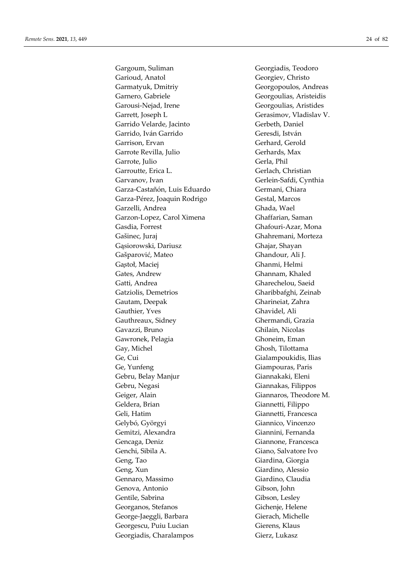Gargoum, Suliman Georgiadis, Teodoro Garioud, Anatol Georgiev, Christo Garmatyuk, Dmitriy Georgopoulos, Andreas Garnero, Gabriele Georgoulias, Aristeidis Garousi-Nejad, Irene Georgoulias, Aristides Garrett, Joseph L Gerasimov, Vladislav V. Garrido Velarde, Jacinto Gerbeth, Daniel Garrido, Iván Garrido Geresdi, István Garrison, Ervan Gerhard, Gerold Garrote Revilla, Julio Gerhards, Max Garrote, Julio Gerla, Phil Garroutte, Erica L. Gerlach, Christian Garvanov, Ivan Gerlein-Safdi, Cynthia Garza-Castañón, Luis Eduardo Germani, Chiara Garza-Pérez, Joaquin Rodrigo Gestal, Marcos Garzelli, Andrea Ghada, Wael Garzon-Lopez, Carol Ximena Ghaffarian, Saman Gasdia, Forrest Ghafouri-Azar, Mona Gašinec, Juraj Ghahremani, Morteza Gąsiorowski, Dariusz Ghajar, Shayan Gašparović, Mateo Ghandour, Ali J. Gastoł, Maciej Ghanmi, Helmi Gates, Andrew Ghannam, Khaled Gatti, Andrea Gharechelou, Saeid Gatziolis, Demetrios Gharibbafghi, Zeinab Gautam, Deepak Gharineiat, Zahra Gauthier, Yves Ghavidel, Ali Gauthreaux, Sidney Ghermandi, Grazia Gavazzi, Bruno Ghilain, Nicolas Gawronek, Pelagia Ghoneim, Eman Gay, Michel Ghosh, Tilottama Ge, Cui Gialampoukidis, Ilias Ge, Yunfeng Giampouras, Paris Gebru, Belay Manjur Giannakaki, Eleni Gebru, Negasi Giannakas, Filippos Geiger, Alain Giannaros, Theodore M. Geldera, Brian Giannetti, Filippo Geli, Hatim Giannetti, Francesca Gelybó, Györgyi Giannico, Vincenzo Gemitzi, Alexandra Giannini, Fernanda Gencaga, Deniz Giannone, Francesca Genchi, Sibila A. Giano, Salvatore Ivo Geng, Tao Giardina, Giorgia Geng, Xun Giardino, Alessio Gennaro, Massimo Giardino, Claudia Genova, Antonio Gibson, John Gentile, Sabrina Gibson, Lesley Georganos, Stefanos Gichenje, Helene George-Jaeggli, Barbara Gierach, Michelle Georgescu, Puiu Lucian Gierens, Klaus Georgiadis, Charalampos Gierz, Lukasz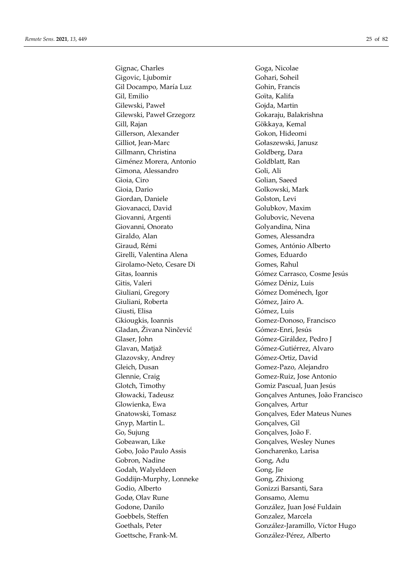Gignac, Charles Goga, Nicolae Gigovic, Ljubomir Gohari, Soheil Gil Docampo, María Luz Gohin, Francis Gil, Emilio Goïta, Kalifa Gilewski, Paweł Gojda, Martin Gilewski, Paweł Grzegorz **Gokaraju, Balakrishna** Gill, Rajan Gökkaya, Kemal Gillerson, Alexander Gokon, Hideomi Gilliot, Jean-Marc Gołaszewski, Janusz Gillmann, Christina Goldberg, Dara Giménez Morera, Antonio Goldblatt, Ran Gimona, Alessandro Goli, Ali Gioia, Ciro Golian, Saeed Gioia, Dario Golkowski, Mark Giordan, Daniele Golston, Levi Giovanacci, David Golubkov, Maxim Giovanni, Argenti Golubovic, Nevena Giovanni, Onorato Golyandina, Nina Giraldo, Alan Gomes, Alessandra Giraud, Rémi Gomes, António Alberto Girelli, Valentina Alena Gomes, Eduardo Girolamo-Neto, Cesare Di Gomes, Rahul Gitis, Valeri Gómez Déniz, Luis Giuliani, Gregory Gómez Doménech, Igor Giuliani, Roberta Gómez, Jairo A. Giusti, Elisa Gómez, Luis Gkiougkis, Ioannis Gomez-Donoso, Francisco Gladan, Živana Ninčević Gómez-Enri, Jesús Glaser, John Gómez-Giráldez, Pedro J Glavan, Matjaž **Gómez-Gutiérrez, Alvaro** Glazovsky, Andrey Gómez-Ortiz, David Gleich, Dusan Gomez-Pazo, Alejandro Glennie, Craig Gomez-Ruiz, Jose Antonio Glotch, Timothy Gomiz Pascual, Juan Jesús Glowienka, Ewa Gonçalves, Artur Gnyp, Martin L. Gonçalves, Gil Go, Sujung Gonçalves, João F. Gobeawan, Like Gonçalves, Wesley Nunes Gobo, João Paulo Assis Goncharenko, Larisa Gobron, Nadine Gong, Adu Godah, Walyeldeen Gong, Jie Goddijn-Murphy, Lonneke Gong, Zhixiong Godio, Alberto Gonizzi Barsanti, Sara Godø, Olav Rune Gonsamo, Alemu Godone, Danilo González, Juan José Fuldain Goebbels, Steffen Gonzalez, Marcela Goettsche, Frank-M. González-Pérez, Alberto

Gitas, Ioannis Gómez Carrasco, Cosme Jesús Głowacki, Tadeusz Gonçalves Antunes, João Francisco Gnatowski, Tomasz Gonçalves, Eder Mateus Nunes Goethals, Peter González-Jaramillo, Víctor Hugo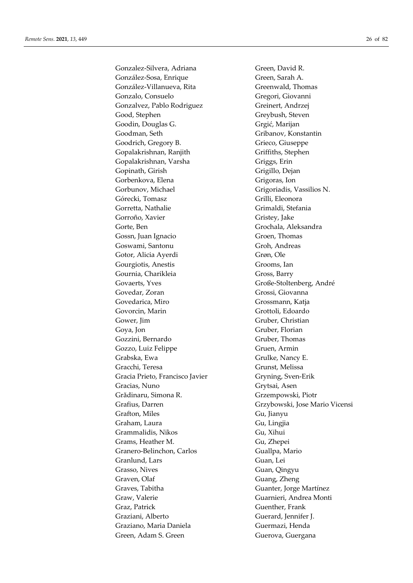Gonzalez-Silvera, Adriana Green, David R. González-Sosa, Enrique Green, Sarah A. González-Villanueva, Rita Greenwald, Thomas Gonzalo, Consuelo Gregori, Giovanni Gonzalvez, Pablo Rodriguez Greinert, Andrzej Good, Stephen Greybush, Steven Goodin, Douglas G. Gregić, Marijan Goodman, Seth Gribanov, Konstantin Goodrich, Gregory B. Grieco, Giuseppe Gopalakrishnan, Ranjith Griffiths, Stephen Gopalakrishnan, Varsha Griggs, Erin Gopinath, Girish Grigillo, Dejan Gorbenkova, Elena Grigoras, Ion Gorbunov, Michael Grigoriadis, Vassilios N. Górecki, Tomasz Grilli, Eleonora Gorretta, Nathalie Grimaldi, Stefania Gorroño, Xavier Gristey, Jake Gorte, Ben Grochala, Aleksandra Gossn, Juan Ignacio Groen, Thomas Goswami, Santonu Groh, Andreas Gotor, Alicia Ayerdi Grøn, Ole Gourgiotis, Anestis Grooms, Ian Gournia, Charikleia Gross, Barry Govaerts, Yves Große-Stoltenberg, André Govedar, Zoran Grossi, Giovanna Govedarica, Miro Grossmann, Katja Govorcin, Marin Grottoli, Edoardo Gower, Jim Gruber, Christian Goya, Jon Gruber, Florian Gozzini, Bernardo Gruber, Thomas Gozzo, Luiz Felippe Gruen, Armin Grabska, Ewa Grulke, Nancy E. Gracchi, Teresa Grunst, Melissa Gracia Prieto, Francisco Javier Gryning, Sven-Erik Gracias, Nuno Grytsai, Asen Grădinaru, Simona R. Grzempowski, Piotr Grafton, Miles Gu, Jianyu Graham, Laura Gu, Lingjia Grammalidis, Nikos Gu, Xihui Grams, Heather M. Gu, Zhepei Granero-Belinchon, Carlos Guallpa, Mario Granlund, Lars Guan, Lei Grasso, Nives Guan, Qingyu Graven, Olaf Guang, Zheng Graves, Tabitha Guanter, Jorge Martínez Graw, Valerie Guarnieri, Andrea Monti Graz, Patrick Guenther, Frank Graziani, Alberto Guerard, Jennifer J. Graziano, Maria Daniela Guermazi, Henda Green, Adam S. Green Guerova, Guergana

Grafius, Darren Grzybowski, Jose Mario Vicensi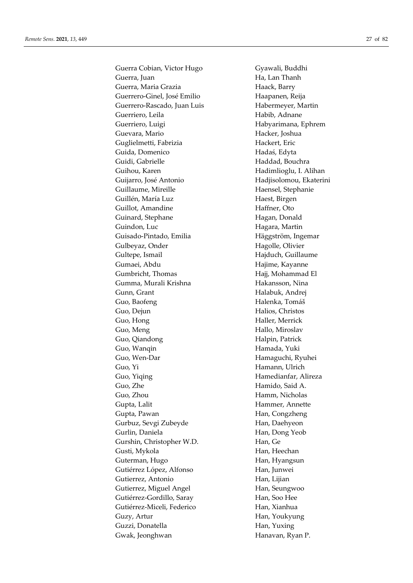Guerra Cobian, Victor Hugo Gyawali, Buddhi Guerra, Juan **Ha, Lan Thanh** Guerra, Maria Grazia **Haack**, Barry Guerrero-Ginel, José Emilio Haapanen, Reija Guerrero-Rascado, Juan Luis Habermeyer, Martin Guerriero, Leila **Habib**, Adnane Guerriero, Luigi **Habyarimana**, Ephrem Guevara, Mario **Hacker**, Joshua Guglielmetti, Fabrizia Hackert, Eric Guida, Domenico Hadaś, Edyta Guidi, Gabrielle Haddad, Bouchra Guihou, Karen **Hadimlioglu**, I. Alihan Guijarro, José Antonio Hadjisolomou, Ekaterini Guillaume, Mireille Haensel, Stephanie Guillén, María Luz **Haest**, Birgen Guillot, Amandine Haffner, Oto Guinard, Stephane Hagan, Donald Guindon, Luc **Hagara**, Martin Guisado-Pintado, Emilia Häggström, Ingemar Gulbeyaz, Onder Hagolle, Olivier Gultepe, Ismail **Hajduch**, Guillaume Gumaei, Abdu **Hajime, Kayanne** Gumbricht, Thomas **Hajj**, Mohammad El Gumma, Murali Krishna **Hakansson**, Nina Gunn, Grant Halabuk, Andrej Guo, Baofeng **Halenka**, Tomáš Guo, Dejun Halios, Christos Guo, Hong **Haller**, Merrick Guo, Meng Hallo, Miroslav Guo, Qiandong **Halpin**, Patrick Guo, Wanqin **Hamada**, Yuki Guo, Wen-Dar Hamaguchi, Ryuhei Guo, Yi Hamann, Ulrich Guo, Yiqing Hamedianfar, Alireza Guo, Zhe Hamido, Said A. Guo, Zhou Hamm, Nicholas Gupta, Lalit **Hammer**, Annette Gupta, Pawan **Han, Congzheng** Gurbuz, Sevgi Zubeyde **Han**, Daehyeon Gurlin, Daniela Han, Dong Yeob Gurshin, Christopher W.D. Han, Ge Gusti, Mykola Han, Heechan Guterman, Hugo Han, Hyangsun Gutiérrez López, Alfonso Han, Junwei Gutierrez, Antonio Han, Lijian Gutierrez, Miguel Angel Han, Seungwoo Gutiérrez-Gordillo, Saray Han, Soo Hee Gutiérrez-Miceli, Federico Han, Xianhua Guzy, Artur Han, Youkyung Guzzi, Donatella Han, Yuxing Gwak, Jeonghwan **Hanavan**, Ryan P.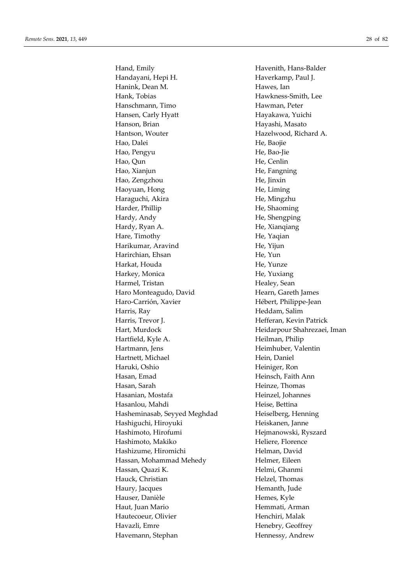Hand, Emily **Havenith**, Hans-Balder Handayani, Hepi H. **Haverkamp**, Paul J. Hanink, Dean M. **Hawes**, Ian Hank, Tobias Hawkness-Smith, Lee Hanschmann, Timo Hawman, Peter Hansen, Carly Hyatt Hayakawa, Yuichi Hanson, Brian Hayashi, Masato Hantson, Wouter Hazelwood, Richard A. Hao, Dalei He, Baojie Hao, Pengyu He, Bao-Jie Hao, Qun He, Cenlin Hao, Xianjun **He, Fangning** Hao, Zengzhou He, Jinxin Haoyuan, Hong He, Liming Haraguchi, Akira **He, Mingzhu** Harder, Phillip He, Shaoming Hardy, Andy He, Shengping Hardy, Ryan A. **He**, Xianqiang Hare, Timothy **He**, Yaqian Harikumar, Aravind He, Yijun Harirchian, Ehsan He, Yun Harkat, Houda He, Yunze Harkey, Monica He, Yuxiang Harmel, Tristan Healey, Sean Haro Monteagudo, David Hearn, Gareth James Haro-Carrión, Xavier Hébert, Philippe-Jean Harris, Ray **Heddam**, Salim Harris, Trevor J. **Hefferan**, Kevin Patrick Hart, Murdock Heidarpour Shahrezaei, Iman Hartfield, Kyle A. Heilman, Philip Hartmann, Jens Heimhuber, Valentin Hartnett, Michael Hein, Daniel Haruki, Oshio Heiniger, Ron Hasan, Emad Heinsch, Faith Ann Hasan, Sarah **Heinze, Thomas** Hasanian, Mostafa **Heinzel**, Johannes Hasanlou, Mahdi Heise, Bettina Hasheminasab, Seyyed Meghdad Heiselberg, Henning Hashiguchi, Hiroyuki **Heiskanen**, Janne Hashimoto, Hirofumi Hejmanowski, Ryszard Hashimoto, Makiko Heliere, Florence Hashizume, Hiromichi Helman, David Hassan, Mohammad Mehedy **Helmer**, Eileen Hassan, Quazi K. Helmi, Ghanmi Hauck, Christian Helzel, Thomas Haury, Jacques **Hemanth**, Jude Hauser, Danièle **Hemes**, Kyle Haut, Juan Mario **Hemmati, Arman** Hautecoeur, Olivier **Henchiri**, Malak Havazli, Emre Henebry, Geoffrey Havemann, Stephan Hennessy, Andrew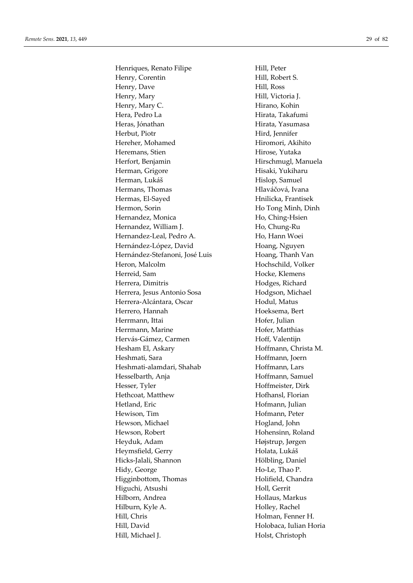Henriques, Renato Filipe Hill, Peter Henry, Corentin Hill, Robert S. Henry, Dave Hill, Ross Henry, Mary **Hill**, Victoria J. Henry, Mary C. **Hirano**, Kohin Hera, Pedro La **Hirata**, Takafumi Heras, Jónathan **Hirata**, Yasumasa Herbut, Piotr Hird, Jennifer Hereher, Mohamed Hiromori, Akihito Heremans, Stien Hirose, Yutaka Herfort, Benjamin Hirschmugl, Manuela Herman, Grigore Hisaki, Yukiharu Herman, Lukáš Hislop, Samuel Hermans, Thomas **Hlaváčová**, Ivana Hermas, El-Sayed Hnilicka, Frantisek Hermon, Sorin Ho Tong Minh, Dinh Hernandez, Monica Ho, Ching-Hsien Hernandez, William J. **Ho. 2006** Ho, Chung-Ru Hernandez-Leal, Pedro A. Ho, Hann Woei Hernández-López, David Hoang, Nguyen Hernández-Stefanoni, José Luis Hoang, Thanh Van Heron, Malcolm **Hochschild**, Volker Herreid, Sam Hocke, Klemens Herrera, Dimitris Hodges, Richard Herrera, Jesus Antonio Sosa Hodgson, Michael Herrera-Alcántara, Oscar Hodul, Matus Herrero, Hannah **Hoeksema**, Bert Herrmann, Ittai Hofer, Julian Herrmann, Marine **Hofer**, Matthias Hervás-Gámez, Carmen Hoff, Valentijn Hesham El, Askary **Hoffmann**, Christa M. Heshmati, Sara **Hoffmann**, Joern Heshmati-alamdari, Shahab Hoffmann, Lars Hesselbarth, Anja **Hoffmann**, Samuel Hesser, Tyler Hoffmeister, Dirk Hethcoat, Matthew Hofhansl, Florian Hetland, Eric Hofmann, Julian Hewison, Tim Hofmann, Peter Hewson, Michael **Hogland**, John Hewson, Robert Hohensinn, Roland Heyduk, Adam Højstrup, Jørgen Heymsfield, Gerry Holata, Lukáš Hicks-Jalali, Shannon Hölbling, Daniel Hidy, George Ho-Le, Thao P. Higginbottom, Thomas Holifield, Chandra Higuchi, Atsushi Holl, Gerrit Hilborn, Andrea **Hollaus**, Markus Hilburn, Kyle A. Holley, Rachel Hill, Chris Holman, Fenner H. Hill, David Holobaca, Iulian Horia Hill, Michael J. Holst, Christoph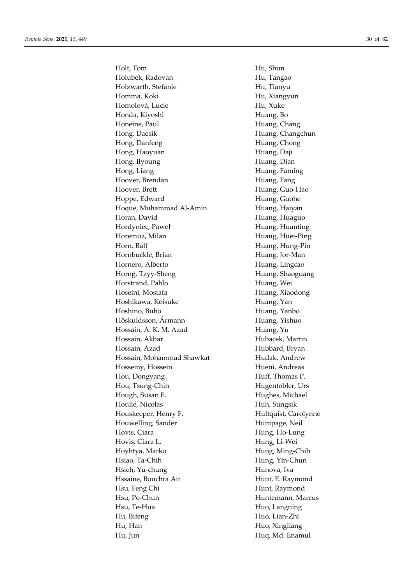Holt, Tom Hu, Shun Holubek, Radovan **Hu**, Tangao Holzwarth, Stefanie Hu, Tianyu Homma, Koki Hu, Xiangyun Homolová, Lucie Hu, Xuke Honda, Kiyoshi **Huang**, Bo Honeine, Paul **Huang**, Chang Hong, Daesik **Huang**, Changchun Hong, Danfeng **Huang**, Chong Hong, Haoyuan **Huang**, Daji Hong, Ilyoung **Huang**, Dian Hong, Liang **Huang** Huang, Faming Hoover, Brendan Huang, Fang Hoover, Brett Huang, Guo-Hao Hoppe, Edward Huang, Guohe Hoque, Muhammad Al-Amin Huang, Haiyan Horan, David **Huang**, Huaguo Hordyniec, Paweł **Huang**, Huanting Horemuz, Milan Huang, Huei-Ping Horn, Ralf **Huang**, Hung-Pin Hornbuckle, Brian Huang, Jor-Man Hornero, Alberto **Huang**, Lingcao Horng, Tzyy-Sheng **Huang**, Shaoguang Horstrand, Pablo **Huang**, Wei Hoseini, Mostafa **Huang**, Xiaodong Hoshikawa, Keisuke **Huang**, Yan Hoshino, Buho **Huang**, Yanbo Höskuldsson, Ármann Huang, Yishuo Hossain, A. K. M. Azad Huang, Yu Hossain, Akbar **Hubacek**, Martin Hossain, Azad Hubbard, Bryan Hossain, Mohammad Shawkat Hudak, Andrew Hosseiny, Hossein Hueni, Andreas Hou, Dongyang Huff, Thomas P. Hou, Tsung-Chin Hugentobler, Urs Hough, Susan E. **Hughes**, Michael Houlié, Nicolas Huh, Sungsik Houskeeper, Henry F. Hultquist, Carolynne Houwelling, Sander **Humpage**, Neil Hovis, Ciara **Hung**, Ho-Lung Hovis, Ciara L. Hung, Li-Wei Hoyhtya, Marko Hung, Ming-Chih Hsiao, Ta-Chih Hung, Yin-Chun Hsieh, Yu-chung Hunova, Iva Hssaine, Bouchra Ait Hunt, E. Raymond Hsu, Feng Chi Hunt, Raymond Hsu, Po-Chun Huntemann, Marcus Hsu, Te-Hua Huo, Langning Hu, Bifeng Huo, Lian-Zhi Hu, Han Huo, Xingliang Hu, Jun Huq, Md. Enamul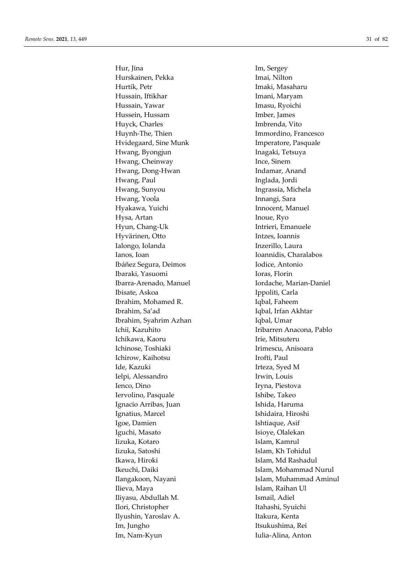Hur, Jina Im, Sergey Hurskainen, Pekka **Imai, Nilton** Hurtík, Petr **Imaki**, Masaharu Hussain, Iftikhar **Imani, Maryam** Hussain, Yawar **Imasu, Ryoichi** Hussein, Hussam Imber, James Huyck, Charles **Imbrenda**, Vito Huynh-The, Thien Immordino, Francesco Hvidegaard, Sine Munk Imperatore, Pasquale Hwang, Byongjun **Inagaki**, Tetsuya Hwang, Cheinway **Ince**, Sinem Hwang, Dong-Hwan **Indamar**, Anand Hwang, Paul **Inglada**, Jordi Hwang, Sunyou Ingrassia, Michela Hwang, Yoola **Innangi**, Sara Hyakawa, Yuichi **Innocent**, Manuel Hysa, Artan Inoue, Ryo Hyun, Chang-Uk Intrieri, Emanuele Hyvärinen, Otto Intzes, Ioannis Ialongo, Iolanda **Inzerillo**, Laura Ianos, Ioan Ioannidis, Charalabos Ibáñez Segura, Deimos **Indice**, Antonio Ibaraki, Yasuomi Ioras, Florin Ibarra-Arenado, Manuel **Iordache**, Marian-Daniel Ibisate, Askoa Ippoliti, Carla Ibrahim, Mohamed R. **Iqbal**, Faheem Ibrahim, Sa'ad Iqbal, Irfan Akhtar Ibrahim, Syahrim Azhan **Iqbal**, Umar Ichii, Kazuhito **Iribarren Anacona**, Pablo Ichikawa, Kaoru **Irie, Mitsuteru** Ichinose, Toshiaki Irimescu, Anisoara Ichirow, Kaihotsu **Irofti**, Paul Ide, Kazuki **Irteza**, Syed M Ielpi, Alessandro Irwin, Louis Ienco, Dino Iryna, Piestova Iervolino, Pasquale **Ishibe**, Takeo Ignacio Arribas, Juan **Ishida**, Haruma Ignatius, Marcel **Ishidaira**, Hiroshi Igoe, Damien **Ishtiaque**, Asif Iguchi, Masato **Isioye**, Olalekan Iizuka, Kotaro **Islam, Kamrul** Iizuka, Satoshi **Islam, Kh Tohidul** Ikawa, Hiroki **Islam, Md Rashadul** Ikeuchi, Daiki **Islam, Mohammad Nurul** Ilieva, Maya **Islam, Raihan Ul** Iliyasu, Abdullah M. Ismail, Adiel Ilori, Christopher Itahashi, Syuichi Ilyushin, Yaroslav A. Itakura, Kenta Im, Jungho Itsukushima, Rei Im, Nam-Kyun Iulia-Alina, Anton

Ilangakoon, Nayani **Islam, Muhammad Aminul**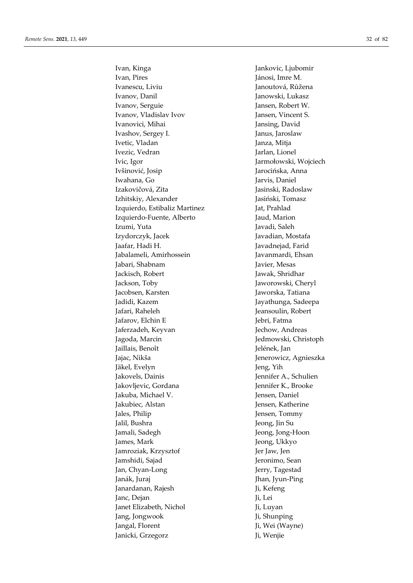Ivan, Kinga Ivan, Pires Ivanescu, Liviu Ivanov, Danil Ivanov, Serguie Ivanov, Vladislav Ivov Ivanovici, Mihai Ivashov, Sergey I. Ivetic, Vladan Ivezic, Vedran Ivic, Igor Ivšinovi ć, Josip Iwahana, Go Izakovi čová, Zita Izhitskiy, Alexander Izquierdo, Estibaliz Martinez Izquierdo-Fuente, Alberto Izumi, Yuta Izydorczyk, Jacek Jaafar, Hadi H. Jabalameli, Amirhossein Jabari, Shabnam Jackisch, Robert Jackson, Toby Jacobsen, Karsten Jadidi, Kazem Jafari, Raheleh Jafarov, Elchin E Jaferzadeh, Keyvan Jagoda, Marcin Jaillais, Benoît Jajac, Nikša Jäkel, Evelyn Jakovels, Dainis Jakovljevic, Gordana Jakuba, Michael V. Jakubiec, Alstan Jales, Philip Jalil, Bushra Jamali, Sadegh James, Mark Jamroziak, Krzyszto f Jamshidi, Sajad Jan, Chyan-Long Janák, Juraj Janardanan, Rajesh Janc, Dejan Janet Elizabeth, Nichol Jang, Jongwook Jangal, Florent Janicki, Grzegorz

Jankovic, Ljubomir Jánosi, Imre M. Janoutová, R ůžena Janowski, Lukasz Jansen, Robert W. Jansen, Vincent S. Jansing, David Janus, Jaroslaw Janza, Mitja Jarlan, Lionel Jarmo łowski, Wojciech Jaroci ńska, Anna Jarvis, Daniel Jasinski, Radoslaw Jasi ński, Tomasz Jat, Prahlad Jaud, Marion Javadi, Saleh Javadian, Mostafa Javadnejad, Farid Javanmardi, Ehsan Javier, Mesas Jawak, Shridhar Jaworowski, Cheryl Jaworska, Tatiana Jayathunga, Sadeepa Jeansoulin, Robert Jebri, Fatma Jechow, Andreas Jedmowski, Christoph Jelének, Jan Jenerowicz, Agnieszka Jeng, Yih Jennifer A., Schulien Jennifer K., Brooke Jensen, Daniel Jensen, Katherine Jensen, Tommy Jeong, Jin Su Jeong, Jong-Hoon Jeong, Ukkyo Jer Jaw, Jen Jeronimo, Sean Jerry, Tagestad Jhan, Jyun-Ping Ji, Kefeng Ji, Lei Ji, Luyan Ji, Shunping Ji, Wei (Wayne) Ji, Wenjie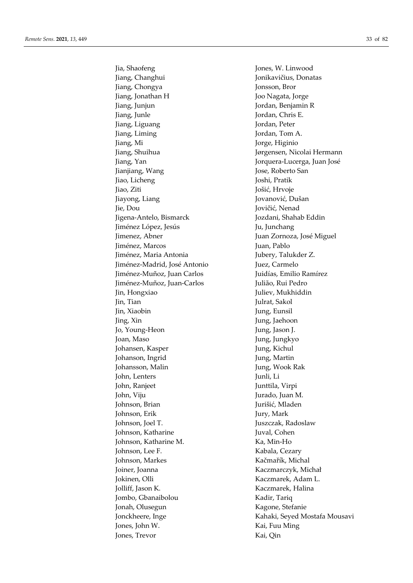Jia, Shaofeng Jones, W. Linwood Jiang, Changhui Jonikavičius, Donatas Jiang, Chongya Jonsson, Bror Jiang, Jonathan H Joo Nagata, Jorge Jiang, Junjun Jordan, Benjamin R Jiang, Junle Jordan, Chris E. Jiang, Liguang Jordan, Peter Jiang, Liming Jordan, Tom A. Jiang, Mi Jorge, Higinio Jiang, Shuihua Jørgensen, Nicolai Hermann Jiang, Yan Jorquera-Lucerga, Juan José Jianjiang, Wang **Jose**, Roberto San Jiao, Licheng Joshi, Pratik Jiao, Ziti Jošić, Hrvoje Jiayong, Liang **Jovanović, Dušan** Jie, Dou Jovičić, Nenad Jigena-Antelo, Bismarck Jozdani, Shahab Eddin Jiménez López, Jesús Ju, Junchang Jimenez, Abner Juan Zornoza, José Miguel Jiménez, Marcos Juan, Pablo Jiménez, Maria Antonia **Jubery**, Talukder Z. Jiménez-Madrid, José Antonio Juez, Carmelo Jiménez-Muñoz, Juan Carlos Juidías, Emilio Ramírez Jiménez-Muñoz, Juan-Carlos Julião, Rui Pedro Jin, Hongxiao Juliev, Mukhiddin Jin, Tian Julrat, Sakol Jin, Xiaobin Jung, Eunsil Jing, Xin Jung, Jaehoon Jo, Young-Heon Jung, Jason J. Joan, Maso Jung, Jungkyo Johansen, Kasper Jung, Kichul Johanson, Ingrid Jung, Martin Johansson, Malin Jung, Wook Rak John, Lenters Junli, Li John, Ranjeet Junttila, Virpi John, Viju Jurado, Juan M. Johnson, Brian Jurišić, Mladen Johnson, Erik Jury, Mark Johnson, Joel T. Juszczak, Radoslaw Johnson, Katharine Juval, Cohen Johnson, Katharine M. Ka, Min-Ho Johnson, Lee F. Kabala, Cezary Johnson, Markes Kačmařík, Michal Joiner, Joanna Kaczmarczyk, Michał Jokinen, Olli Kaczmarek, Adam L. Jolliff, Jason K. Kaczmarek, Halina Jombo, Gbanaibolou Kadir, Tariq Jonah, Olusegun Kagone, Stefanie Jones, John W. Kai, Fuu Ming Jones, Trevor Kai, Qin

Jonckheere, Inge Kahaki, Seyed Mostafa Mousavi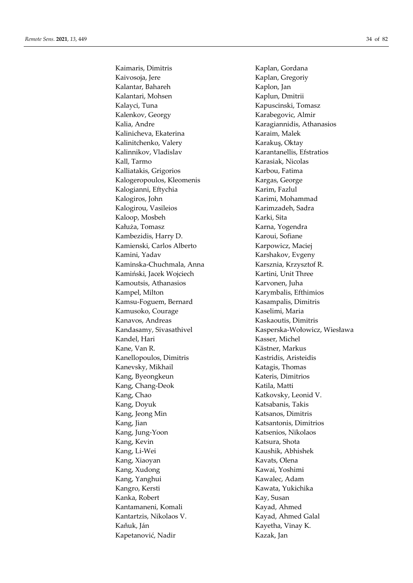Kaimaris, Dimitris **Kaplan, Gordana** Kaivosoja, Jere **Kaplan, Gregoriy** Kaplan, Gregoriy Kalantar, Bahareh Kaplon, Jan Kalantari, Mohsen Kaplun, Dmitrii Kalayci, Tuna Kapuscinski, Tomasz Kalenkov, Georgy **Karabegovic, Almir** Kalia, Andre Karagiannidis, Athanasios Kalinicheva, Ekaterina Karaim, Malek Kalinitchenko, Valery Karakuş, Oktay Kalinnikov, Vladislav Karantanellis, Efstratios Kall, Tarmo Karasiak, Nicolas Kalliatakis, Grigorios Karbou, Fatima Kalogeropoulos, Kleomenis Kargas, George Kalogianni, Eftychia Karim, Fazlul Kalogiros, John Karimi, Mohammad Kalogirou, Vasileios Karimzadeh, Sadra Kaloop, Mosbeh Karki, Sita Kałuża, Tomasz **Karna**, Yogendra Kambezidis, Harry D. Karoui, Sofiane Kamienski, Carlos Alberto Karpowicz, Maciej Kamini, Yadav Karshakov, Evgeny Kaminska-Chuchmala, Anna Karsznia, Krzysztof R. Kamiński, Jacek Wojciech Kartini, Unit Three Kamoutsis, Athanasios Karvonen, Juha Kampel, Milton Karymbalis, Efthimios Kamsu-Foguem, Bernard Kasampalis, Dimitris Kamusoko, Courage Kaselimi, Maria Kanavos, Andreas Kaskaoutis, Dimitris Kandel, Hari Kasser, Michel Kane, Van R. Kästner, Markus Kanellopoulos, Dimitris Kastridis, Aristeidis Kanevsky, Mikhail **Katagis**, Thomas Kang, Byeongkeun Kateris, Dimitrios Kang, Chang-Deok Katila, Matti Kang, Chao Katkovsky, Leonid V. Kang, Doyuk **Katsabanis**, Takis Kang, Jeong Min Katsanos, Dimitris Kang, Jian Katsantonis, Dimitrios Kang, Jung-Yoon Katsenios, Nikolaos Kang, Kevin Katsura, Shota Kang, Li-Wei Kaushik, Abhishek Kang, Xiaoyan Kavats, Olena Kang, Xudong Kawai, Yoshimi Kang, Yanghui Kawalec, Adam Kangro, Kersti Kawata, Yukichika Kanka, Robert Kay, Susan Kantamaneni, Komali Kayad, Ahmed Kantartzis, Nikolaos V. Kayad, Ahmed Galal Kaňuk, Ján Kayetha, Vinay K. Kapetanović, Nadir Kazak, Jan

Kandasamy, Sivasathivel Kasperska-Wołowicz, Wiesława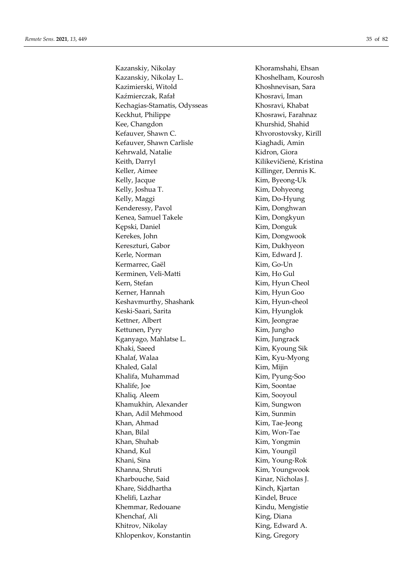Kazanskiy, Nikolay Khoramshahi, Ehsan Kazanskiy, Nikolay L. Khoshelham, Kourosh Kazimierski, Witold Khoshnevisan, Sara Kaźmierczak, Rafał Khosravi, Iman Kechagias-Stamatis, Odysseas Khosravi, Khabat Keckhut, Philippe Khosrawi, Farahnaz Kee, Changdon Khurshid, Shahid Kefauver, Shawn C. Khvorostovsky, Kirill Kefauver, Shawn Carlisle Kiaghadi, Amin Kehrwald, Natalie Kidron, Giora Keith, Darryl Kilikevičienė, Kristina Keller, Aimee Killinger, Dennis K. Kelly, Jacque Kim, Byeong-Uk Kelly, Joshua T. Kim, Dohyeong Kelly, Maggi **Kim**, Do-Hyung Kenderessy, Pavol Kim, Donghwan Kenea, Samuel Takele Kim, Dongkyun Kępski, Daniel Kim, Donguk Kerekes, John Kim, Dongwook Kereszturi, Gabor Kim, Dukhyeon Kerle, Norman Kim, Edward J. Kermarrec, Gaël Kim, Go-Un Kerminen, Veli-Matti Kim, Ho Gul Kern, Stefan Kim, Hyun Cheol Kerner, Hannah Kim, Hyun Goo Keshavmurthy, Shashank Kim, Hyun-cheol Keski-Saari, Sarita Kim, Hyunglok Kettner, Albert Kim, Jeongrae Kettunen, Pyry Kim, Jungho Kganyago, Mahlatse L. Kim, Jungrack Khaki, Saeed Kim, Kyoung Sik Khalaf, Walaa Kim, Kyu-Myong Khaled, Galal Kim, Mijin Khalifa, Muhammad Kim, Pyung-Soo Khalife, Joe Kim, Soontae Khaliq, Aleem Kim, Sooyoul Khamukhin, Alexander Kim, Sungwon Khan, Adil Mehmood Kim, Sunmin Khan, Ahmad Kim, Tae-Jeong Khan, Bilal Kim, Won-Tae Khan, Shuhab Kim, Yongmin Khand, Kul Kim, Youngil Khani, Sina Kim, Young-Rok Khanna, Shruti Kim, Youngwook Kharbouche, Said Kinar, Nicholas J. Khare, Siddhartha Kinch, Kjartan Khelifi, Lazhar Kindel, Bruce Khemmar, Redouane Kindu, Mengistie Khenchaf, Ali King, Diana Khitrov, Nikolay King, Edward A.

Khlopenkov, Konstantin King, Gregory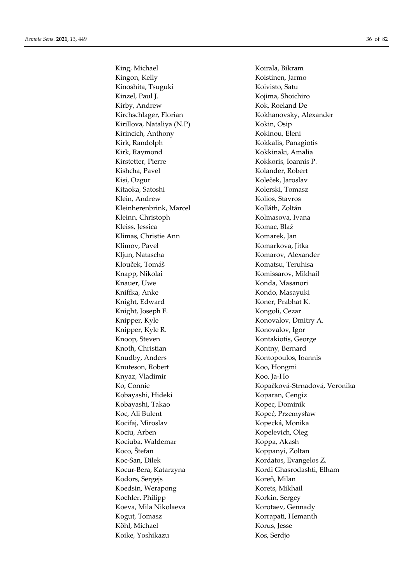King, Michael **Koirala**, Bikram Kingon, Kelly **Koistinen**, Jarmo Kinoshita, Tsuguki Koivisto, Satu Kinzel, Paul J. Kojima, Shoichiro Kirby, Andrew Kok, Roeland De Kirchschlager, Florian Kokhanovsky, Alexander Kirillova, Nataliya (N.P) Kokin, Osip Kirincich, Anthony Kokinou, Eleni Kirk, Randolph Kokkalis, Panagiotis Kirk, Raymond Kokkinaki, Amalia Kirstetter, Pierre Kokkoris, Ioannis P. Kishcha, Pavel **Kolander**, Robert Kisi, Ozgur Koleček, Jaroslav Kitaoka, Satoshi Kolerski, Tomasz Klein, Andrew Kolios, Stavros Kleinherenbrink, Marcel Kolláth, Zoltán Kleinn, Christoph Kolmasova, Ivana Kleiss, Jessica Komac, Blaž Klimas, Christie Ann Komarek, Jan Klimov, Pavel **Komarkova**, Jitka Kljun, Natascha Komarov, Alexander Klouček, Tomáš Komatsu, Teruhisa Knapp, Nikolai Komissarov, Mikhail Knauer, Uwe Konda, Masanori Kniffka, Anke Kondo, Masayuki Knight, Edward Koner, Prabhat K. Knight, Joseph F. Kongoli, Cezar Knipper, Kyle Konovalov, Dmitry A. Knipper, Kyle R. Konovalov, Igor Knoop, Steven Kontakiotis, George Knoth, Christian Kontny, Bernard Knudby, Anders Kontopoulos, Ioannis Knuteson, Robert Koo, Hongmi Knyaz, Vladimir Koo, Ja-Ho Kobayashi, Hideki Koparan, Cengiz Kobayashi, Takao Kopec, Dominik Koc, Ali Bulent Kopeć, Przemysław Kocifaj, Miroslav Kopecká, Monika Kociu, Arben Kopelevich, Oleg Kociuba, Waldemar Koppa, Akash Koco, Štefan Koppanyi, Zoltan Koc-San, Dilek Kordatos, Evangelos Z. Kodors, Sergejs Koreň, Milan Koedsin, Werapong Korets, Mikhail Koehler, Philipp Korkin, Sergey Koeva, Mila Nikolaeva<br>
Korotaev, Gennady Kogut, Tomasz Korrapati, Hemanth Köhl, Michael Korus, Jesse Koike, Yoshikazu Kos, Serdjo

Ko, Connie Kopačková-Strnadová, Veronika Kocur-Bera, Katarzyna Kordi Ghasrodashti, Elham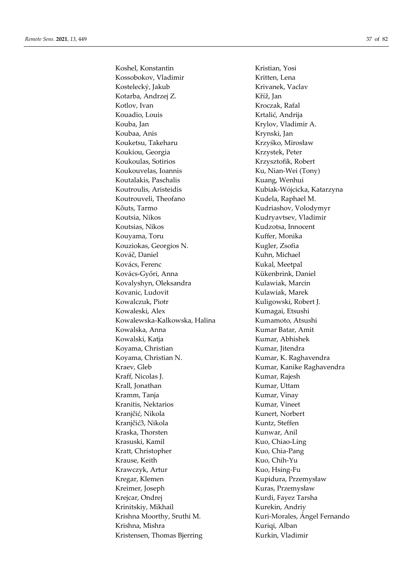Koshel, Konstantin Kristian, Yosi Kossobokov, Vladimir Kritten, Lena Kostelecký, Jakub Krivanek, Vaclav Kotarba, Andrzej Z. Kříž, Jan Kotlov, Ivan Kroczak, Rafal Kouadio, Louis Krtalić, Andrija Kouba, Jan Krylov, Vladimir A. Koubaa, Anis Krynski, Jan Kouketsu, Takeharu Krzyśko, Mirosław Koukiou, Georgia Krzystek, Peter Koukoulas, Sotirios Krzysztofik, Robert Koukouvelas, Ioannis Ku, Nian-Wei (Tony) Koutalakis, Paschalis Kuang, Wenhui Koutroulis, Aristeidis Kubiak-Wójcicka, Katarzyna Koutrouveli, Theofano Kudela, Raphael M. Kõuts, Tarmo Kudriashov, Volodymyr Koutsia, Nikos Kudryavtsev, Vladimir Koutsias, Nikos Kudzotsa, Innocent Kouyama, Toru **Kuffer**, Monika Kouziokas, Georgios N. Kugler, Zsofia Kováč, Daniel Kuhn, Michael Kovács, Ferenc Kukal, Meetpal Kovács-Győri, Anna Kükenbrink, Daniel Kovalyshyn, Oleksandra Kulawiak, Marcin Kovanic, Ludovit Kulawiak, Marek Kowalczuk, Piotr Kuligowski, Robert J. Kowaleski, Alex Kumagai, Etsushi Kowalewska-Kalkowska, Halina Kumamoto, Atsushi Kowalska, Anna **Kumar Batar**, Amit Kowalski, Katja **Kumar, Abhishek** Koyama, Christian Kumar, Jitendra Koyama, Christian N. Kumar, K. Raghavendra Kraev, Gleb Kumar, Kanike Raghavendra Kraff, Nicolas J. Kumar, Rajesh Krall, Jonathan Kumar, Uttam Kramm, Tanja **Kramm, Tanja Kumar, Kramm**, Tanja Kranitis, Nektarios Kumar, Vineet Kranjčić, Nikola Kunert, Norbert Kranjčić3, Nikola Kuntz, Steffen Kraska, Thorsten Kunwar, Anil Krasuski, Kamil Kuo, Chiao-Ling Kratt, Christopher Kuo, Chia-Pang Krause, Keith **Kuo**, Chih-Yu Krawczyk, Artur Kuo, Hsing-Fu Kregar, Klemen Kupidura, Przemysław Kreimer, Joseph Kuras, Przemysław Krejcar, Ondrej Kurdi, Fayez Tarsha Krinitskiy, Mikhail Kurekin, Andriy Krishna Moorthy, Sruthi M. Kuri-Morales, Ángel Fernando Krishna, Mishra **Kuriqi**, Alban Kristensen, Thomas Bjerring Kurkin, Vladimir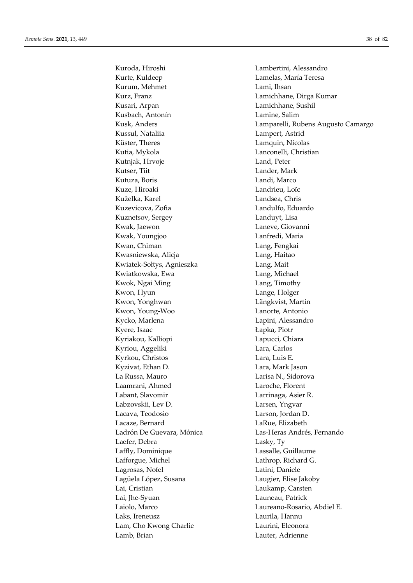Kurte, Kuldeep **Lamelas**, María Teresa Kurum, Mehmet Lami, Ihsan Kurz, Franz **Lamichhane**, Dirga Kumar Kusari, Arpan Lamichhane, Sushil Kusbach, Antonín Lamine, Salim Kussul, Nataliia Lampert, Astrid Küster, Theres Lamquin, Nicolas Kutia, Mykola Lanconelli, Christian Kutnjak, Hrvoje **Land, Peter** Kutser, Tiit Lander, Mark Kutuza, Boris **Landi**, Marco Kuze, Hiroaki Landrieu, Loïc Kuželka, Karel **Landsea**, Chris Kuzevicova, Zofia **Landulfo**, Eduardo Kuznetsov, Sergey Landuyt, Lisa Kwak, Jaewon **Laneve**, Giovanni Kwak, Youngjoo Lanfredi, Maria Kwan, Chiman **Lang**, Fengkai Kwasniewska, Alicja **Lang, Haitao** Kwiatek-Sołtys, Agnieszka Lang, Mait Kwiatkowska, Ewa **Lang**, Michael Kwok, Ngai Ming **Lang**, Timothy Kwon, Hyun Lange, Holger Kwon, Yonghwan Längkvist, Martin Kwon, Young-Woo Lanorte, Antonio Kycko, Marlena **Lapini**, Alessandro Kyere, Isaac Lapka, Piotr Kyriakou, Kalliopi **Lapucci**, Chiara Kyriou, Aggeliki Lara, Carlos Kyrkou, Christos Lara, Luis E. Kyzivat, Ethan D. Lara, Mark Jason La Russa, Mauro Larisa N., Sidorova Laamrani, Ahmed Laroche, Florent Labant, Slavomir Larrinaga, Asier R. Labzovskii, Lev D. Larsen, Yngvar Lacava, Teodosio Larson, Jordan D. Lacaze, Bernard LaRue, Elizabeth Ladrón De Guevara, Mónica Las-Heras Andrés, Fernando Laefer, Debra Lasky, Ty Laffly, Dominique Lassalle, Guillaume Lafforgue, Michel Lathrop, Richard G. Lagrosas, Nofel Latini, Daniele Lagüela López, Susana Laugier, Elise Jakoby Lai, Cristian Laukamp, Carsten Lai, Jhe-Syuan Launeau, Patrick Laiolo, Marco Laureano-Rosario, Abdiel E. Laks, Ireneusz Laurila, Hannu Lam, Cho Kwong Charlie Laurini, Eleonora Lamb, Brian Lauter, Adrienne

Kuroda, Hiroshi Lambertini, Alessandro Kusk, Anders Lamparelli, Rubens Augusto Camargo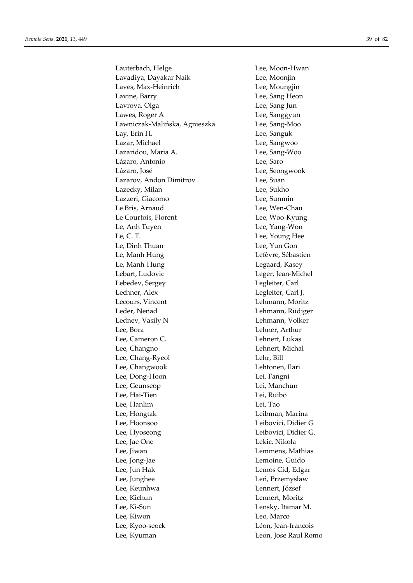Lauterbach, Helge Lee, Moon-Hwan Lavadiya, Dayakar Naik **Lee**, Moonjin Laves, Max-Heinrich Lee, Moungjin Lavine, Barry **Lee**, Sang Heon Lavrova, Olga **Lee**, Sang Jun Lawes, Roger A and Lee, Sanggyun Lawniczak-Malińska, Agnieszka Lee, Sang-Moo Lay, Erin H. Lee, Sanguk Lazar, Michael **Lee**, Sangwoo Lazaridou, Maria A. **Lazaridou**, Maria A. **Lee**, Sang-Woo Lázaro, Antonio Lee, Saro Lázaro, José **Lee, Seongwook** Lazarov, Andon Dimitrov Lee, Suan Lazecky, Milan Lee, Sukho Lazzeri, Giacomo Lee, Sunmin Le Bris, Arnaud Lee, Wen-Chau Le Courtois, Florent Lee, Woo-Kyung Le, Anh Tuyen Lee, Yang-Won Le, C. T. Lee, Young Hee Lee, Dinh Thuan Lee, Yun Gon Le, Manh Hung Lefèvre, Sébastien Le, Manh-Hung Legaard, Kasey Lebart, Ludovic **Leger**, Jean-Michel Lebedev, Sergey Legleiter, Carl Lechner, Alex Legleiter, Carl J. Lecours, Vincent Lehmann, Moritz Leder, Nenad Lehmann, Rüdiger Lednev, Vasily N Lehmann, Volker Lee, Bora Lehner, Arthur Lee, Cameron C. **Lehnert**, Lukas Lee, Changno Lehnert, Michal Lee, Chang-Ryeol Lehr, Bill Lee, Changwook Lehtonen, Ilari Lee, Dong-Hoon Lei, Fangni Lee, Geunseop Lei, Manchun Lee, Hai-Tien Lei, Ruibo Lee, Hanlim Lei, Tao Lee, Hongtak Leibman, Marina Lee, Hoonsoo Leibovici, Didier G Lee, Hyoseong Leibovici, Didier G. Lee, Jae One Lekic, Nikola Lee, Jiwan Lemmens, Mathias Lee, Jong-Jae Lemoine, Guido Lee, Jun Hak Lemos Cid, Edgar Lee, Junghee Leń, Przemysław Lee, Keunhwa Lennert, József Lee, Kichun Lennert, Moritz Lee, Ki-Sun Lensky, Itamar M. Lee, Kiwon Leo, Marco Lee, Kyoo-seock Léon, Jean-francois Lee, Kyuman Leon, Jose Raul Romo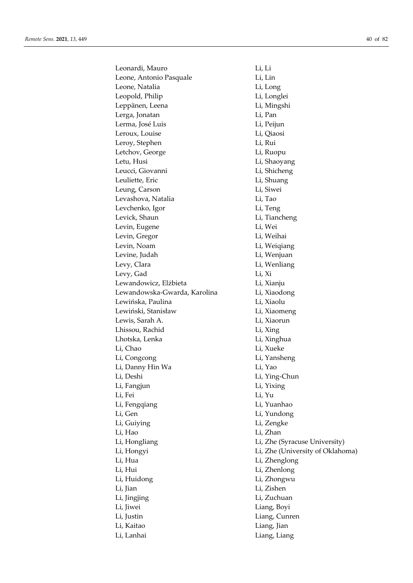| Leonardi, Mauro              | Li, Li                           |
|------------------------------|----------------------------------|
| Leone, Antonio Pasquale      | Li, Lin                          |
| Leone, Natalia               | Li, Long                         |
| Leopold, Philip              | Li, Longlei                      |
| Leppänen, Leena              | Li, Mingshi                      |
| Lerga, Jonatan               | Li, Pan                          |
| Lerma, José Luis             | Li, Peijun                       |
| Leroux, Louise               | Li, Qiaosi                       |
| Leroy, Stephen               | Li, Rui                          |
| Letchov, George              | Li, Ruopu                        |
| Letu, Husi                   | Li, Shaoyang                     |
| Leucci, Giovanni             | Li, Shicheng                     |
| Leuliette, Eric              | Li, Shuang                       |
| Leung, Carson                | Li, Siwei                        |
| Levashova, Natalia           | Li, Tao                          |
| Levchenko, Igor              | Li, Teng                         |
| Levick, Shaun                | Li, Tiancheng                    |
| Levin, Eugene                | Li, Wei                          |
| Levin, Gregor                | Li, Weihai                       |
| Levin, Noam                  | Li, Weiqiang                     |
| Levine, Judah                | Li, Wenjuan                      |
| Levy, Clara                  | Li, Wenliang                     |
| Levy, Gad                    | Li, Xi                           |
| Lewandowicz, Elżbieta        | Li, Xianju                       |
| Lewandowska-Gwarda, Karolina | Li, Xiaodong                     |
| Lewińska, Paulina            | Li, Xiaolu                       |
| Lewiński, Stanisław          | Li, Xiaomeng                     |
| Lewis, Sarah A.              | Li, Xiaorun                      |
| Lhissou, Rachid              | Li, Xing                         |
| Lhotska, Lenka               | Li, Xinghua                      |
| Li, Chao                     | Li, Xueke                        |
| Li, Congcong                 | Li, Yansheng                     |
| Li, Danny Hin Wa             | Li, Yao                          |
| Li, Deshi                    | Li, Ying-Chun                    |
| Li, Fangjun                  | Li, Yixing                       |
| Li, Fei                      | Li, Yu                           |
| Li, Fengqiang                | Li, Yuanhao                      |
| Li, Gen                      | Li, Yundong                      |
| Li, Guiying                  | Li, Zengke                       |
| Li, Hao                      | Li, Zhan                         |
| Li, Hongliang                | Li, Zhe (Syracuse University)    |
| Li, Hongyi                   | Li, Zhe (University of Oklahoma) |
| Li, Hua                      | Li, Zhenglong                    |
| Li, Hui                      | Li, Zhenlong                     |
| Li, Huidong                  | Li, Zhongwu                      |
| Li, Jian                     | Li, Zishen                       |
| Li, Jingjing                 | Li, Zuchuan                      |
| Li, Jiwei                    | Liang, Boyi                      |
| Li, Justin                   | Liang, Cunren                    |
| Li, Kaitao                   | Liang, Jian                      |
| Li, Lanhai                   | Liang, Liang                     |
|                              |                                  |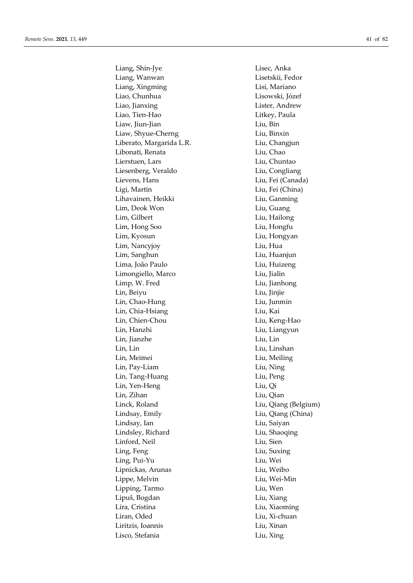Liang, Shin-Jye Lisec, Anka Liang, Wanwan Lisetskii, Fedor Liang, Xingming Lisi, Mariano Liao, Chunhua Lisowski, Józef Liao, Jianxing Lister, Andrew Liao, Tien-Hao **Litkey**, Paula Liaw, Jiun-Jian Liu, Bin Liaw, Shyue-Cherng Liu, Binxin Liberato, Margarida L.R. Liu, Changjun Libonati, Renata Liu, Chao Lierstuen, Lars Liu, Chuntao Liesenberg, Veraldo Liu, Congliang Lievens, Hans Liu, Fei (Canada) Ligi, Martin Liu, Fei (China) Lihavainen, Heikki Kanning Liu, Ganming Lim, Deok Won Liu, Guang Lim, Gilbert Liu, Hailong Lim, Hong Soo Liu, Hongfu Lim, Kyosun Liu, Hongyan Lim, Nancyjoy Liu, Hua Lim, Sanghun Liu, Huanjun Lima, João Paulo Liu, Huizeng Limongiello, Marco Liu, Jialin Limp, W. Fred Liu, Jianhong Lin, Beiyu Liu, Jinjie Lin, Chao-Hung Liu, Junmin Lin, Chia-Hsiang Liu, Kai Lin, Chien-Chou Liu, Keng-Hao Lin, Hanzhi Liu, Liangyun Lin, Jianzhe Liu, Lin Lin, Lin Liu, Linshan Lin, Meimei Liu, Meiling Lin, Pay-Liam Liu, Ning Lin, Tang-Huang Liu, Peng Lin, Yen-Heng Liu, Qi Lin, Zihan Liu, Qian Linck, Roland Liu, Qiang (Belgium) Lindsay, Emily Liu, Qiang (China) Lindsay, Ian Liu, Saiyan Lindsley, Richard Liu, Shaoqing Linford, Neil Liu, Sien Ling, Feng Liu, Suxing Ling, Pui-Yu Liu, Wei Lipnickas, Arunas Liu, Weibo Lippe, Melvin Liu, Wei-Min Lipping, Tarmo Liu, Wen Lipuš, Bogdan Liu, Xiang Lira, Cristina Liu, Xiaoming Liran, Oded Liu, Xi-chuan Liritzis, Ioannis Liu, Xinan Lisco, Stefania Liu, Xing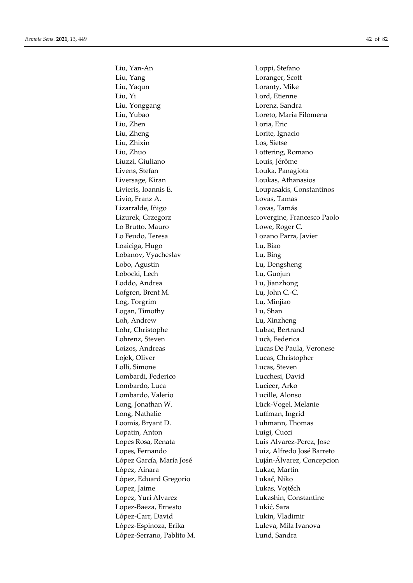Liu, Yan-An Loppi, Stefano Liu, Yang Loranger, Scott Liu, Yaqun Loranty, Mike Liu, Yi Lord, Etienne Liu, Yonggang Lorenz, Sandra Liu, Yubao Loreto, Maria Filomena Liu, Zhen Loria, Eric Liu, Zheng Lorite, Ignacio Liu, Zhixin Los, Sietse Liu, Zhuo Lottering, Romano Liuzzi, Giuliano Louis, Jérôme Livens, Stefan Louka, Panagiota Liversage, Kiran Loukas, Athanasios Livieris, Ioannis E. Loupasakis, Constantinos Livio, Franz A. Lovas, Tamas Lizarralde, Iñigo Lovas, Tamás Lo Brutto, Mauro **Lowe**, Roger C. Lo Feudo, Teresa Lozano Parra, Javier Loaiciga, Hugo Lu, Biao Lobanov, Vyacheslav Lu, Bing Lobo, Agustin Lu, Dengsheng Łobocki, Lech Lu, Guojun Loddo, Andrea Lu, Jianzhong Lofgren, Brent M. Lu, John C.-C. Log, Torgrim Lu, Minjiao Logan, Timothy Lu, Shan Loh, Andrew Lu, Xinzheng Lohr, Christophe Lubac, Bertrand Lohrenz, Steven Lucà, Federica Loizos, Andreas Lucas De Paula, Veronese Lojek, Oliver Lucas, Christopher Lolli, Simone Lucas, Steven Lombardi, Federico Lucchesi, David Lombardo, Luca Lucieer, Arko Lombardo, Valerio Lucille, Alonso Long, Jonathan W. Lück-Vogel, Melanie Long, Nathalie Luffman, Ingrid Loomis, Bryant D. Luhmann, Thomas Lopatin, Anton Luigi, Cucci Lopes Rosa, Renata Luis Alvarez-Perez, Jose Lopes, Fernando Luiz, Alfredo José Barreto López, Ainara Lukac, Martin López, Eduard Gregorio Lukač, Niko Lopez, Jaime Lukas, Vojtěch Lopez, Yuri Alvarez Lukashin, Constantine Lopez-Baeza, Ernesto Lukić, Sara López-Carr, David Lukin, Vladimir López-Espinoza, Erika Luleva, Mila Ivanova López-Serrano, Pablito M. Lund, Sandra

Lizurek, Grzegorz Lovergine, Francesco Paolo López García, María José Luján-Álvarez, Concepcion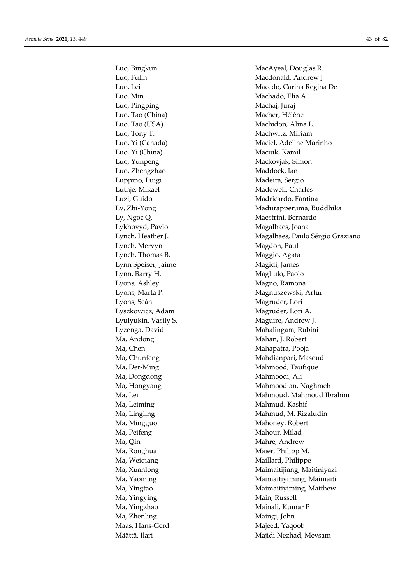Luo, Bingkun MacAyeal, Douglas R. Luo, Min Machado, Elia A. Luo, Pingping **Machai**, Juraj Luo, Tao (China) Macher, Hélène Luo, Tao (USA) Machidon, Alina L. Luo, Tony T. Machwitz, Miriam Luo, Yi (China) Maciuk, Kamil Luo, Yunpeng Mackovjak, Simon Luo, Zhengzhao Maddock, Ian Luppino, Luigi **Madeira**, Sergio Luthje, Mikael Madewell, Charles Lykhovyd, Pavlo Magalhaes, Joana Lynch, Mervyn Magdon, Paul Lynch, Thomas B. Maggio, Agata Lynn Speiser, Jaime Magidi, James Lynn, Barry H. Magliulo, Paolo Lyons, Ashley Magno, Ramona Lyons, Seán Magruder, Lori Lyszkowicz, Adam Magruder, Lori A. Ma, Andong Mahan, J. Robert Ma, Chen Mahapatra, Pooja Ma, Dongdong Mahmoodi, Ali Ma, Leiming Mahmud, Kashif Ma, Mingguo **Mahoney**, Robert Ma, Peifeng Mahour, Milad Ma, Qin Mahre, Andrew Ma, Ronghua Maier, Philipp M. Ma, Weigiang Maillard, Philippe Ma, Yingying Main, Russell Ma, Yingzhao Mainali, Kumar P Ma, Zhenling Maingi, John Maas, Hans-Gerd Majeed, Yaqoob

Luo, Fulin Macdonald, Andrew J Luo, Lei Macedo, Carina Regina De Luo, Yi (Canada) Maciel, Adeline Marinho Luzi, Guido **Madricardo**, Fantina Lv, Zhi-Yong Madurapperuma, Buddhika Ly, Ngoc Q. Maestrini, Bernardo Lynch, Heather J. **Magalhães**, Paulo Sérgio Graziano Lyons, Marta P. Magnuszewski, Artur Lyulyukin, Vasily S. Maguire, Andrew J. Lyzenga, David Mahalingam, Rubini Ma, Chunfeng **Manufers** Mahdianpari, Masoud Ma, Der-Ming Mahmood, Taufique Ma, Hongyang **Mahmoodian**, Naghmeh Ma, Lei Mahmoud, Mahmoud Ibrahim Ma, Lingling Mahmud, M. Rizaludin Ma, Xuanlong Maimaitijiang, Maitiniyazi Ma, Yaoming Maimaitiyiming, Maimaiti Ma, Yingtao **Maimaitiyiming, Matthew** Määttä, Ilari Majidi Nezhad, Meysam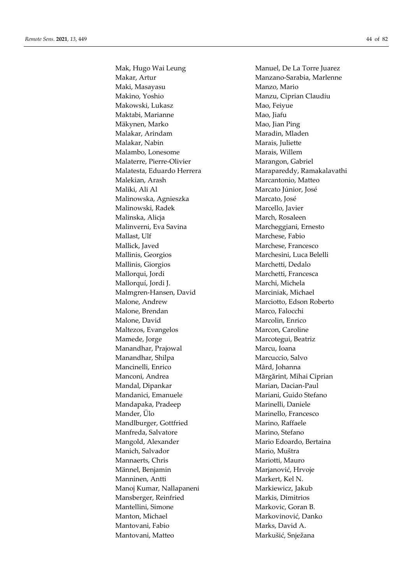Makar, Artur Manzano-Sarabia, Marlenne Maki, Masayasu **Manzo**, Manzo, Mario Makino, Yoshio Manzu, Ciprian Claudiu Makowski, Lukasz Mao, Feiyue Maktabi, Marianne Mao, Jiafu Mäkynen, Marko Mao, Jian Ping Malakar, Arindam Maradin, Mladen Malakar, Nabin Marais, Juliette Malambo, Lonesome Marais, Willem Malaterre, Pierre-Olivier Marangon, Gabriel Malatesta, Eduardo Herrera Marapareddy, Ramakalavathi Malekian, Arash Marcantonio, Matteo Maliki, Ali Al Marcato Júnior, José Malinowska, Agnieszka Marcato, José Malinowski, Radek Marcello, Javier Malinska, Alicja March, Rosaleen Malinverni, Eva Savina Marcheggiani, Ernesto Mallast, Ulf Marchese, Fabio Mallick, Javed Marchese, Francesco Mallinis, Georgios Marchesini, Luca Belelli Mallinis, Giorgios Marchetti, Dedalo Mallorqui, Jordi Marchetti, Francesca Mallorquí, Jordi J. Marchi, Michela Malmgren-Hansen, David Marciniak, Michael Malone, Andrew Marciotto, Edson Roberto Malone, Brendan Marco, Falocchi Malone, David Marcolin, Enrico Maltezos, Evangelos Marcon, Caroline Mamede, Jorge Marcotegui, Beatriz Manandhar, Prajowal Marcu, Ioana Manandhar, Shilpa Marcuccio, Salvo Mancinelli, Enrico Mård, Johanna Manconi, Andrea Mărgărint, Mihai Ciprian Mandal, Dipankar Marian, Dacian-Paul Mandanici, Emanuele Mariani, Guido Stefano Mandapaka, Pradeep Marinelli, Daniele Mander, Ülo Marinello, Francesco Mandlburger, Gottfried Marino, Raffaele Manfreda, Salvatore Marino, Stefano Mangold, Alexander Mario Edoardo, Bertaina Manich, Salvador Mario, Muštra Mannaerts, Chris Mariotti, Mauro Männel, Benjamin Marjanović, Hrvoje Manninen, Antti Markert, Kel N. Manoj Kumar, Nallapaneni Markiewicz, Jakub Mansberger, Reinfried Markis, Dimitrios Mantellini, Simone Markovic, Goran B. Manton, Michael **Markovinović**, Danko Mantovani, Fabio Marks, David A. Mantovani, Matteo Markušić, Snježana

Mak, Hugo Wai Leung Manuel, De La Torre Juarez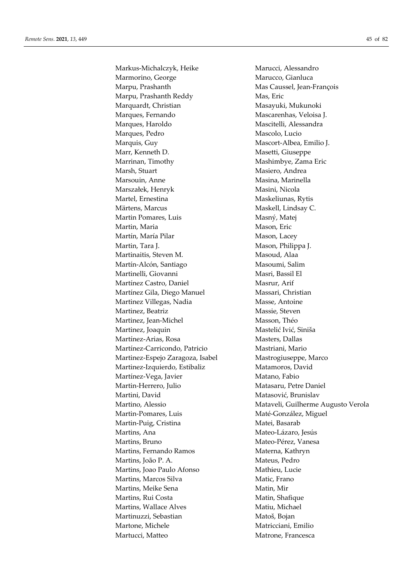Markus-Michalczyk, Heike Marucci, Alessandro Marmorino, George Marucco, Gianluca Marpu, Prashanth Mas Caussel, Jean-François Marpu, Prashanth Reddy Mas, Eric Marquardt, Christian Masayuki, Mukunoki Marques, Fernando Mascarenhas, Veloisa J. Marques, Haroldo Mascitelli, Alessandra Marques, Pedro **Mascolo**, Lucio Marquis, Guy Mascort-Albea, Emilio J. Marr, Kenneth D. Masetti, Giuseppe Marrinan, Timothy Mashimbye, Zama Eric Marsh, Stuart Masiero, Andrea Marsouin, Anne Masina, Marinella Marszałek, Henryk Masini, Nicola Martel, Ernestina Maskeliunas, Rytis Märtens, Marcus Maskell, Lindsay C. Martin Pomares, Luis Masný, Matej Martin, Maria Mason, Eric Martín, María Pilar **Mason**, Lacey Martin, Tara J. Mason, Philippa J. Martinaitis, Steven M. Masoud, Alaa Martín-Alcón, Santiago Masoumi, Salim Martinelli, Giovanni Masri, Bassil El Martínez Castro, Daniel Masrur, Arif Martínez Gila, Diego Manuel Massari, Christian Martinez Villegas, Nadia Masse, Antoine Martinez, Beatriz Massie, Steven Martinez, Jean-Michel Masson, Théo Martinez, Joaquin Mastelić Ivić, Siniša Martínez-Arias, Rosa Masters, Dallas Martínez-Carricondo, Patricio Mastriani, Mario Martinez-Espejo Zaragoza, Isabel Mastrogiuseppe, Marco Martinez-Izquierdo, Estibaliz Matamoros, David Martínez-Vega, Javier Matano, Fabio Martin-Herrero, Julio Matasaru, Petre Daniel Martini, David Matasović, Brunislav Martin-Pomares, Luis Maté-González, Miguel Martin-Puig, Cristina Matei, Basarab Martins, Ana Mateo-Lázaro, Jesús Martins, Bruno Mateo-Pérez, Vanesa Martins, Fernando Ramos<br>
Materna, Kathryn Martins, João P. A. Mateus, Pedro Martins, Joao Paulo Afonso **Mathieu**, Lucie Martins, Marcos Silva Matic, Frano Martins, Meike Sena **Marting Mation**, Mir Martins, Rui Costa Matin, Shafique Martins, Wallace Alves Matiu, Michael Martinuzzi, Sebastian Matoš, Bojan Martone, Michele Matricciani, Emilio Martucci, Matteo **Matrone**, Francesca

Martino, Alessio **Mataveli, Guilherme Augusto Verola**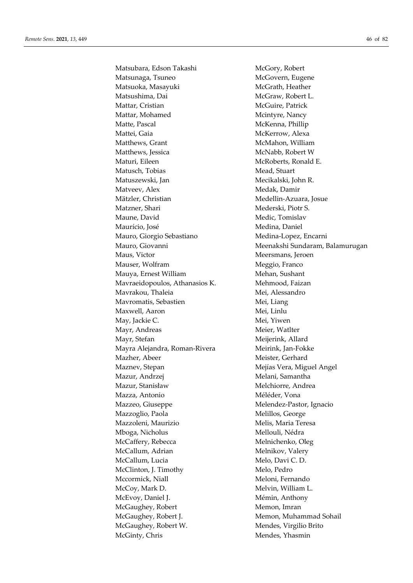Matsubara, Edson Takashi McGory, Robert Matsunaga, Tsuneo McGovern, Eugene Matsuoka, Masayuki McGrath, Heather Matsushima, Dai McGraw, Robert L. Mattar, Cristian McGuire, Patrick Mattar, Mohamed Mcintyre, Nancy Matte, Pascal McKenna, Phillip Mattei, Gaia **McKerrow**, Alexa Matthews, Grant McMahon, William Matthews, Jessica McNabb, Robert W Maturi, Eileen McRoberts, Ronald E. Matusch, Tobias Mead, Stuart Matuszewski, Jan Mecikalski, John R. Matveev, Alex Medak, Damir Mätzler, Christian Medellin-Azuara, Josue Matzner, Shari Mederski, Piotr S. Maune, David Medic, Tomislav Maurício, José Medina, Daniel Mauro, Giorgio Sebastiano Medina-Lopez, Encarni Maus, Victor Meersmans, Jeroen Mauser, Wolfram Meggio, Franco Mauya, Ernest William Mehan, Sushant Mavraeidopoulos, Athanasios K. Mehmood, Faizan Mavrakou, Thaleia Mei, Alessandro Mavromatis, Sebastien Mei, Liang Maxwell, Aaron Mei, Linlu May, Jackie C. Mei, Yiwen Mayr, Andreas Meier, Watlter Mayr, Stefan Meijerink, Allard Mayra Alejandra, Roman-Rivera Meirink, Jan-Fokke Mazher, Abeer Meister, Gerhard Maznev, Stepan Mejías Vera, Miguel Angel Mazur, Andrzej Melani, Samantha Mazur, Stanisław Melchiorre, Andrea Mazza, Antonio Méléder, Vona Mazzeo, Giuseppe Melendez-Pastor, Ignacio Mazzoglio, Paola Melillos, George Mazzoleni, Maurizio Melis, Maria Teresa Mboga, Nicholus Mellouli, Nédra McCaffery, Rebecca Melnichenko, Oleg McCallum, Adrian Melnikov, Valery McCallum, Lucia Melo, Davi C. D. McClinton, J. Timothy Melo, Pedro Mccormick, Niall Meloni, Fernando McCoy, Mark D. Melvin, William L. McEvoy, Daniel J. Mémin, Anthony McGaughey, Robert Memon, Imran McGaughey, Robert J. Memon, Muhammad Sohail McGaughey, Robert W. Mendes, Virgilio Brito McGinty, Chris Mendes, Yhasmin

Mauro, Giovanni **Meenakshi Sundaram, Balamurugan**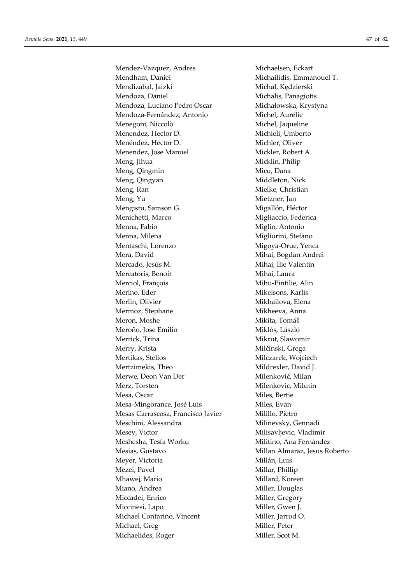Mendez-Vazquez, Andres Michaelsen, Eckart Mendham, Daniel Michailidis, Emmanouel T. Mendizabal, Jaizki Michał, Kędzierski Mendoza, Daniel Michalis, Panagiotis Mendoza, Luciano Pedro Oscar Michałowska, Krystyna Mendoza-Fernández, Antonio Michel, Aurélie Menegoni, Niccolò Michel, Jaqueline Menendez, Hector D. Michieli, Umberto Menéndez, Héctor D. Michler, Oliver Menendez, Jose Manuel Mickler, Robert A. Meng, Jihua Micklin, Philip Meng, Qingmin Micu, Dana Meng, Qingyan Middleton, Nick Meng, Ran Mielke, Christian Meng, Yu Mietzner, Jan Mengistu, Samson G. Migallón, Héctor Menichetti, Marco Migliaccio, Federica Menna, Fabio **Miglio**, Antonio Menna, Milena **Migliorini**, Stefano Mentaschi, Lorenzo Migoya-Orue, Yenca Mera, David **Mihai**, Bogdan Andrei Mercado, Jesús M. Mihai, Ilie Valentin Mercatoris, Benoit Mihai, Laura Merciol, François Mihu-Pintilie, Alin Merino, Eder Mikelsons, Karlis Merlin, Olivier Mikhailova, Elena Mermoz, Stephane Mikheeva, Anna Meron, Moshe Mikita, Tomáš Meroño, Jose Emilio Miklós, László Merrick, Trina Mikrut, Slawomir Merry, Krista Milčinski, Grega Mertikas, Stelios Milczarek, Wojciech Mertzimekis, Theo Mildrexler, David J. Merwe, Deon Van Der Milenković, Milan Merz, Torsten Milenkovic, Milutin Mesa, Oscar Miles, Bertie Mesa-Mingorance, José Luis Miles, Evan Mesas Carrascosa, Francisco Javier Milillo, Pietro Meschini, Alessandra Milinevsky, Gennadi Mesev, Victor Milisavljevic, Vladimir Meshesha, Tesfa Worku Militino, Ana Fernández Mesias, Gustavo Millan Almaraz, Jesus Roberto Meyer, Victoria **Millán, Luis** Mezei, Pavel Millar, Phillip Mhawej, Mario Millard, Koreen Miano, Andrea Miller, Douglas Miccadei, Enrico Miller, Gregory Miccinesi, Lapo Miller, Gwen J. Michael Contarino, Vincent Miller, Jarrod O. Michael, Greg Miller, Peter Michaelides, Roger Miller, Scot M.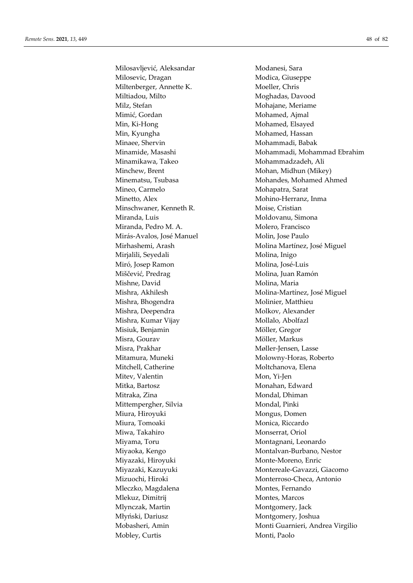Milosavljević, Aleksandar Modanesi, Sara Milosevic, Dragan Modica, Giuseppe Miltenberger, Annette K. Moeller, Chris Miltiadou, Milto Moghadas, Davood Milz, Stefan Mohajane, Meriame Mimić, Gordan Mohamed, Ajmal Min, Ki-Hong Mohamed, Elsayed Min, Kyungha Mohamed, Hassan Minaee, Shervin Mohammadi, Babak Minamikawa, Takeo Mohammadzadeh, Ali Minchew, Brent Mohan, Midhun (Mikey) Mineo, Carmelo Mohapatra, Sarat Minetto, Alex Mohino-Herranz, Inma Minschwaner, Kenneth R. Moise, Cristian Miranda, Luis Moldovanu, Simona Miranda, Pedro M. A. Molero, Francisco Mirás-Avalos, José Manuel Molin, Jose Paulo Mirjalili, Seyedali Molina, Inigo Miró, Josep Ramon Molina, José-Luis Miščević, Predrag Molina, Juan Ramón Mishne, David Molina, Maria Mishra, Bhogendra Molinier, Matthieu Mishra, Deependra Molkov, Alexander Mishra, Kumar Vijay Mollalo, Abolfazl Misiuk, Benjamin Möller, Gregor Misra, Gourav Möller, Markus Misra, Prakhar Møller-Jensen, Lasse Mitamura, Muneki Molowny-Horas, Roberto Mitchell, Catherine Moltchanova, Elena Mitev, Valentin Mon, Yi-Jen Mitka, Bartosz **Monahan, Edward** Mitraka, Zina **Mondal**, Dhiman Mittempergher, Silvia Mondal, Pinki Miura, Hiroyuki Mongus, Domen Miura, Tomoaki Monica, Riccardo Miwa, Takahiro Monserrat, Oriol Miyama, Toru **Montagnani**, Leonardo Miyazaki, Hiroyuki Monte-Moreno, Enric Mleczko, Magdalena Montes, Fernando Mlekuz, Dimitrij Montes, Marcos Mlynczak, Martin Montgomery, Jack Młyński, Dariusz Montgomery, Joshua Mobley, Curtis Monti, Paolo

Minamide, Masashi Mohammadi, Mohammad Ebrahim Minematsu, Tsubasa Mohandes, Mohamed Ahmed Mirhashemi, Arash Molina Martínez, José Miguel Mishra, Akhilesh Molina-Martínez, José Miguel Miyaoka, Kengo Montalvan-Burbano, Nestor Miyazaki, Kazuyuki Montereale-Gavazzi, Giacomo Mizuochi, Hiroki Monterroso-Checa, Antonio Mobasheri, Amin Monti Guarnieri, Andrea Virgilio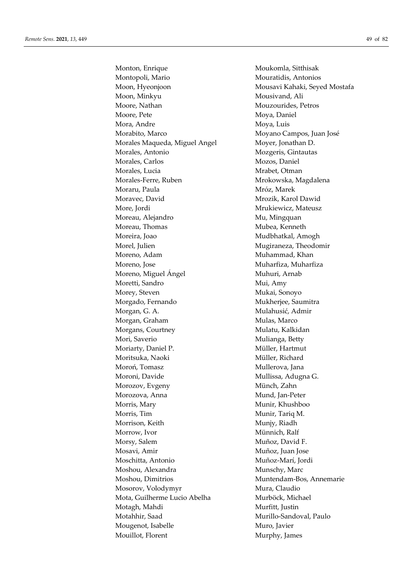Monton, Enrique Moukomla, Sitthisak Montopoli, Mario Mouratidis, Antonios Moon, Hyeonjoon Mousavi Kahaki, Seyed Mostafa Moon, Minkyu Mousivand, Ali Moore, Nathan Mouzourides, Petros Moore, Pete Moya, Daniel Mora, Andre Moya, Luis Morabito, Marco Moyano Campos, Juan José Morales Maqueda, Miguel Angel Moyer, Jonathan D. Morales, Antonio Mozgeris, Gintautas Morales, Carlos Mozos, Daniel Morales, Lucia **Michael Mrabet**, Otman Morales-Ferre, Ruben Mrokowska, Magdalena Moraru, Paula Mróz, Marek Moravec, David Mrozik, Karol Dawid More, Jordi Mrukiewicz, Mateusz Moreau, Alejandro Mu, Mu, Mingquan Moreau, Thomas Mubea, Kenneth Moreira, Joao **Mudbhatkal, Amogh** Morel, Julien Mugiraneza, Theodomir Moreno, Adam Muhammad, Khan Moreno, Jose Muharfiza, Muharfiza Moreno, Miguel Ángel **Muhuri**, Arnab Moretti, Sandro Mui, Amy Morey, Steven Mukai, Sonoyo Morgado, Fernando Mukherjee, Saumitra Morgan, G. A. Mulahusić, Admir Morgan, Graham Mulas, Marco Morgans, Courtney Mulatu, Kalkidan Mori, Saverio Mulianga, Betty Moriarty, Daniel P. Müller, Hartmut Moritsuka, Naoki Müller, Richard Moroń, Tomasz Mullerova, Jana Moroni, Davide Mullissa, Adugna G. Morozov, Evgeny Münch, Zahn Morozova, Anna Mund, Jan-Peter Morris, Mary Munir, Khushboo Morris, Tim Munir, Tariq M. Morrison, Keith Munjy, Riadh Morrow, Ivor **Münnich**, Ralf Morsy, Salem Muñoz, David F. Mosavi, Amir Muñoz, Juan Jose Moschitta, Antonio Muñoz-Marí, Jordi Moshou, Alexandra Munschy, Marc Moshou, Dimitrios Muntendam-Bos, Annemarie Mosorov, Volodymyr Mura, Claudio Mota, Guilherme Lucio Abelha Murböck, Michael Motagh, Mahdi Murfitt, Justin Motahhir, Saad Murillo-Sandoval, Paulo Mougenot, Isabelle Muro, Javier Mouillot, Florent Murphy, James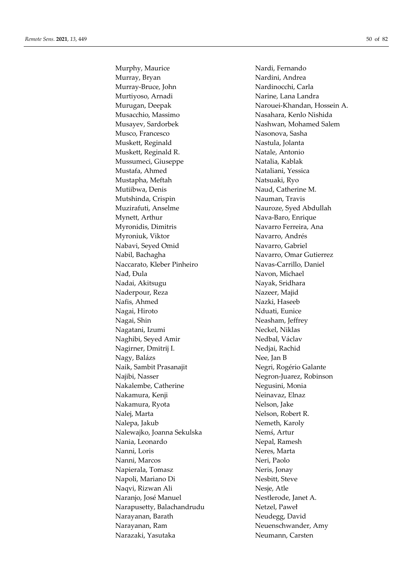Murphy, Maurice Nardi, Fernando Murray, Bryan Nardini, Andrea Murray-Bruce, John Nardinocchi, Carla Murtiyoso, Arnadi Narine, Lana Landra Musacchio, Massimo Nasahara, Kenlo Nishida Musayev, Sardorbek Nashwan, Mohamed Salem Musco, Francesco Nasonova, Sasha Muskett, Reginald Nastula, Jolanta Muskett, Reginald R. Natale, Antonio Mussumeci, Giuseppe Natalia, Kablak Mustafa, Ahmed Nataliani, Yessica Mustapha, Meftah Natsuaki, Ryo Mutiibwa, Denis Naud, Catherine M. Mutshinda, Crispin Nauman, Travis Muzirafuti, Anselme Nauroze, Syed Abdullah Mynett, Arthur Nava-Baro, Enrique Myronidis, Dimitris Navarro Ferreira, Ana Myroniuk, Viktor Navarro, Andrés Nabavi, Seyed Omid Navarro, Gabriel Nabil, Bachagha Navarro, Omar Gutierrez Naccarato, Kleber Pinheiro Navas-Carrillo, Daniel Nađ, Đula Navon, Michael Nadai, Akitsugu Nayak, Sridhara Naderpour, Reza Nazeer, Majid Nafis, Ahmed Nazki, Haseeb Nagai, Hiroto Nduati, Eunice Nagai, Shin Neasham, Jeffrey Nagatani, Izumi Neckel, Niklas Naghibi, Seyed Amir Nedbal, Václav Nagirner, Dmitrij I. Nedjai, Rachid Nagy, Balázs Nee, Jan B Naik, Sambit Prasanajit Negri, Rogério Galante Najibi, Nasser Negron-Juarez, Robinson Nakalembe, Catherine Negusini, Monia Nakamura, Kenji **Netikalar Kenderala Neinavaz, Elnaz** Nakamura, Ryota Nelson, Jake Nalej, Marta Nelson, Robert R. Nalepa, Jakub Nemeth, Karoly Nalewajko, Joanna Sekulska Nemś, Artur Nania, Leonardo Nepal, Ramesh Nanni, Loris Neres, Marta Nanni, Marcos Neri, Paolo Napierala, Tomasz Neris, Jonay Napoli, Mariano Di Nesbitt, Steve Naqvi, Rizwan Ali Nesje, Atle Naranjo, José Manuel Nestlerode, Janet A. Narapusetty, Balachandrudu Netzel, Paweł Narayanan, Barath Neudegg, David Narayanan, Ram Neuenschwander, Amy Narazaki, Yasutaka Neumann, Carsten

Murugan, Deepak Narouei-Khandan, Hossein A.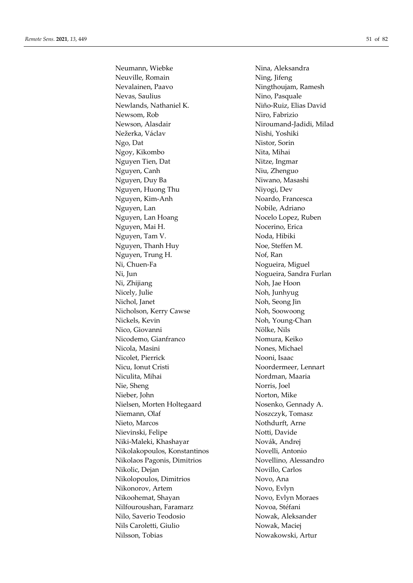Neuville, Romain Ning, Jifeng Nevalainen, Paavo Ningthoujam, Ramesh Nevas, Saulius Nino, Pasquale Newlands, Nathaniel K. Niño-Ruiz, Elias David Newsom, Rob Niro, Fabrizio Newson, Alasdair Niroumand-Jadidi, Milad Nežerka, Václav Nishi, Yoshiki Ngo, Dat Nistor, Sorin Ngoy, Kikombo Nita, Mihai Nguyen Tien, Dat Nitze, Ingmar Nguyen, Canh Niu, Zhenguo Nguyen, Duy Ba Niwano, Masashi Nguyen, Huong Thu Niyogi, Dev Nguyen, Kim-Anh Noardo, Francesca Nguyen, Lan Nobile, Adriano Nguyen, Lan Hoang Nocelo Lopez, Ruben Nguyen, Mai H. Nocerino, Erica Nguyen, Tam V. Noda, Hibiki Nguyen, Thanh Huy Noe, Steffen M. Nguyen, Trung H. Nof, Ran Ni, Chuen-Fa Nogueira, Miguel Ni, Jun Nogueira, Sandra Furlan Ni, Zhijiang Noh, Jae Hoon Nicely, Julie Noh, Junhyug Nichol, Janet Noh, Seong Jin Nicholson, Kerry Cawse Noh, Soowoong Nickels, Kevin Noh, Young-Chan Nico, Giovanni Nölke, Nils Nicodemo, Gianfranco Nomura, Keiko Nicola, Masini Nones, Michael Nicolet, Pierrick Nooni, Isaac Nicu, Ionut Cristi Noordermeer, Lennart Niculita, Mihai Nordman, Maaria Nie, Sheng Norris, Joel Nieber, John Norton, Mike Nielsen, Morten Holtegaard Nosenko, Gennady A. Niemann, Olaf Noszczyk, Tomasz Nieto, Marcos Nothdurft, Arne Nievinski, Felipe Notti, Davide Niki-Maleki, Khashayar Novák, Andrej Nikolakopoulos, Konstantinos Novelli, Antonio Nikolaos Pagonis, Dimitrios Novellino, Alessandro Nikolic, Dejan Novillo, Carlos Nikolopoulos, Dimitrios Novo, Ana Nikonorov, Artem Novo, Evlyn Nikoohemat, Shayan Novo, Evlyn Moraes Nilfouroushan, Faramarz Novoa, Stéfani Nilo, Saverio Teodosio Nowak, Aleksander Nils Caroletti, Giulio Nowak, Maciej Nilsson, Tobias Nowakowski, Artur

Neumann, Wiebke Nina, Aleksandra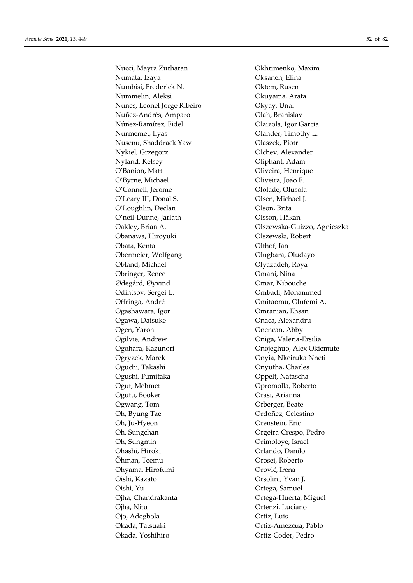Numata, Izaya Oksanen, Elina Numbisi, Frederick N. Oktem, Rusen Nummelin, Aleksi Okuyama, Arata Nunes, Leonel Jorge Ribeiro Okyay, Unal Nuñez-Andrés, Amparo Olah, Branislav Núñez-Ramírez, Fidel Olaizola, Igor García Nurmemet, Ilyas **Olander**, Timothy L. Nusenu, Shaddrack Yaw Olaszek, Piotr Nykiel, Grzegorz Olchev, Alexander Nyland, Kelsey Oliphant, Adam O'Banion, Matt Oliveira, Henrique O'Byrne, Michael Oliveira, João F. O'Connell, Jerome Ololade, Olusola O'Leary III, Donal S. Olsen, Michael J. O'Loughlin, Declan Olson, Brita O'neil-Dunne, Jarlath Olsson, Håkan Obanawa, Hiroyuki Olszewski, Robert Obata, Kenta Olthof, Ian Obermeier, Wolfgang **Olugbara**, Oludayo Obland, Michael Olyazadeh, Roya Obringer, Renee **Omani**, Nina Ødegård, Øyvind Omar, Nibouche Odintsov, Sergei L. Ombadi, Mohammed Offringa, André **Omitaomu**, Olufemi A. Ogashawara, Igor Omranian, Ehsan Ogawa, Daisuke Onaca, Alexandru Ogen, Yaron Onencan, Abby Ogilvie, Andrew Oniga, Valeria-Ersilia Ogryzek, Marek Onyia, Nkeiruka Nneti Oguchi, Takashi Onyutha, Charles Ogushi, Fumitaka Oppelt, Natascha Ogut, Mehmet Opromolla, Roberto Ogutu, Booker Orasi, Arianna Ogwang, Tom **Orberger**, Beate Oh, Byung Tae Ordoñez, Celestino Oh, Ju-Hyeon Orenstein, Eric Oh, Sungchan **Orgeira-Crespo**, Pedro Oh, Sungmin Chimoloye, Israel Ohashi, Hiroki Orlando, Danilo Öhman, Teemu Orosei, Roberto Ohyama, Hirofumi Orović, Irena Oishi, Kazato Orsolini, Yvan J. Oishi, Yu Ortega, Samuel Ojha, Chandrakanta Ortega-Huerta, Miguel Ojha, Nitu Ortenzi, Luciano Ojo, Adegbola Ortiz, Luis Okada, Tatsuaki Ortiz-Amezcua, Pablo Okada, Yoshihiro Ortiz-Coder, Pedro

Nucci, Mayra Zurbaran **Okhrimenko**, Maxim Oakley, Brian A. Olszewska-Guizzo, Agnieszka Ogohara, Kazunori Onojeghuo, Alex Okiemute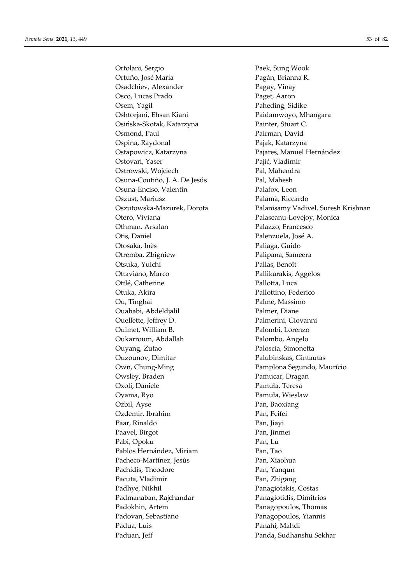Ortolani, Sergio Paek, Sung Wook Ortuño, José María **Pagán**, Brianna R. Osadchiev, Alexander Pagay, Vinay Osco, Lucas Prado Paget, Aaron Osem, Yagil Paheding, Sidike Oshtorjani, Ehsan Kiani Paidamwoyo, Mhangara Osińska-Skotak, Katarzyna Painter, Stuart C. Osmond, Paul Pairman, David Ospina, Raydonal **Pajak, Katarzyna** Ostapowicz, Katarzyna Pajares, Manuel Hernández Ostovari, Yaser Pajić, Vladimir Ostrowski, Wojciech Pal, Mahendra Osuna-Coutiño, J. A. De Jesús Pal, Mahesh Osuna-Enciso, Valentín Palafox, Leon Oszust, Mariusz Palamà, Riccardo Otero, Viviana Palaseanu-Lovejoy, Monica Othman, Arsalan Palazzo, Francesco Otis, Daniel Palenzuela, José A. Otosaka, Inès Paliaga, Guido Otremba, Zbigniew Palipana, Sameera Otsuka, Yuichi Pallas, Benoît Ottaviano, Marco Pallikarakis, Aggelos Ottlé, Catherine Pallotta, Luca Otuka, Akira **Pallottino**, Federico Ou, Tinghai Palme, Massimo Ouahabi, Abdeldjalil Palmer, Diane Ouellette, Jeffrey D. Palmerini, Giovanni Ouimet, William B. Palombi, Lorenzo Oukarroum, Abdallah Palombo, Angelo Ouyang, Zutao Paloscia, Simonetta Ouzounov, Dimitar Palubinskas, Gintautas Own, Chung-Ming **Pamplona** Segundo, Maurício Owsley, Braden Pamucar, Dragan Oxoli, Daniele Pamuła, Teresa Oyama, Ryo Pamuła, Wieslaw Ozbil, Ayse Pan, Baoxiang Ozdemir, Ibrahim Pan, Feifei Paar, Rinaldo Pan, Jiayi Paavel, Birgot Pan, Jinmei Pabi, Opoku Pan, Lu Pablos Hernández, Miriam Pan, Tao Pacheco-Martínez, Jesús **Pan, Xiaohua** Pachidis, Theodore Pan, Yanqun Pacuta, Vladimir Pan, Zhigang Padhye, Nikhil Panagiotakis, Costas Padmanaban, Rajchandar Panagiotidis, Dimitrios Padokhin, Artem Panagopoulos, Thomas Padovan, Sebastiano Panagopoulos, Yiannis Padua, Luis Panahi, Mahdi Paduan, Jeff Panda, Sudhanshu Sekhar

Oszutowska-Mazurek, Dorota Palanisamy Vadivel, Suresh Krishnan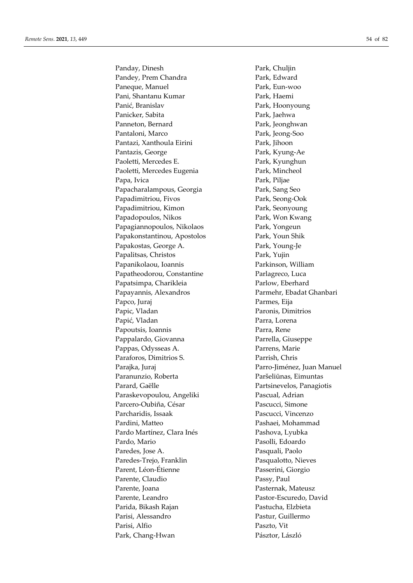Panday, Dinesh Park, Chuljin Pandey, Prem Chandra Park, Edward Paneque, Manuel **Park**, Eun-woo Pani, Shantanu Kumar Park, Haemi Panić, Branislav Park, Hoonyoung Panicker, Sabita Park, Jaehwa Panneton, Bernard Park, Jeonghwan Pantaloni, Marco Park, Jeong-Soo Pantazi, Xanthoula Eirini Park, Jihoon Pantazis, George Park, Kyung-Ae Paoletti, Mercedes E. Park, Kyunghun Paoletti, Mercedes Eugenia Park, Mincheol Papa, Ivica Park, Piljae Papacharalampous, Georgia Park, Sang Seo Papadimitriou, Fivos Park, Seong-Ook Papadimitriou, Kimon Park, Seonyoung Papadopoulos, Nikos Park, Won Kwang Papagiannopoulos, Nikolaos Park, Yongeun Papakonstantinou, Apostolos Park, Youn Shik Papakostas, George A. Park, Young-Je Papalitsas, Christos Park, Yujin Papanikolaou, Ioannis Parkinson, William Papatheodorou, Constantine Parlagreco, Luca Papatsimpa, Charikleia Parlow, Eberhard Papayannis, Alexandros Parmehr, Ebadat Ghanbari Papco, Juraj Parmes, Eija Papic, Vladan Paronis, Dimitrios Papić, Vladan Parra, Lorena Papoutsis, Ioannis Parra, Rene Pappalardo, Giovanna Parrella, Giuseppe Pappas, Odysseas A. Parrens, Marie Paraforos, Dimitrios S. Parrish, Chris Parajka, Juraj Parro-Jiménez, Juan Manuel Paranunzio, Roberta Paršeliūnas, Eimuntas Parard, Gaëlle Partsinevelos, Panagiotis Paraskevopoulou, Angeliki Pascual, Adrian Parcero-Oubiña, César Pascucci, Simone Parcharidis, Issaak Pascucci, Vincenzo Pardini, Matteo **Pashaei**, Mohammad Pardo Martínez, Clara Inés Pashova, Lyubka Pardo, Mario Pasolli, Edoardo Paredes, Jose A. Pasquali, Paolo Paredes-Trejo, Franklin Pasqualotto, Nieves Parent, Léon-Étienne Passerini, Giorgio Parente, Claudio Passy, Paul Parente, Joana Pasternak, Mateusz Parente, Leandro Pastor-Escuredo, David Parida, Bikash Rajan Pastucha, Elzbieta Parisi, Alessandro Pastur, Guillermo Parisi, Alfio Paszto, Vit Park, Chang-Hwan Pásztor, László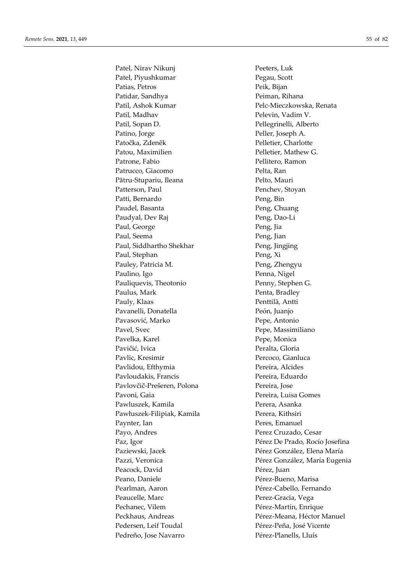Patel, Nirav Nikunj Peeters, Luk Patel, Piyushkumar Pegau, Scott Patias, Petros Peik, Bijan Patidar, Sandhya Peiman, Rihana Patil, Ashok Kumar Pelc-Mieczkowska, Renata Patil, Madhav Pelevin, Vadim V. Patil, Sopan D. Pellegrinelli, Alberto Patino, Jorge Peller, Joseph A. Patočka, Zdeněk Pelletier, Charlotte Patou, Maximilien Pelletier, Mathew G. Patrone, Fabio **Pellitero**, Ramon Patrucco, Giacomo Pelta, Ran Pătru-Stupariu, Ileana Pelto, Mauri Patterson, Paul Penchev, Stoyan Patti, Bernardo Peng, Bin Paudel, Basanta Peng, Chuang Paudyal, Dev Raj Peng, Dao-Li Paul, George Peng, Jia Paul, Seema Peng, Jian Paul, Siddhartho Shekhar Peng, Jingjing Paul, Stephan Peng, Xi Pauley, Patricia M. Peng, Zhengyu Paulino, Igo Penna, Nigel Pauliquevis, Theotonio Penny, Stephen G. Paulus, Mark Penta, Bradley Pauly, Klaas Penttilä, Antti Pavanelli, Donatella Peón, Juanjo Pavasović, Marko Pepe, Antonio Pavel, Svec Pepe, Massimiliano Pavelka, Karel Pepe, Monica Pavičić, Ivica Peralta, Gloria Pavlic, Kresimir Percoco, Gianluca Pavlidou, Efthymia Pereira, Alcides Pavloudakis, Francis Pereira, Eduardo Pavlovčič-Prešeren, Polona Pereira, Jose Pavoni, Gaia Pereira, Luisa Gomes Pawluszek, Kamila Perera, Asanka Pawłuszek-Filipiak, Kamila Perera, Kithsiri Paynter, Ian Peres, Emanuel Payo, Andres Perez Cruzado, Cesar Peacock, David Pérez, Juan Peano, Daniele Pérez-Bueno, Marisa Pearlman, Aaron Pérez-Cabello, Fernando Peaucelle, Marc Perez-Gracia, Vega Pechanec, Vilem Pérez-Martín, Enrique Pedersen, Leif Toudal Pérez-Peña, José Vicente Pedreño, Jose Navarro Pérez-Planells, Lluís

Paz, Igor Pérez De Prado, Rocío Josefina Paziewski, Jacek Pérez González, Elena María Pazzi, Veronica **Pérez González, María Eugenia** Peckhaus, Andreas **Pérez-Meana**, Héctor Manuel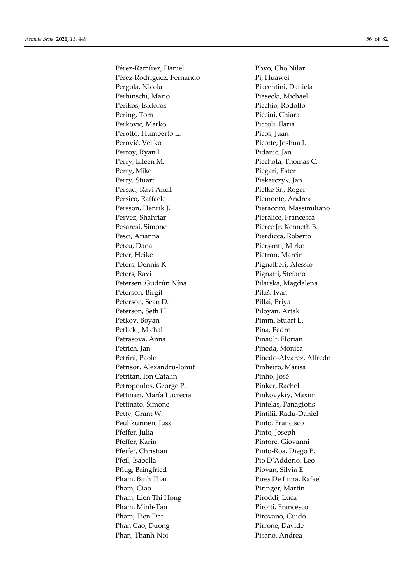Pérez-Ramírez, Daniel Phyo, Cho Nilar Pérez-Rodríguez, Fernando Pi, Huawei Pergola, Nicola Piacentini, Daniela Perhinschi, Mario Piasecki, Michael Perikos, Isidoros Picchio, Rodolfo Pering, Tom Piccini, Chiara Perkovic, Marko Piccoli, Ilaria Perotto, Humberto L. Picos, Juan Perović, Veljko Picotte, Joshua J. Perroy, Ryan L. Pidanič, Jan Perry, Eileen M. Piechota, Thomas C. Perry, Mike Piegari, Ester Perry, Stuart Piekarczyk, Jan Persad, Ravi Ancil Pielke Sr., Roger Persico, Raffaele Piemonte, Andrea Persson, Henrik J. Pieraccini, Massimiliano Pervez, Shahriar **Pieralice**, Francesca Pesaresi, Simone Pierce Jr, Kenneth B. Pesci, Arianna Pierdicca, Roberto Petcu, Dana Piersanti, Mirko Peter, Heike Pietron, Marcin Peters, Dennis K. Pignalberi, Alessio Peters, Ravi Pignatti, Stefano Petersen, Gudrún Nína **Pilarska**, Magdalena Peterson, Birgit Pilaš, Ivan Peterson, Sean D. Pillai, Priya Peterson, Seth H. Piloyan, Artak Petkov, Boyan Pimm, Stuart L. Petlicki, Michal Pina, Pedro Petrasova, Anna Pinault, Florian Petrich, Jan Pineda, Mónica Petrini, Paolo Pinedo-Alvarez, Alfredo Petrisor, Alexandru-Ionut Pinheiro, Marisa Petritan, Ion Catalin Pinho, José Petropoulos, George P. Pinker, Rachel Pettinari, María Lucrecia Pinkovykiy, Maxim Pettinato, Simone Pintelas, Panagiotis Petty, Grant W. Pintilii, Radu-Daniel Peuhkurinen, Jussi Pinto, Francisco Pfeffer, Julia Pinto, Joseph Pfeffer, Karin Pintore, Giovanni Pfeifer, Christian Pinto-Roa, Diego P. Pfeil, Isabella Pio D'Adderio, Leo Pflug, Bringfried Piovan, Silvia E. Pham, Binh Thai Pires De Lima, Rafael Pham, Giao Piringer, Martin Pham, Lien Thi Hong Piroddi, Luca Pham, Minh-Tan Pirotti, Francesco Pham, Tien Dat Pirovano, Guido Phan Cao, Duong Pirrone, Davide Phan, Thanh-Noi Pisano, Andrea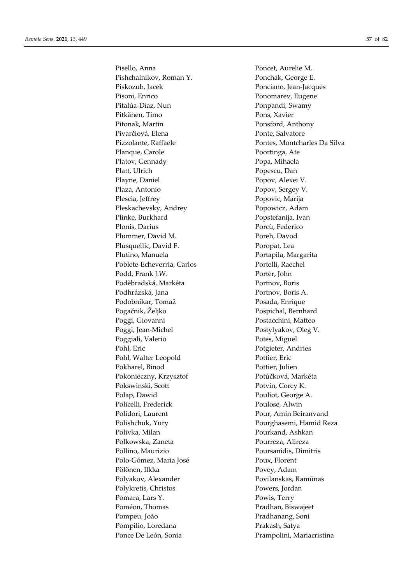Pisello, Anna Poncet, Aurelie M. Pishchalnikov, Roman Y. Ponchak, George E. Piskozub, Jacek Ponciano, Jean-Jacques Pisoni, Enrico Ponomarev, Eugene Pitalúa-Díaz, Nun Ponpandi, Swamy Pitkänen, Timo Pons, Xavier Pitonak, Martin Ponsford, Anthony Pivarčiová, Elena Ponte, Salvatore Planque, Carole **Properties** Poortinga, Ate Platov, Gennady Popa, Mihaela Platt, Ulrich Popescu, Dan Playne, Daniel Popov, Alexei V. Plaza, Antonio Popov, Sergey V. Plescia, Jeffrey Popovic, Marija Pleskachevsky, Andrey Popowicz, Adam Plinke, Burkhard Popstefanija, Ivan Plonis, Darius Porcù, Federico Plummer, David M. Poreh, Davod Plusquellic, David F. Poropat, Lea Plutino, Manuela Portapila, Margarita Poblete-Echeverria, Carlos Portelli, Raechel Podd, Frank J.W. Porter, John Poděbradská, Markéta Portnov, Boris Podhrázská, Jana Portnov, Boris A. Podobnikar, Tomaž Posada, Enrique Pogačnik, Željko Pospichal, Bernhard Poggi, Giovanni Postacchini, Matteo Poggi, Jean-Michel Postylyakov, Oleg V. Poggiali, Valerio Potes, Miguel Pohl, Eric Potgieter, Andries Pohl, Walter Leopold Pottier, Eric Pokharel, Binod Pottier, Julien Pokonieczny, Krzysztof Potůčková, Markéta Pokswinski, Scott Potvin, Corey K. Połap, Dawid Pouliot, George A. Policelli, Frederick Poulose, Alwin Polidori, Laurent Pour, Amin Beiranvand Polishchuk, Yury Pourghasemi, Hamid Reza Polivka, Milan **Pourkand**, Ashkan Polkowska, Zaneta Pourreza, Alireza Pollino, Maurizio Poursanidis, Dimitris Polo-Gómez, María José Poux, Florent Pölönen, Ilkka Povey, Adam Polyakov, Alexander Povilanskas, Ramūnas Polykretis, Christos Powers, Jordan Pomara, Lars Y. Powis, Terry Poméon, Thomas Pradhan, Biswajeet Pompeu, João Pradhanang, Soni Pompilio, Loredana Prakash, Satya Ponce De León, Sonia Prampolini, Mariacristina

Pizzolante, Raffaele Pontes, Montcharles Da Silva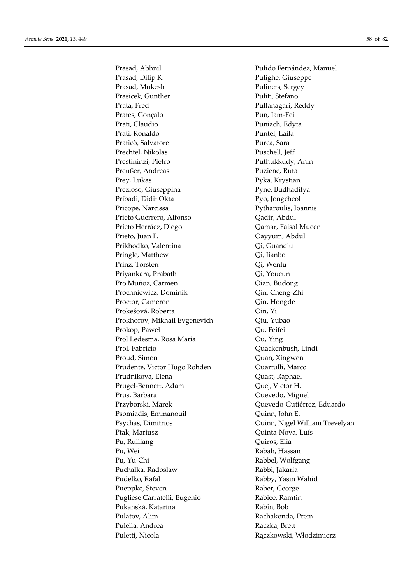Prasad, Abhnil Prasad, Abhnil Pulido Fernández, Manuel Prasad, Dilip K. Pulighe, Giuseppe Prasad, Mukesh Pulinets, Sergey Prasicek, Günther Puliti, Stefano Prata, Fred Pullanagari, Reddy Prates, Gonçalo Pun, Iam-Fei Prati, Claudio Puniach, Edyta Prati, Ronaldo Puntel, Laila Praticò, Salvatore Purca, Sara Prechtel, Nikolas Puschell, Jeff Prestininzi, Pietro Puthukkudy, Anin Preußer, Andreas Puziene, Ruta Prey, Lukas Pyka, Krystian Prezioso, Giuseppina Pyne, Budhaditya Pribadi, Didit Okta Pyo, Jongcheol Pricope, Narcissa Pytharoulis, Ioannis Prieto Guerrero, Alfonso  $Qadir$ , Abdul Prieto Herráez, Diego  $Q$ amar, Faisal Mueen Prieto, Juan F. Qayyum, Abdul Prikhodko, Valentina Qi, Guanqiu Pringle, Matthew Qi, Jianbo Prinz, Torsten Qi, Wenlu Priyankara, Prabath Qi, Youcun Pro Muñoz, Carmen Qian, Budong Prochniewicz, Dominik Qin, Cheng-Zhi Proctor, Cameron Qin, Hongde Prokešová, Roberta  $Q$ in, Yi Prokhorov, Mikhail Evgenevich Qiu, Yubao Prokop, Paweł Qu, Feifei Prol Ledesma, Rosa María **Qu, Ying** Prol, Fabricio Quackenbush, Lindi Proud, Simon **Quan, Xingwen** Prudente, Victor Hugo Rohden Quartulli, Marco Prudnikova, Elena Quast, Raphael Prugel-Bennett, Adam Quej, Victor H. Prus, Barbara Quevedo, Miguel Przyborski, Marek Quevedo-Gutiérrez, Eduardo Psomiadis, Emmanouil Quinn, John E. Ptak, Mariusz Quinta-Nova, Luís Pu, Ruiliang Quiros, Elia Pu, Wei **Rabah, Hassan** Pu, Yu-Chi Rabbel, Wolfgang Puchalka, Radoslaw Rabbi, Jakaria Pudelko, Rafal Rabby, Yasin Wahid Pueppke, Steven Raber, George Pugliese Carratelli, Eugenio Rabiee, Ramtin Pukanská, Katarína **Rabin, Bob** Rabin, Bob Pulatov, Alim Rachakonda, Prem Pulella, Andrea Raczka, Brett Puletti, Nicola Rączkowski, Włodzimierz

Psychas, Dimitrios **Quinn**, Nigel William Trevelyan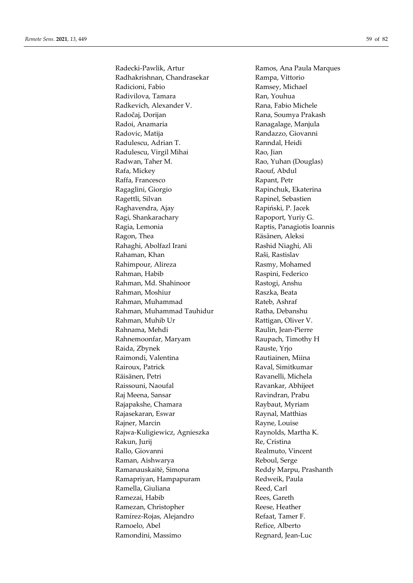Radecki-Pawlik, Artur **Ramos**, Ana Paula Marques Radhakrishnan, Chandrasekar Rampa, Vittorio Radicioni, Fabio **Ramsey**, Michael Radivilova, Tamara Ran, Youhua Radkevich, Alexander V. Rana, Fabio Michele Radočaj, Dorijan Rana, Soumya Prakash Radoi, Anamaria **Ranagalage, Manjula** Radovic, Matija **Randazzo**, Giovanni Radulescu, Adrian T. Kanndal, Heidi Radulescu, Virgil Mihai Rao, Jian Radwan, Taher M. **Rao, Yuhan (Douglas)** Rafa, Mickey Raouf, Abdul Raffa, Francesco Rapant, Petr Ragaglini, Giorgio **Rapinchuk, Ekaterina** Ragettli, Silvan Rapinel, Sebastien Raghavendra, Ajay **Rapiński, P. Jacek** Ragi, Shankarachary Rapoport, Yuriy G. Ragia, Lemonia **Raptis, Panagiotis Ioannis** Ragon, Thea **Räsänen**, Aleksi Rahaghi, Abolfazl Irani Rashid Niaghi, Ali Rahaman, Khan **Raši, Rastislav** Rahimpour, Alireza Rasmy, Mohamed Rahman, Habib **Raspini**, Federico Rahman, Md. Shahinoor Rastogi, Anshu Rahman, Moshiur Raszka, Beata Rahman, Muhammad Rateb, Ashraf Rahman, Muhammad Tauhidur Ratha, Debanshu Rahman, Muhib Ur **Rattigan**, Oliver V. Rahnama, Mehdi Raulin, Jean-Pierre Rahnemoonfar, Maryam Raupach, Timothy H Raida, Zbynek Rauste, Yrjo Raimondi, Valentina Rautiainen, Miina Rairoux, Patrick Raval, Simitkumar Räisänen, Petri Kavanelli, Michela Raissouni, Naoufal Ravankar, Abhijeet Raj Meena, Sansar **Ravindran**, Prabu Rajapakshe, Chamara Raybaut, Myriam Rajasekaran, Eswar **Raynal, Matthias** Rajner, Marcin Rayne, Louise Rajwa-Kuligiewicz, Agnieszka **Raynolds, Martha K.** Rakun, Jurij Re, Cristina Rallo, Giovanni **Realmuto, Cincent** Raman, Aishwarya **Reboul, Serge** Ramanauskaitė, Simona Reddy Marpu, Prashanth Ramapriyan, Hampapuram Redweik, Paula Ramella, Giuliana Reed, Carl Ramezai, Habib **Rees, Gareth** Ramezan, Christopher Reese, Heather Ramírez-Rojas, Alejandro Refaat, Tamer F. Ramoelo, Abel Refice, Alberto Ramondini, Massimo Regnard, Jean-Luc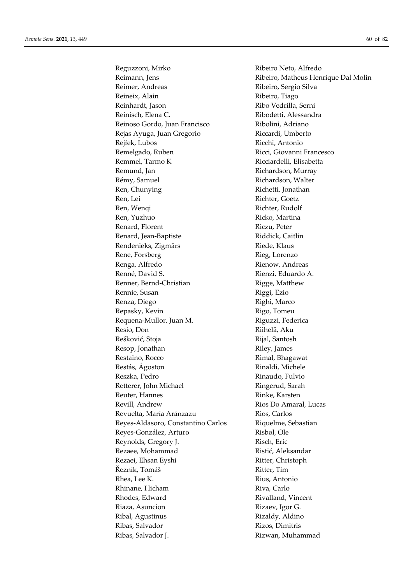Reguzzoni, Mirko Ribeiro Neto, Alfredo Reimann, Jens **Ribeiro, Matheus Henrique Dal Molin** Reimer, Andreas Ribeiro, Sergio Silva Reineix, Alain Ribeiro, Tiago Reinhardt, Jason Ribo Vedrilla, Serni Reinisch, Elena C. Kibodetti, Alessandra Reinoso Gordo, Juan Francisco Ribolini, Adriano Rejas Ayuga, Juan Gregorio Riccardi, Umberto Rejfek, Lubos Ricchi, Antonio Remelgado, Ruben Ricci, Giovanni Francesco Remmel, Tarmo K Ricciardelli, Elisabetta Remund, Jan Richardson, Murray Rémy, Samuel Richardson, Walter Ren, Chunying **Richetti**, Jonathan Ren, Lei Richter, Goetz Ren, Wenqi Richter, Rudolf Ren, Yuzhuo Ricko, Martina Renard, Florent Riczu, Peter Renard, Jean-Baptiste Riddick, Caitlin Rendenieks, Zigmārs Riede, Klaus Rene, Forsberg Rieg, Lorenzo Renga, Alfredo Rienow, Andreas Renné, David S. **Rienzi**, Eduardo A. Renner, Bernd-Christian Rigge, Matthew Rennie, Susan Riggi, Ezio Renza, Diego Righi, Marco Repasky, Kevin Rigo, Tomeu Requena-Mullor, Juan M. Kiguzzi, Federica Resio, Don Riihelä, Aku Rešković, Stoja **Rijal, Santosh** Resop, Jonathan Riley, James Restaino, Rocco Rimal, Bhagawat Restás, Ágoston Rinaldi, Michele Reszka, Pedro **Rinaudo**, Fulvio Retterer, John Michael Ringerud, Sarah Reuter, Hannes Rinke, Karsten Revill, Andrew Rios Do Amaral, Lucas Revuelta, María Aránzazu Rios, Carlos Reyes-Aldasoro, Constantino Carlos Riquelme, Sebastian Reyes-González, Arturo Risbøl, Ole Reynolds, Gregory J. Risch, Eric Rezaee, Mohammad Ristić, Aleksandar Rezaei, Ehsan Eyshi **Ritter**, Christoph Řezník, Tomáš Ritter, Tim Rhea, Lee K. Rius, Antonio Rhinane, Hicham Riva, Carlo Rhodes, Edward Rivalland, Vincent Riaza, Asuncion Rizaev, Igor G. Ribal, Agustinus Rizaldy, Aldino Ribas, Salvador Rizos, Dimitris Ribas, Salvador J. Rizwan, Muhammad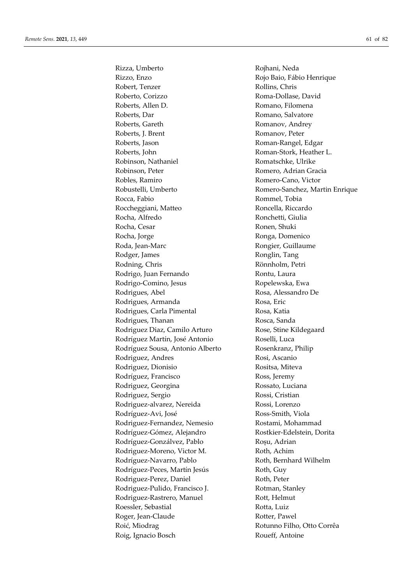Rizza, Umberto Rojhani, Neda Rizzo, Enzo **Rojo Baio, Fábio Henrique** Robert, Tenzer Rollins, Chris Roberto, Corizzo Roma-Dollase, David Roberts, Allen D. **Romano**, Filomena Roberts, Dar Romano, Salvatore Roberts, Gareth Romanov, Andrey Roberts, J. Brent Romanov, Peter Roberts, Jason Roman-Rangel, Edgar Roberts, John Roman-Stork, Heather L. Robinson, Nathaniel Romatschke, Ulrike Robinson, Peter Romero, Adrian Gracia Robles, Ramiro Romero-Cano, Victor Rocca, Fabio **Rommel**, Tobia Roccheggiani, Matteo Roncella, Riccardo Rocha, Alfredo Ronchetti, Giulia Rocha, Cesar Ronen, Shuki Rocha, Jorge Ronga, Domenico Roda, Jean-Marc **Rongier**, Guillaume Rodger, James Ronglin, Tang Rodning, Chris Rönnholm, Petri Rodrigo, Juan Fernando Rontu, Laura Rodrigo-Comino, Jesus Ropelewska, Ewa Rodrigues, Abel Rosa, Alessandro De Rodrigues, Armanda Rosa, Eric Rodrigues, Carla Pimental Rosa, Katia Rodrigues, Thanan **Rosca**, Sanda Rodriguez Diaz, Camilo Arturo Rose, Stine Kildegaard Rodríguez Martín, José Antonio Roselli, Luca Rodríguez Sousa, Antonio Alberto Rosenkranz, Philip Rodriguez, Andres Rosi, Ascanio Rodriguez, Dionisio Rositsa, Miteva Rodríguez, Francisco Ross, Jeremy Rodriguez, Georgina Rossato, Luciana Rodriguez, Sergio Rossi, Cristian Rodriguez-alvarez, Nereida Rossi, Lorenzo Rodríguez-Avi, José Ross-Smith, Viola Rodriguez-Fernandez, Nemesio Rostami, Mohammad Rodríguez-Gómez, Alejandro **Rostkier-Edelstein, Dorita** Rodríguez-Gonzálvez, Pablo Roșu, Adrian Rodriguez-Moreno, Victor M. Roth, Achim Rodríguez-Navarro, Pablo Roth, Bernhard Wilhelm Rodríguez-Peces, Martín Jesús Roth, Guy Rodriguez-Perez, Daniel Roth, Peter Rodriguez-Pulido, Francisco J. Rotman, Stanley Rodriguez-Rastrero, Manuel Rott, Helmut Roessler, Sebastial and Rotta, Luiz Roger, Jean-Claude Rotter, Pawel Roić, Miodrag Rotunno Filho, Otto Corrêa Roig, Ignacio Bosch Roueff, Antoine

Robustelli, Umberto **Romero-Sanchez, Martin Enrique**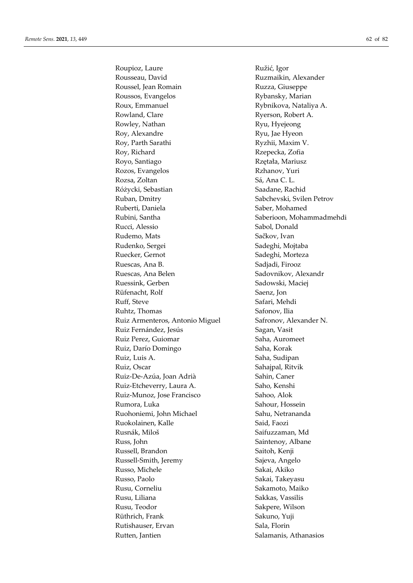Roupioz, Laure Ružić, Igor Rousseau, David **Ruzmaikin**, Alexander Roussel, Jean Romain **Ruzza**, Giuseppe Roussos, Evangelos Rybansky, Marian Roux, Emmanuel Rybnikova, Nataliya A. Rowland, Clare Ryerson, Robert A. Rowley, Nathan Ryu, Hyejeong Roy, Alexandre Ryu, Jae Hyeon Roy, Parth Sarathi Ryzhii, Maxim V. Roy, Richard Rzepecka, Zofia Royo, Santiago **Richards** Rzętała, Mariusz Rozos, Evangelos Rzhanov, Yuri Rozsa, Zoltan Sá, Ana C. L. Różycki, Sebastian Saadane, Rachid Ruban, Dmitry Sabchevski, Svilen Petrov Ruberti, Daniela Saber, Mohamed Rubini, Santha Saberioon, Mohammadmehdi Rucci, Alessio Sabol, Donald Rudemo, Mats Sačkov, Ivan Rudenko, Sergei Sadeghi, Mojtaba Ruecker, Gernot Sadeghi, Morteza Ruescas, Ana B. Sadjadi, Firooz Ruescas, Ana Belen Sadovnikov, Alexandr Ruessink, Gerben Sadowski, Maciej Rüfenacht, Rolf Saenz, Jon Ruff, Steve Safari, Mehdi Ruhtz, Thomas Safonov, Ilia Ruiz Armenteros, Antonio Miguel Safronov, Alexander N. Ruiz Fernández, Jesús Sagan, Vasit Ruiz Perez, Guiomar Saha, Auromeet Ruiz, Darío Domingo Saha, Korak Ruiz, Luis A. Saha, Sudipan Ruiz, Oscar Sahajpal, Ritvik Ruiz-De-Azúa, Joan Adrià Sahin, Caner Ruiz-Etcheverry, Laura A. Saho, Kenshi Ruiz-Munoz, Jose Francisco Sahoo, Alok Rumora, Luka Sahour, Hossein Ruohoniemi, John Michael Sahu, Netrananda Ruokolainen, Kalle Said, Faozi Rusnák, Miloš Saifuzzaman, Md Russ, John Saintenoy, Albane Russell, Brandon Saitoh, Kenji Russell-Smith, Jeremy Sajeva, Angelo Russo, Michele Sakai, Akiko Russo, Paolo Sakai, Takeyasu Rusu, Corneliu Sakamoto, Maiko Rusu, Liliana Sakkas, Vassilis Rusu, Teodor Sakpere, Wilson Rüthrich, Frank Sakuno, Yuji Rutishauser, Ervan Sala, Florin Rutten, Jantien Salamanis, Athanasios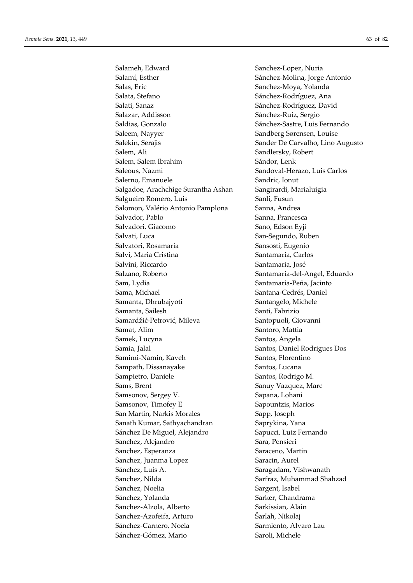Salameh, Edward Sanchez-Lopez, Nuria Salamí, Esther Sánchez-Molina, Jorge Antonio Salas, Eric Sanchez-Moya, Yolanda Salata, Stefano Sánchez-Rodríguez, Ana Salati, Sanaz Sánchez-Rodríguez, David Salazar, Addisson Sánchez-Ruiz, Sergio Saldias, Gonzalo Sánchez-Sastre, Luis Fernando Saleem, Nayyer Sandberg Sørensen, Louise Salekin, Serajis Sander De Carvalho, Lino Augusto Salem, Ali Sandlersky, Robert Salem, Salem Ibrahim Sándor, Lenk Saleous, Nazmi Sandoval-Herazo, Luis Carlos Salerno, Emanuele Sandric, Ionut Salgadoe, Arachchige Surantha Ashan Sangirardi, Marialuigia Salgueiro Romero, Luis Sanli, Fusun Salomon, Valério Antonio Pamplona Sanna, Andrea Salvador, Pablo Sanna, Francesca Salvadori, Giacomo Sano, Edson Eyji Salvati, Luca San-Segundo, Ruben Salvatori, Rosamaria Sansosti, Eugenio Salvi, Maria Cristina  $\qquad \qquad$  Santamaria, Carlos Salvini, Riccardo Santamaria, José Salzano, Roberto Santamaria-del-Angel, Eduardo Sam, Lydia Santamaría-Peña, Jacinto Sama, Michael Santana-Cedrés, Daniel Samanta, Dhrubajyoti Santangelo, Michele Samanta, Sailesh Santi, Fabrizio Samardžić-Petrović, Mileva Santopuoli, Giovanni Samat, Alim Santoro, Mattia Samek, Lucyna **Santos**, Angela Samia, Jalal Santos, Daniel Rodrigues Dos Samimi-Namin, Kaveh Santos, Florentino Sampath, Dissanayake Santos, Lucana Sampietro, Daniele Santos, Rodrigo M. Sams, Brent Sanuy Vazquez, Marc Samsonov, Sergey V. Sapana, Lohani Samsonov, Timofey E Sapountzis, Marios San Martin, Narkis Morales Sapp, Joseph Sanath Kumar, Sathyachandran Saprykina, Yana Sánchez De Miguel, Alejandro Sapucci, Luiz Fernando Sanchez, Alejandro Sara, Pensieri Sanchez, Esperanza Saraceno, Martin Sanchez, Juanma Lopez Saracin, Aurel Sánchez, Luis A. Saragadam, Vishwanath Sanchez, Nilda Santraz, Muhammad Shahzad Sanchez, Noelia Sargent, Isabel Sánchez, Yolanda Sarker, Chandrama Sanchez-Alzola, Alberto Sarkissian, Alain Sanchez-Azofeifa, Arturo Šarlah, Nikolaj Sánchez-Carnero, Noela Sarmiento, Alvaro Lau Sánchez-Gómez, Mario Saroli, Michele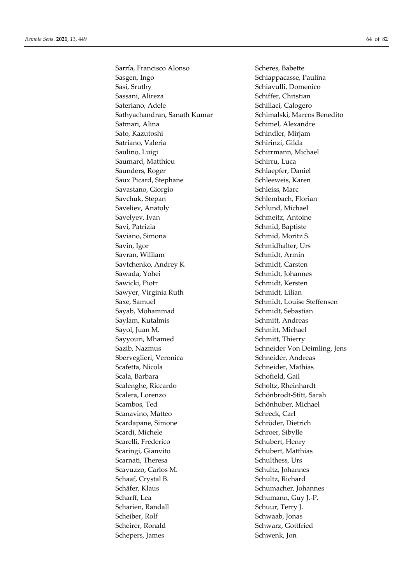Sarría, Francisco Alonso Scheres, Babette Sasgen, Ingo Schiappacasse, Paulina Sasi, Sruthy Sasi, Sruthy Schiavulli, Domenico Sassani, Alireza Schiffer, Christian Sateriano, Adele Schillaci, Calogero Sathyachandran, Sanath Kumar Schimalski, Marcos Benedito Satmari, Alina Schimel, Alexandre Sato, Kazutoshi Schindler, Mirjam Satriano, Valeria **Schirinzi**, Gilda Saulino, Luigi Schirrmann, Michael Saumard, Matthieu Schirru, Luca Saunders, Roger Schlaepfer, Daniel Saux Picard, Stephane Schleeweis, Karen Savastano, Giorgio Schleiss, Marc Savchuk, Stepan Schlembach, Florian Saveliev, Anatoly Schlund, Michael Savelyev, Ivan Schmeitz, Antoine Savi, Patrizia Schmid, Baptiste Saviano, Simona Schmid, Moritz S. Savin, Igor Schmidhalter, Urs Savran, William Schmidt, Armin Savtchenko, Andrey K Schmidt, Carsten Sawada, Yohei Schmidt, Johannes Sawicki, Piotr Schmidt, Kersten Sawyer, Virginia Ruth Schmidt, Lilian Saxe, Samuel Saxe, Samuel Schmidt, Louise Steffensen Sayab, Mohammad Schmidt, Sebastian Saylam, Kutalmis Schmitt, Andreas Sayol, Juan M. Schmitt, Michael Sayyouri, Mhamed Schmitt, Thierry Sazib, Nazmus Schneider Von Deimling, Jens Sberveglieri, Veronica Schneider, Andreas Scafetta, Nicola Schneider, Mathias Scala, Barbara **Schofield**, Gail Scalenghe, Riccardo Scholtz, Rheinhardt Scalera, Lorenzo Schönbrodt-Stitt, Sarah Scambos, Ted Schönhuber, Michael Scanavino, Matteo Schreck, Carl Scardapane, Simone Schröder, Dietrich Scardi, Michele Schroer, Sibylle Scarelli, Frederico Schubert, Henry Scaringi, Gianvito Schubert, Matthias Scarnati, Theresa Schulthess, Urs Scavuzzo, Carlos M. Schultz, Johannes Schaaf, Crystal B. Schultz, Richard Schäfer, Klaus Schumacher, Johannes Scharff, Lea Schumann, Guy J.-P. Scharien, Randall Schuur, Terry J. Scheiber, Rolf Schwaab, Jonas Scheirer, Ronald Schwarz, Gottfried Schepers, James Schwenk, Jon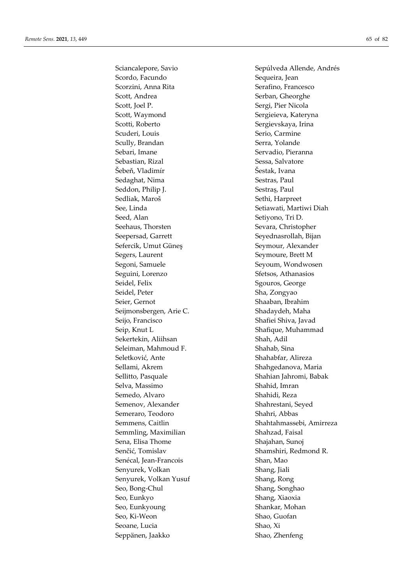Scordo, Facundo Sequeira, Jean Scorzini, Anna Rita Serafino, Francesco Scott, Andrea Serban, Gheorghe Scott, Joel P. Sergi, Pier Nicola Scott, Waymond Sergieieva, Kateryna Scotti, Roberto Sergievskaya, Irina Scuderi, Louis Serio, Carmine Scully, Brandan Serra, Yolande Sebari, Imane Servadio, Pieranna Sebastian, Rizal Sessa, Salvatore Šebeň, Vladimír Šestak, Ivana Sedaghat, Nima Sestras, Paul Seddon, Philip J. Sestraș, Paul Sedliak, Maroš **Sethi**, Harpreet See, Linda See, Linda Setiawati, Martiwi Diah Seed, Alan Seed, Alan Seed, Alan Seed, Alan Seed, Alan Seed, Alan Seed, Alan Seed, Alan Seed, Alan Seed, Alan Seed, Alan Seed, Alan Seed, Alan Seed, Alan Seed, Alan Seed, Alan Seed, Alan Seed, Alan Seed, Alan Seed, Alan Se Seehaus, Thorsten Sevara, Christopher Seepersad, Garrett Seyednasrollah, Bijan Sefercik, Umut Güneş Seymour, Alexander Segers, Laurent Seymoure, Brett M Segoni, Samuele Seyoum, Wondwosen Seguini, Lorenzo Sfetsos, Athanasios Seidel, Felix Sgouros, George Seidel, Peter Sha, Zongyao Seier, Gernot Shaaban, Ibrahim Seijmonsbergen, Arie C. Shadaydeh, Maha Seijo, Francisco Shafiei Shiva, Javad Seip, Knut L<br>Shafique, Muhammad Sekertekin, Aliihsan Shah, Adil Seleiman, Mahmoud F. Shahab, Sina Seletković, Ante Shahabfar, Alireza Sellami, Akrem Shahgedanova, Maria Sellitto, Pasquale Shahian Jahromi, Babak Selva, Massimo Shahid, Imran Semedo, Alvaro Shahidi, Reza Semenov, Alexander Shahrestani, Seyed Semeraro, Teodoro **Shahri, Abbas** Semmling, Maximilian Shahzad, Faisal Sena, Elisa Thome Shajahan, Sunoj Senčić, Tomislav Shamshiri, Redmond R. Senécal, Jean-Francois Shan, Mao Senyurek, Volkan Shang, Jiali Senyurek, Volkan Yusuf Shang, Rong Seo, Bong-Chul Shang, Songhao Seo, Eunkyo Shang, Xiaoxia Seo, Eunkyoung Shankar, Mohan Seo, Ki-Weon Shao, Guofan Seoane, Lucia Shao, Xi Seppänen, Jaakko Shao, Zhenfeng

Sciancalepore, Savio Sepúlveda Allende, Andrés Semmens, Caitlin Shahtahmassebi, Amirreza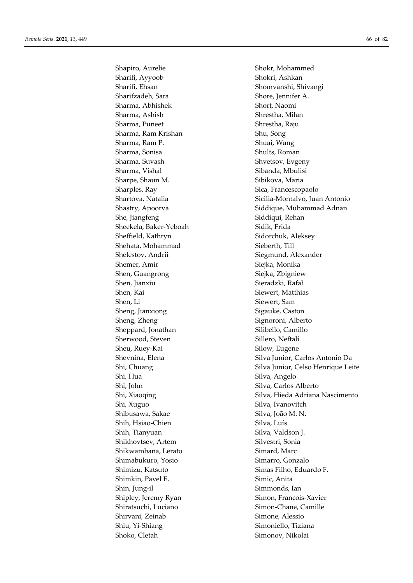Sharifi, Ayyoob Shokri, Ashkan Sharifi, Ehsan Shomvanshi, Shivangi Sharifzadeh, Sara Shore, Jennifer A. Sharma, Abhishek Short, Naomi Sharma, Ashish Shrestha, Milan Sharma, Puneet Shrestha, Raju Sharma, Ram Krishan Shu, Song Sharma, Ram P. Shuai, Wang Sharma, Sonisa Shults, Roman Sharma, Suvash Shvetsov, Evgeny Sharma, Vishal Sharma, Vishal Sibanda, Mbulisi Sharpe, Shaun M. Sibikova, Maria Sharples, Ray Sica, Francescopaolo She, Jiangfeng Siddiqui, Rehan Sheekela, Baker-Yeboah Sidik, Frida Sheffield, Kathryn Sidorchuk, Aleksey Shehata, Mohammad Sieberth, Till Shelestov, Andrii Siegmund, Alexander Shemer, Amir Siejka, Monika Shen, Guangrong Siejka, Zbigniew Shen, Jianxiu Sieradzki, Rafał Shen, Kai Siewert, Matthias Shen, Li Siewert, Sam Sheng, Jianxiong Sheng, Sigauke, Caston Sheng, Zheng Signoroni, Alberto Sheppard, Jonathan Silibello, Camillo Sherwood, Steven Sillero, Neftalí Sheu, Ruey-Kai Silow, Eugene Shi, Hua Silva, Angelo Shi, John Silva, Carlos Alberto Shi, Xuguo Silva, Ivanovitch Shibusawa, Sakae Silva, João M. N. Shih, Hsiao-Chien Silva, Luís Shih, Tianyuan Silva, Valdson J. Shikhovtsev, Artem Silvestri, Sonia Shikwambana, Lerato Simard, Marc Shimabukuro, Yosio Simarro, Gonzalo Shimizu, Katsuto Simas Filho, Eduardo F. Shimkin, Pavel E. Simic, Anita Shin, Jung-il Simmonds, Ian Shipley, Jeremy Ryan Simon, Francois-Xavier Shiratsuchi, Luciano Simon-Chane, Camille Shirvani, Zeinab Simone, Alessio Shiu, Yi-Shiang Simoniello, Tiziana Shoko, Cletah Simonov, Nikolai

Shapiro, Aurelie Shokr, Mohammed Shartova, Natalia Sicilia-Montalvo, Juan Antonio Shastry, Apoorva Siddique, Muhammad Adnan Shevnina, Elena Silva Junior, Carlos Antonio Da Shi, Chuang Silva Junior, Celso Henrique Leite Shi, Xiaoqing Silva, Hieda Adriana Nascimento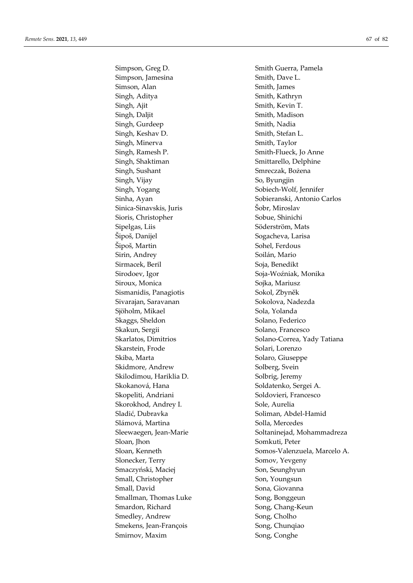Simpson, Jamesina Smith, Dave L. Simson, Alan Smith, James Singh, Aditya Smith, Kathryn Singh, Ajit Singh, Ajit Smith, Kevin T. Singh, Daljit Singh, Daljit Smith, Madison Singh, Gurdeep Smith, Nadia Singh, Keshav D. Smith, Stefan L. Singh, Minerva Smith, Taylor Singh, Ramesh P. Smith-Flueck, Jo Anne Singh, Shaktiman Smittarello, Delphine Singh, Sushant Smreczak, Bożena Singh, Vijay So, Byungjin Singh, Yogang Sobiech-Wolf, Jennifer Sinica-Sinavskis, Juris Šobr, Miroslav Sioris, Christopher Sobue, Shinichi Sipelgas, Liis Söderström, Mats Šipoš, Danijel Sogacheva, Larisa Šipoš, Martin Sohel, Ferdous Sirin, Andrey Soilán, Mario Sirmacek, Beril Soja, Benedikt Sirodoev, Igor Soja-Woźniak, Monika Siroux, Monica Sojka, Mariusz Sismanidis, Panagiotis Sokol, Zbyněk Sivarajan, Saravanan Sokolova, Nadezda Sjöholm, Mikael Sola, Yolanda Skaggs, Sheldon Solano, Federico Skakun, Sergii Solano, Francesco Skarstein, Frode Solari, Lorenzo Skiba, Marta  $S$ olaro, Giuseppe Skidmore, Andrew Solberg, Svein Skilodimou, Hariklia D. Solbrig, Jeremy Skokanová, Hana Soldatenko, Sergei A. Skopeliti, Andriani Soldovieri, Francesco Skorokhod, Andrey I. Sole, Aurelia Sladić, Dubravka Soliman, Abdel-Hamid Slámová, Martina  $\qquad \qquad$ Solla, Mercedes Sloan, Jhon Somkuti, Peter Slonecker, Terry Somov, Yevgeny Smaczyński, Maciej Son, Seunghyun Small, Christopher Son, Youngsun Small, David Sona, Giovanna Smallman, Thomas Luke Song, Bonggeun Smardon, Richard Song, Chang-Keun Smedley, Andrew Song, Cholho Smekens, Jean-François Song, Chunqiao Smirnov, Maxim Song, Conghe

Simpson, Greg D. Smith Guerra, Pamela Sinha, Ayan Sobieranski, Antonio Carlos Skarlatos, Dimitrios Solano-Correa, Yady Tatiana Sleewaegen, Jean-Marie Soltaninejad, Mohammadreza Sloan, Kenneth Somos-Valenzuela, Marcelo A.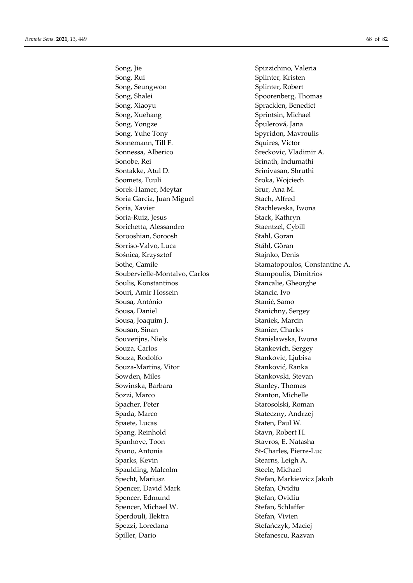Song, Jie Spizzichino, Valeria Song, Rui Splinter, Kristen Song, Seungwon Splinter, Robert Song, Shalei Spoorenberg, Thomas Song, Xiaoyu Spracklen, Benedict Song, Xuehang Song, Xuehang Sprintsin, Michael Song, Yongze Špulerová, Jana Song, Yuhe Tony Spyridon, Mavroulis Sonnemann, Till F. Squires, Victor Sonnessa, Alberico Sreckovic, Vladimir A. Sonobe, Rei Srinath, Indumathi Sontakke, Atul D. Srinivasan, Shruthi Soomets, Tuuli Sroka, Wojciech Sorek-Hamer, Meytar Srur, Ana M. Soria Garcia, Juan Miguel Stach, Alfred Soria, Xavier Soria, Xavier Stachlewska, Iwona Soria-Ruiz, Jesus Stack, Kathryn Sorichetta, Alessandro Staentzel, Cybill Sorooshian, Soroosh Stahl, Goran Sorriso-Valvo, Luca Ståhl, Göran Sośnica, Krzysztof Stajnko, Denis Sothe, Camile Stamatopoulos, Constantine A. Soubervielle-Montalvo, Carlos Stampoulis, Dimitrios Soulis, Konstantinos Stancalie, Gheorghe Souri, Amir Hossein Stancic, Ivo Sousa, António Stanič, Samo Sousa, Daniel Stanichny, Sergey Sousa, Joaquim J. Staniek, Marcin Sousan, Sinan Stanier, Charles Souverijns, Niels Stanislawska, Iwona Souza, Carlos Stankevich, Sergey Souza, Rodolfo Stankovic, Ljubisa Souza-Martins, Vitor Stanković, Ranka Sowden, Miles Stankovski, Stevan Sowinska, Barbara Stanley, Thomas Sozzi, Marco Stanton, Michelle Spacher, Peter Starosolski, Roman Spada, Marco Stateczny, Andrzej Spaete, Lucas Staten, Paul W. Spang, Reinhold Stavn, Robert H. Spanhove, Toon Stavros, E. Natasha Spano, Antonia St-Charles, Pierre-Luc Sparks, Kevin Stearns, Leigh A. Spaulding, Malcolm Steele, Michael Specht, Mariusz Stefan, Markiewicz Jakub Spencer, David Mark Stefan, Ovidiu Spencer, Edmund Stefan, Ovidiu Spencer, Michael W. Stefan, Schlaffer Sperdouli, Ilektra Stefan, Vivien Spezzi, Loredana Stefańczyk, Maciej Spiller, Dario Stefanescu, Razvan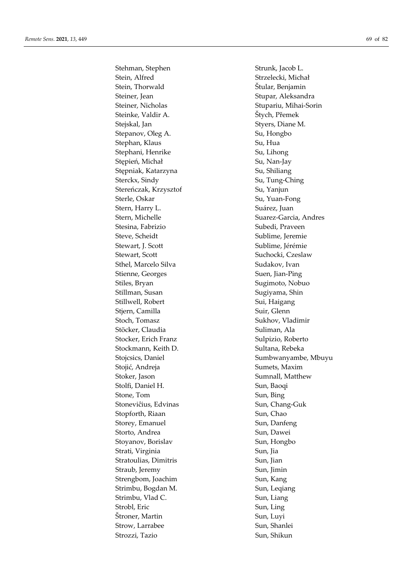Stehman, Stephen Strunk, Jacob L. Stein, Alfred Strzelecki, Michał Stein, Thorwald Stein, Thorwald Steiner, Jean Stupar, Aleksandra Steiner, Nicholas Stupariu, Mihai-Sorin Steinke, Valdir A. Štych, Přemek Stejskal, Jan Styers, Diane M. Stepanov, Oleg A. Su, Hongbo Stephan, Klaus Su, Hua Stephani, Henrike Su, Lihong Stępień, Michał Su, Nan-Jay Stępniak, Katarzyna Su, Shiliang Sterckx, Sindy Su, Tung-Ching Stereńczak, Krzysztof Su, Yanjun Sterle, Oskar Su, Yuan-Fong Stern, Harry L. Suárez, Juan Stern, Michelle Suarez-Garcia, Andres Stesina, Fabrizio  $Subedi$ , Praveen Steve, Scheidt Sublime, Jeremie Stewart, J. Scott Sublime, Jérémie Stewart, Scott Suchocki, Czeslaw Sthel, Marcelo Silva Sudakov, Ivan Stienne, Georges Suen, Jian-Ping Stiles, Bryan Sugimoto, Nobuo Stillman, Susan Sugiyama, Shin Stillwell, Robert Sui, Haigang Stjern, Camilla Suir, Glenn Stoch, Tomasz Sukhov, Vladimir Stöcker, Claudia Suliman, Ala Stocker, Erich Franz Sulpizio, Roberto Stockmann, Keith D. Sultana, Rebeka Stojić, Andreja Sumets, Maxim Stoker, Jason Sumnall, Matthew Stolfi, Daniel H. Sun, Baoqi Stone, Tom Sun, Bing Stoneviĉius, Edvinas Sun, Chang-Guk Stopforth, Riaan Sun, Chao Storey, Emanuel Sun, Danfeng Storto, Andrea Sun, Dawei Stoyanov, Borislav Sun, Hongbo Strati, Virginia  $\qquad \qquad \text{Sun, Iia}$ Stratoulias, Dimitris Sun, Jian Straub, Jeremy Sun, Jimin Strengbom, Joachim Sun, Kang Strimbu, Bogdan M. Sun, Leqiang Strimbu, Vlad C. Sun, Liang Strobl, Eric Sun, Ling Štroner, Martin Sun, Luyi Strow, Larrabee Sun, Shanlei Strozzi, Tazio Sun, Shikun

Stojcsics, Daniel Sumbwanyambe, Mbuyu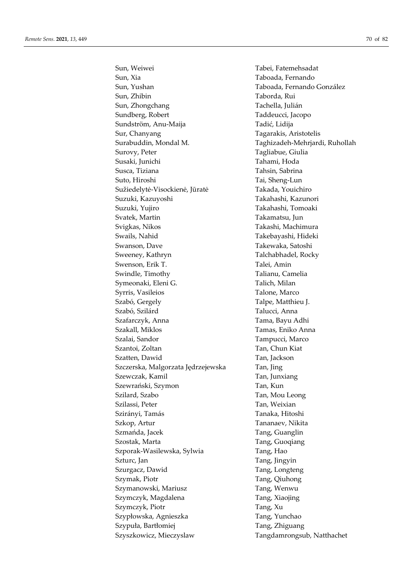Sun, Xia Taboada, Fernando Sun, Yushan Taboada, Fernando González Sun, Zhibin Taborda, Rui Sun, Zhongchang Tachella, Julián Sundberg, Robert Taddeucci, Jacopo Sundström, Anu-Maija Tadić, Lidija Sur, Chanyang Tagarakis, Aristotelis Surabuddin, Mondal M. Taghizadeh-Mehrjardi, Ruhollah Surovy, Peter Tagliabue, Giulia Susaki, Junichi Tahami, Hoda Susca, Tiziana Tahsin, Sabrina Suto, Hiroshi Tai, Sheng-Lun Sužiedelytė-Visockienė, Jūratė Takada, Youichiro Suzuki, Kazuyoshi Takahashi, Kazunori Suzuki, Yujiro Takahashi, Tomoaki Svatek, Martin Takamatsu, Jun Svigkas, Nikos Takashi, Machimura Swails, Nahid Takebayashi, Hideki Swanson, Dave Takewaka, Satoshi Sweeney, Kathryn Talchabhadel, Rocky Swenson, Erik T. Talei, Amin Swindle, Timothy Talianu, Camelia Symeonaki, Eleni G. Talich, Milan Syrris, Vasileios Talone, Marco Szabó, Gergely Talpe, Matthieu J. Szabó, Szilárd Talucci, Anna Szafarczyk, Anna Tama, Bayu Adhi Szakall, Miklos Tamas, Eniko Anna Szalai, Sandor Tampucci, Marco Szantoi, Zoltan Tan, Chun Kiat Szatten, Dawid Tan, Jackson Szczerska, Malgorzata Jędrzejewska Tan, Jing Szewczak, Kamil **Tan**, Junxiang Szewrański, Szymon Tan, Kun Szilard, Szabo Tan, Mou Leong Szilassi, Peter Tan, Weixian Szirányi, Tamás Tanaka, Hitoshi Szkop, Artur Tananaev, Nikita Szmańda, Jacek Tang, Guanglin Szostak, Marta **Tang, Guoqiang** Szporak-Wasilewska, Sylwia Tang, Hao Szturc, Jan Tang, Jingyin Szurgacz, Dawid Tang, Longteng Szymak, Piotr Tang, Qiuhong Szymanowski, Mariusz Tang, Wenwu Szymczyk, Magdalena Tang, Xiaojing Szymczyk, Piotr Tang, Xu Szypłowska, Agnieszka Tang, Yunchao Szypuła, Bartłomiej **Tang, Zhiguang** Szyszkowicz, Mieczyslaw Tangdamrongsub, Natthachet

Sun, Weiwei Tabei, Fatemehsadat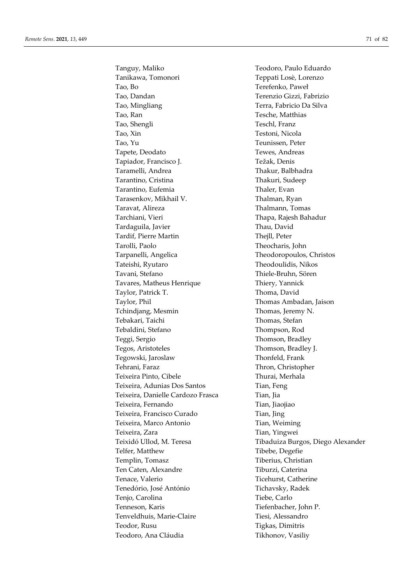Tanguy, Maliko Teodoro, Paulo Eduardo Tanikawa, Tomonori Teppati Losè, Lorenzo Tao, Bo Terefenko, Paweł Tao, Dandan Terenzio Gizzi, Fabrizio Tao, Mingliang Terra, Fabricio Da Silva Tao, Ran Tesche, Matthias Tao, Shengli Teschl, Franz Tao, Xin Testoni, Nicola Tao, Yu Teunissen, Peter Tapete, Deodato Tewes, Andreas Tapiador, Francisco J. Težak, Denis Taramelli, Andrea Thakur, Balbhadra Tarantino, Cristina Thakuri, Sudeep Tarantino, Eufemia Thaler, Evan Tarasenkov, Mikhail V. Thalman, Ryan Taravat, Alireza Thalmann, Tomas Tarchiani, Vieri Thapa, Rajesh Bahadur Tardaguila, Javier Thau, David Tardif, Pierre Martin Thejll, Peter Tarolli, Paolo Theocharis, John Tarpanelli, Angelica Theodoropoulos, Christos Tateishi, Ryutaro Theodoulidis, Nikos Tavani, Stefano Thiele-Bruhn, Sören Tavares, Matheus Henrique Thiery, Yannick Taylor, Patrick T. Thoma, David Taylor, Phil Thomas Ambadan, Jaison Tchindjang, Mesmin Thomas, Jeremy N. Tebakari, Taichi Thomas, Stefan Tebaldini, Stefano Thompson, Rod Teggi, Sergio Thomson, Bradley Tegos, Aristoteles Thomson, Bradley J. Tegowski, Jaroslaw Thonfeld, Frank Tehrani, Faraz Thron, Christopher Teixeira Pinto, Cibele Thurai, Merhala Teixeira, Adunias Dos Santos Tian, Feng Teixeira, Danielle Cardozo Frasca Tian, Jia Teixeira, Fernando Tian, Jiaojiao Teixeira, Francisco Curado Tian, Jing Teixeira, Marco Antonio Tian, Weiming Teixeira, Zara **Tian, Yingwei** Telfer, Matthew Tibebe, Degefie Templin, Tomasz Tiberius, Christian Ten Caten, Alexandre Tiburzi, Caterina Tenace, Valerio Ticehurst, Catherine Tenedório, José António Tichavsky, Radek Tenjo, Carolina Tiebe, Carlo Tenneson, Karis Tiefenbacher, John P. Tenveldhuis, Marie-Claire Tiesi, Alessandro Teodor, Rusu Tigkas, Dimitris Teodoro, Ana Cláudia Tikhonov, Vasiliy

Teixidó Ullod, M. Teresa Tibaduiza Burgos, Diego Alexander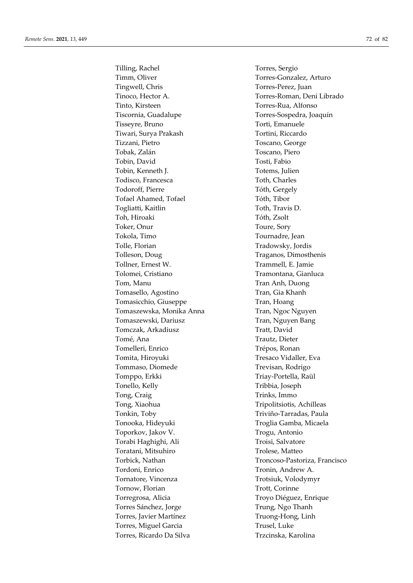Tilling, Rachel Torres, Sergio Timm, Oliver Torres-Gonzalez, Arturo Tingwell, Chris Torres-Perez, Juan Tinto, Kirsteen Torres-Rua, Alfonso Tiscornia, Guadalupe Torres-Sospedra, Joaquín Tisseyre, Bruno Torti, Emanuele Tiwari, Surya Prakash Tortini, Riccardo Tizzani, Pietro Toscano, George Tobak, Zalán Toscano, Piero Tobin, David Tosti, Fabio Tobin, Kenneth J. Totems, Julien Todisco, Francesca Toth, Charles Todoroff, Pierre Tóth, Gergely Tofael Ahamed, Tofael Tóth, Tibor Togliatti, Kaitlin Toth, Travis D. Toh, Hiroaki Tóth, Zsolt Toker, Onur Toure, Sory Tokola, Timo Tournadre, Jean Tolle, Florian Tradowsky, Jordis Tolleson, Doug Traganos, Dimosthenis Tollner, Ernest W. Trammell, E. Jamie Tolomei, Cristiano Tramontana, Gianluca Tom, Manu Tran Anh, Duong Tomasello, Agostino Tran, Gia Khanh Tomasicchio, Giuseppe Tran, Hoang Tomaszewska, Monika Anna Tran, Ngoc Nguyen Tomaszewski, Dariusz **Tran, Nguyen Bang** Tomczak, Arkadiusz **Tratt, David** Tomé, Ana Trautz, Dieter Tomelleri, Enrico Trépos, Ronan Tomita, Hiroyuki Tresaco Vidaller, Eva Tommaso, Diomede Trevisan, Rodrigo Tomppo, Erkki Triay-Portella, Raül Tonello, Kelly Tribbia, Joseph Tong, Craig Tong, Craig Trinks, Immo Tong, Xiaohua Tripolitsiotis, Achilleas Tonkin, Toby Tonkin, Toby Triviño-Tarradas, Paula Tonooka, Hideyuki Troglia Gamba, Micaela Toporkov, Jakov V. Trogu, Antonio Torabi Haghighi, Ali Troisi, Salvatore Toratani, Mitsuhiro **Trolese**, Matteo Tordoni, Enrico Tronin, Andrew A. Tornatore, Vincenza Trotsiuk, Volodymyr Tornow, Florian Trott, Corinne Torregrosa, Alicia Troyo Diéguez, Enrique Torres Sánchez, Jorge Trung, Ngo Thanh Torres, Javier Martínez Truong-Hong, Linh Torres, Miguel Garcia Trusel, Luke Torres, Ricardo Da Silva Trzcinska, Karolina

Tinoco, Hector A. Torres-Roman, Deni Librado Torbick, Nathan Troncoso-Pastoriza, Francisco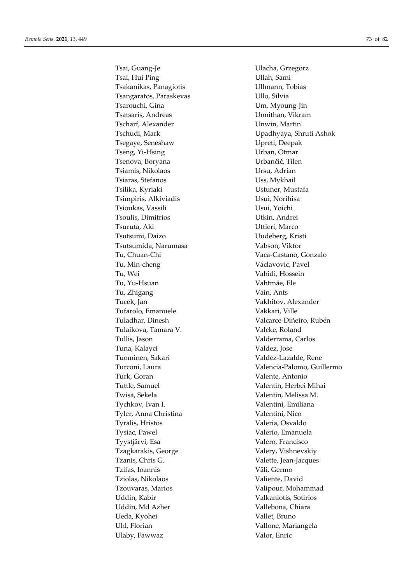Tsai, Hui Ping **The Communist Communist Communist Communist Communist Communist Communist Communist Communist Communist Communist Communist Communist Communist Communist Communist Communist Communist Communist Communist Co** Tsakanikas, Panagiotis Ullmann, Tobias Tsangaratos, Paraskevas VIIIo, Silvia Tsarouchi, Gina Um, Myoung-Jin Tsatsaris, Andreas Unnithan, Vikram Tscharf, Alexander Unwin, Martin Tsegaye, Seneshaw Upreti, Deepak Tseng, Yi-Hsing Urban, Otmar Tsenova, Boryana Urbančič, Tilen Tsiamis, Nikolaos Ursu, Adrian Tsiaras, Stefanos Uss, Mykhail Tsilika, Kyriaki Ustuner, Mustafa Tsimpiris, Alkiviadis Usui, Norihisa Tsioukas, Vassili Usui, Yoichi Tsoulis, Dimitrios Utkin, Andrei Tsuruta, Aki Uttieri, Marco Tsutsumi, Daizo Uudeberg, Kristi Tsutsumida, Narumasa Vabson, Viktor Tu, Chuan-Chi Vaca-Castano, Gonzalo Tu, Min-cheng Václavovic, Pavel Tu, Wei Vahidi, Hossein Tu, Yu-Hsuan Vahtmäe, Ele Tu, Zhigang Vain, Ants Tucek, Jan Vakhitov, Alexander Tufarolo, Emanuele Vakkari, Ville Tuladhar, Dinesh Valcarce-Diñeiro, Rubén Tulaikova, Tamara V. Valcke, Roland Tullis, Jason Valderrama, Carlos Tuna, Kalayci **Valdez**, Jose Tuominen, Sakari Valdez-Lazalde, Rene Turk, Goran Valente, Antonio Tuttle, Samuel Valentin, Herbei Mihai Twisa, Sekela Valentin, Melissa M. Tychkov, Ivan I. Valentini, Emiliana Tyler, Anna Christina Valentini, Nico Tyralis, Hristos Valeria, Osvaldo Tysiac, Pawel **Valerio**, Emanuela Tyystjärvi, Esa Valero, Francisco Tzagkarakis, George Valery, Vishnevskiy Tzanis, Chris G. Valette, Jean-Jacques Tzifas, Ioannis Väli, Germo Tziolas, Nikolaos Valiente, David Tzouvaras, Marios Valipour, Mohammad Uddin, Kabir Valkaniotis, Sotirios Uddin, Md Azher Vallebona, Chiara Ueda, Kyohei Vallet, Bruno Uhl, Florian Vallone, Mariangela Ulaby, Fawwaz Valor, Enric

Tsai, Guang-Je Ulacha, Grzegorz Tschudi, Mark Upadhyaya, Shruti Ashok Turconi, Laura Valencia-Palomo, Guillermo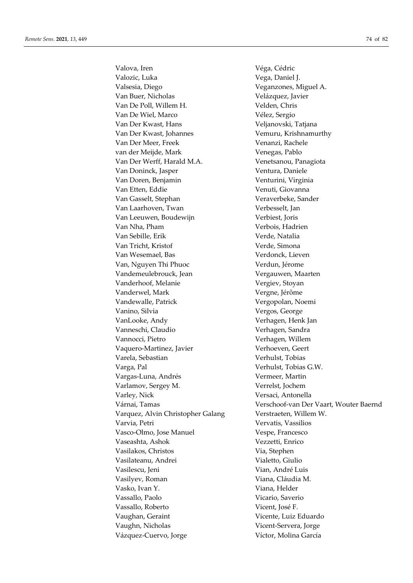Valova, Iren Véga, Cédric Valozic, Luka Vega, Daniel J. Valsesia, Diego Veganzones, Miguel A. Van Buer, Nicholas Velázquez, Javier Van De Poll, Willem H. Velden, Chris Van De Wiel, Marco Vélez, Sergio Van Der Kwast, Hans Veljanovski, Tatjana Van Der Kwast, Johannes Vemuru, Krishnamurthy Van Der Meer, Freek Venanzi, Rachele van der Meijde, Mark Venegas, Pablo Van Der Werff, Harald M.A. Venetsanou, Panagiota Van Doninck, Jasper Ventura, Daniele Van Doren, Benjamin Venturini, Virginia Van Etten, Eddie Venuti, Giovanna Van Gasselt, Stephan Veraverbeke, Sander Van Laarhoven, Twan Verbesselt, Jan Van Leeuwen, Boudewijn Verbiest, Joris Van Nha, Pham Verbois, Hadrien Van Sebille, Erik Verde, Natalia Van Tricht, Kristof Verde, Simona Van Wesemael, Bas Verdonck, Lieven Van, Nguyen Thi Phuoc Verdun, Jérome Vandemeulebrouck, Jean Vergauwen, Maarten Vanderhoof, Melanie Vergiev, Stoyan Vanderwel, Mark Vergne, Jérôme Vandewalle, Patrick Vergopolan, Noemi Vanino, Silvia and Vergos, George VanLooke, Andy **Verhagen**, Henk Jan Vanneschi, Claudio Verhagen, Sandra Vannocci, Pietro Verhagen, Willem Vaquero-Martinez, Javier Verhoeven, Geert Varela, Sebastian Verhulst, Tobias Varga, Pal Verhulst, Tobias G.W. Vargas-Luna, Andrés Vermeer, Martin Varlamov, Sergey M. Verrelst, Jochem Varley, Nick Versaci, Antonella Varquez, Alvin Christopher Galang Verstraeten, Willem W. Varvia, Petri Vervatis, Vassilios Vasco-Olmo, Jose Manuel Vespe, Francesco Vaseashta, Ashok Vezzetti, Enrico Vasilakos, Christos Via, Stephen Vasilateanu, Andrei *Vialetto, Giulio* Vasilescu, Jeni Vian, André Luis Vasilyev, Roman Viana, Cláudia M. Vasko, Ivan Y. Viana, Helder Vassallo, Paolo Vicario, Saverio Vassallo, Roberto Vicent, José F. Vaughan, Geraint Vicente, Luiz Eduardo Vaughn, Nicholas Vicent-Servera, Jorge Vázquez-Cuervo, Jorge Víctor, Molina García

Várnai, Tamas Verschoof-van Der Vaart, Wouter Baernd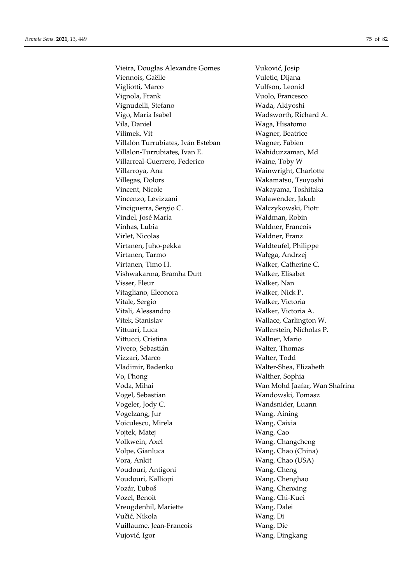Vieira, Douglas Alexandre Gomes Vuković, Josip Viennois, Gaëlle Vuletic, Dijana Vigliotti, Marco Vulfson, Leonid Vignola, Frank Vuolo, Francesco Vignudelli, Stefano Wada, Akiyoshi Vigo, María Isabel Wadsworth, Richard A. Vila, Daniel Waga, Hisatomo Vilimek, Vit Wagner, Beatrice Villalón Turrubiates, Iván Esteban Wagner, Fabien Villalon-Turrubiates, Ivan E. Wahiduzzaman, Md Villarreal-Guerrero, Federico Waine, Toby W Villarroya, Ana **Wainwright, Charlotte** Villegas, Dolors Wakamatsu, Tsuyoshi Vincent, Nicole Wakayama, Toshitaka Vincenzo, Levizzani Walawender, Jakub Vinciguerra, Sergio C. Walczykowski, Piotr Vindel, José María Waldman, Robin Vinhas, Lubia Waldner, Francois Virlet, Nicolas Waldner, Franz Virtanen, Juho-pekka Waldteufel, Philippe Virtanen, Tarmo Wałęga, Andrzej Virtanen, Timo H. Walker, Catherine C. Vishwakarma, Bramha Dutt Walker, Elisabet Visser, Fleur Walker, Nan Vitagliano, Eleonora Walker, Nick P. Vitale, Sergio Walker, Victoria Vitali, Alessandro Walker, Victoria A. Vitek, Stanislav Wallace, Carlington W. Vittuari, Luca Wallerstein, Nicholas P. Vittucci, Cristina Wallner, Mario Vivero, Sebastián Walter, Thomas Vizzari, Marco Walter, Todd Vladimir, Badenko Walter-Shea, Elizabeth Vo, Phong Walther, Sophia Voda, Mihai Wan Mohd Jaafar, Wan Shafrina Vogel, Sebastian Wandowski, Tomasz Vogeler, Jody C. Wandsnider, Luann Vogelzang, Jur Wang, Aining Voiculescu, Mirela Wang, Caixia Vojtek, Matej Wang, Cao Volkwein, Axel Wang, Changcheng Volpe, Gianluca Wang, Chao (China) Vora, Ankit Wang, Chao (USA) Voudouri, Antigoni Wang, Cheng Voudouri, Kalliopi Wang, Chenghao Vozár, Ľuboš Wang, Chenxing Vozel, Benoit Wang, Chi-Kuei Vreugdenhil, Mariette Wang, Dalei Vučić, Nikola Wang, Di Vuillaume, Jean-Francois Wang, Die Vujović, Igor Wang, Dingkang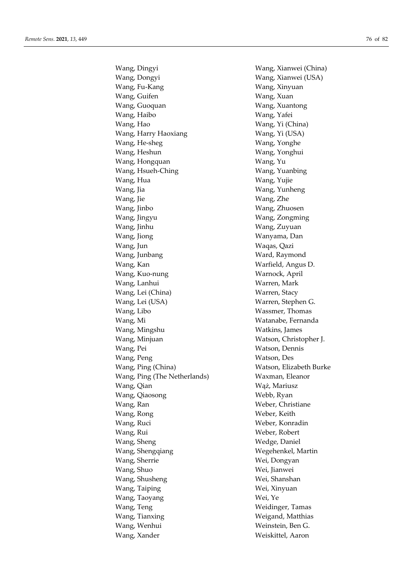Wang, Dingyi Wang, Xianwei (China) Wang, Dongyi Wang, Xianwei (USA) Wang, Fu-Kang Wang, Xinyuan Wang, Guifen Wang, Xuan Wang, Guoquan Wang, Xuantong Wang, Haibo Wang, Yafei Wang, Hao Wang, Yi (China) Wang, Harry Haoxiang Wang, Yi (USA) Wang, He-sheg Wang, Yonghe Wang, Heshun Wang, Yonghui Wang, Hongquan Wang, Yu Wang, Hsueh-Ching Wang, Yuanbing Wang, Hua Wang, Yujie Wang, Jia Wang, Yunheng Wang, Jie Wang, Zhe Wang, Jinbo Wang, Zhuosen Wang, Jingyu Wang, Zongming Wang, Jinhu Wang, Zuyuan Wang, Jiong Wanyama, Dan Wang, Jun Waqas, Qazi Wang, Junbang Ward, Raymond Wang, Kan Warfield, Angus D. Wang, Kuo-nung Warnock, April Wang, Lanhui Warren, Mark Wang, Lei (China) Warren, Stacy Wang, Lei (USA) Warren, Stephen G. Wang, Libo Wassmer, Thomas Wang, Mi Watanabe, Fernanda Wang, Mingshu **Watkins**, James Wang, Minjuan Watson, Christopher J. Wang, Pei Watson, Dennis Wang, Peng Watson, Des Wang, Ping (China) Watson, Elizabeth Burke Wang, Ping (The Netherlands) Waxman, Eleanor Wang, Qian Waz, Mariusz Wang, Qiaosong Webb, Ryan Wang, Ran Weber, Christiane Wang, Rong Weber, Keith Wang, Ruci Weber, Konradin Wang, Rui Weber, Robert Wang, Sheng Wedge, Daniel Wang, Shengqiang Wegehenkel, Martin Wang, Sherrie Wei, Dongyan Wang, Shuo Wei, Jianwei Wang, Shusheng Wei, Shanshan Wang, Taiping Wei, Xinyuan Wang, Taoyang Wei, Ye Wang, Teng Weidinger, Tamas Wang, Tianxing Weigand, Matthias Wang, Wenhui Weinstein, Ben G. Wang, Xander Weiskittel, Aaron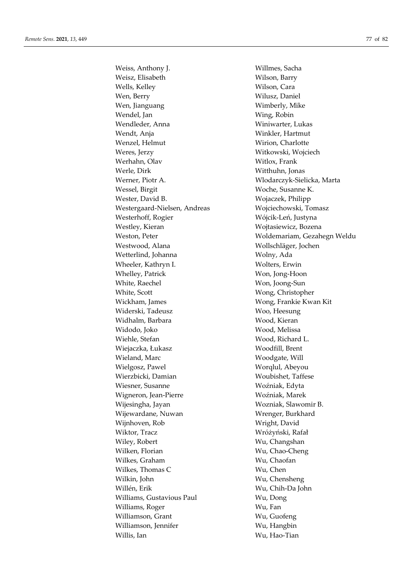Weiss, Anthony J. Willmes, Sacha Weisz, Elisabeth Wilson, Barry Wells, Kelley Wilson, Cara Wen, Berry Wilusz, Daniel Wen, Jianguang Wimberly, Mike Wendel, Jan Wing, Robin Wendleder, Anna Winiwarter, Lukas Wendt, Anja Winkler, Hartmut Wenzel, Helmut Wirion, Charlotte Weres, Jerzy Witkowski, Wojciech Werhahn, Olav Witlox, Frank Werle, Dirk Witthuhn, Jonas Werner, Piotr A. Wlodarczyk-Sielicka, Marta Wessel, Birgit Woche, Susanne K. Wester, David B. Wojaczek, Philipp Westergaard-Nielsen, Andreas Wojciechowski, Tomasz Westerhoff, Rogier Wójcik-Leń, Justyna Westley, Kieran Wojtasiewicz, Bozena Westwood, Alana Wollschläger, Jochen Wetterlind, Johanna Wolny, Ada Wheeler, Kathryn I. Wolters, Erwin Whelley, Patrick Won, Jong-Hoon White, Raechel Won, Joong-Sun White, Scott Wong, Christopher Wickham, James Wong, Frankie Kwan Kit Widerski, Tadeusz Woo, Heesung Widhalm, Barbara Wood, Kieran Widodo, Joko Wood, Melissa Wiehle, Stefan Wood, Richard L. Wiejaczka, Łukasz Woodfill, Brent Wieland, Marc Woodgate, Will Wielgosz, Pawel Worqlul, Abeyou Wierzbicki, Damian Woubishet, Taffese Wiesner, Susanne Woźniak, Edyta Wigneron, Jean-Pierre Woźniak, Marek Wijesingha, Jayan Wozniak, Slawomir B. Wijewardane, Nuwan Wrenger, Burkhard Wijnhoven, Rob Wright, David Wiktor, Tracz Wróżyński, Rafał Wiley, Robert Wu, Changshan Wilken, Florian Wu, Chao-Cheng Wilkes, Graham Wu, Chaofan Wilkes, Thomas C Wu, Chen Wilkin, John Wu, Chensheng Willén, Erik Wu, Chih-Da John Williams, Gustavious Paul Wu, Dong Williams, Roger Wu, Fan Williamson, Grant Wu, Guofeng Williamson, Jennifer Wu, Hangbin Willis, Ian Wu, Hao-Tian

Weston, Peter Woldemariam, Gezahegn Weldu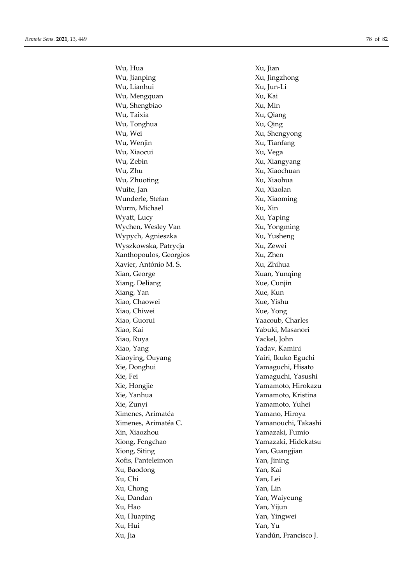Wu, Hua  $\qquad \qquad \text{Xu}$ , Jian Wu, Jianping **Xu**, Jingzhong Wu, Lianhui Xu, Jun-Li Wu, Mengquan Xu, Kai Wu, Shengbiao Xu, Min Wu, Taixia Xu, Qiang Wu, Tonghua Xu, Qing Wu, Wei Xu, Shengyong Wu, Wenjin Xu, Tianfang Wu, Xiaocui Xu, Vega Wu, Zebin Xu, Xiangyang Wu, Zhu  $Xu$ , Xiaochuan Wu, Zhuoting Xu, Xiaohua Wuite, Jan Xu, Xiaolan Wunderle, Stefan Xu, Xiaoming Wurm, Michael Xu, Xin Wyatt, Lucy Xu, Yaping Wychen, Wesley Van Xu, Yongming Wypych, Agnieszka Xu, Yusheng Wyszkowska, Patrycja Xu, Zewei Xanthopoulos, Georgios Xu, Zhen Xavier, António M. S. Xu, Zhihua Xian, George Xuan, Yunqing Xiang, Deliang Xue, Cunjin Xiang, Yan Xue, Kun Xiao, Chaowei Xue, Yishu Xiao, Chiwei Xue, Yong Xiao, Guorui Yaacoub, Charles Xiao, Kai Yabuki, Masanori Xiao, Ruya Yackel, John Xiao, Yang Yadav, Kamini Xiaoying, Ouyang Yairi, Ikuko Eguchi Xie, Donghui Yamaguchi, Hisato Xie, Fei Yamaguchi, Yasushi Xie, Hongjie Yamamoto, Hirokazu Xie, Yanhua Yamamoto, Kristina Xie, Zunyi Yamamoto, Yuhei Ximenes, Arimatéa Yamano, Hiroya Ximenes, Arimatéa C. Yamanouchi, Takashi Xin, Xiaozhou Yamazaki, Fumio Xiong, Fengchao Yamazaki, Hidekatsu Xiong, Siting Table 2014, Siting Table 2014, Suangjian Xofis, Panteleimon Yan, Jining Xu, Baodong Yan, Kai Xu, Chi Yan, Lei Xu, Chong Yan, Lin Xu, Dandan Yan, Waiyeung Xu, Hao Yan, Yijun Xu, Huaping Yan, Yingwei Xu, Hui Yan, Yu Xu, Jia Yandún, Francisco J.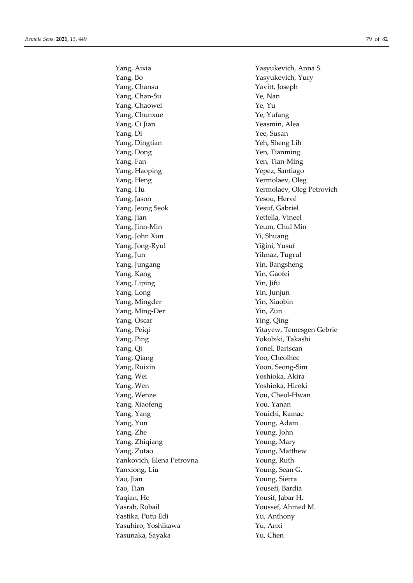Yang, Bo Yasyukevich, Yury Yang, Chansu Yavitt, Joseph Yang, Chan-Su Ye, Nan Yang, Chaowei Ye, Yu Yang, Chunxue Ye, Yufang Yang, Ci Jian Yeasmin, Alea Yang, Di Yee, Susan Yang, Dingtian Yeh, Sheng Lih Yang, Dong Yen, Tianming Yang, Fan Yen, Tian-Ming Yang, Haoping Yepez, Santiago Yang, Heng Yermolaev, Oleg Yang, Jason Yesou, Hervé Yang, Jeong Seok Yesuf, Gabriel Yang, Jian Yettella, Vineel Yang, Jinn-Min Yeum, Chul Min Yang, John Xun Yi, Shuang Yang, Jong-Ryul Yiǧini, Yusuf Yang, Jun Yilmaz, Tugrul Yang, Jungang Yin, Bangsheng Yang, Kang Yin, Gaofei Yang, Liping Yin, Jifu Yang, Long Yin, Junjun Yang, Mingder Yin, Xiaobin Yang, Ming-Der Yin, Zun Yang, Oscar Ying, Qing Yang, Ping Yokobiki, Takashi Yang, Qi Yonel, Bariscan Yang, Qiang Yoo, Cheolhee Yang, Ruixin Yoon, Seong-Sim Yang, Wei Yoshioka, Akira Yang, Wen Yoshioka, Hiroki Yang, Wenze You, Cheol-Hwan Yang, Xiaofeng You, Yanan Yang, Yang Youichi, Kamae Yang, Yun Young, Adam Yang, Zhe Young, John Yang, Zhiqiang Young, Mary Yang, Zutao Young, Matthew Yankovich, Elena Petrovna Young, Ruth Yanxiong, Liu Young, Sean G. Yao, Jian Young, Sierra Yao, Tian Yousefi, Bardia Yaqian, He Yousif, Jabar H. Yasrab, Robail Youssef, Ahmed M. Yastika, Putu Edi Yu, Anthony Yasuhiro, Yoshikawa Xu, Anxi Yasunaka, Sayaka Yu, Chen

Yang, Aixia Yasyukevich, Anna S. Yang, Hu Yermolaev, Oleg Petrovich Yang, Peiqi Yitayew, Temesgen Gebrie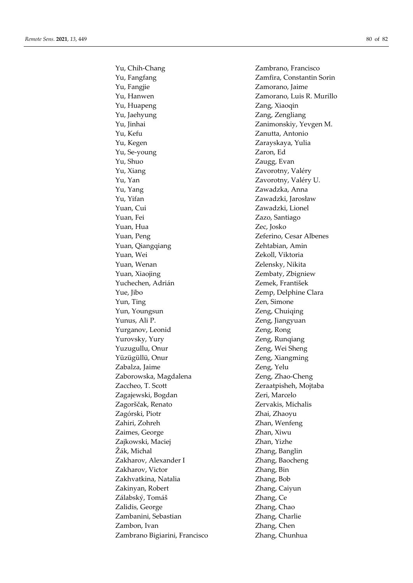Yu, Chih-Chang Zambrano, Francisco Yu, Fangfang **Zamfira**, Constantin Sorin Yu, Fangjie Zamorano, Jaime Yu, Hanwen Zamorano, Luis R. Murillo Yu, Huapeng Zang, Xiaoqin Yu, Jaehyung **Zang, Zengliang** Yu, Jinhai Zanimonskiy, Yevgen M. Yu, Kefu Zanutta, Antonio Yu, Kegen Zarayskaya, Yulia Yu, Se-young Zaron, Ed Yu, Shuo Zaugg, Evan Yu, Xiang Zavorotny, Valéry Yu, Yan Zavorotny, Valéry U. Yu, Yang Zawadzka, Anna Yu, Yifan Zawadzki, Jarosław Yuan, Cui Zawadzki, Lionel Yuan, Fei Zazo, Santiago Yuan, Hua Zec, Josko Yuan, Peng Zeferino, Cesar Albenes Yuan, Qiangqiang Zehtabian, Amin Yuan, Wei Zekoll, Viktoria Yuan, Wenan Zelensky, Nikita Yuan, Xiaojing **Zembaty**, Zbigniew Yuchechen, Adrián Zemek, František Yue, Jibo Zemp, Delphine Clara Yun, Ting Zen, Simone Yun, Youngsun Zeng, Chuiqing Yunus, Ali P. Zeng, Jiangyuan Yurganov, Leonid Zeng, Rong Yurovsky, Yury Zeng, Runqiang Yuzugullu, Onur **Zeng, Wei Sheng** Yüzügüllü, Onur **Zeng, Xiangming** Zabalza, Jaime Zeng, Yelu Zaborowska, Magdalena  $\qquad \qquad$  Zeng, Zhao-Cheng Zaccheo, T. Scott Zeraatpisheh, Mojtaba Zagajewski, Bogdan Zeri, Marcelo Zagorščak, Renato Zervakis, Michalis Zagórski, Piotr Zhai, Zhaoyu Zahiri, Zohreh Zhan, Wenfeng Zaimes, George Zhan, Xiwu Zajkowski, Maciej **Zhan, Yizhe** Žák, Michal Zhang, Banglin Zakharov, Alexander I Zhang, Baocheng Zakharov, Victor Zhang, Bin Zakhvatkina, Natalia Zhang, Bob Zakinyan, Robert Zhang, Caiyun Zálabský, Tomáš Zhang, Ce Zalidis, George Zhang, Chao Zambanini, Sebastian Zhang, Charlie Zambon, Ivan Zhang, Chen Zambrano Bigiarini, Francisco Zhang, Chunhua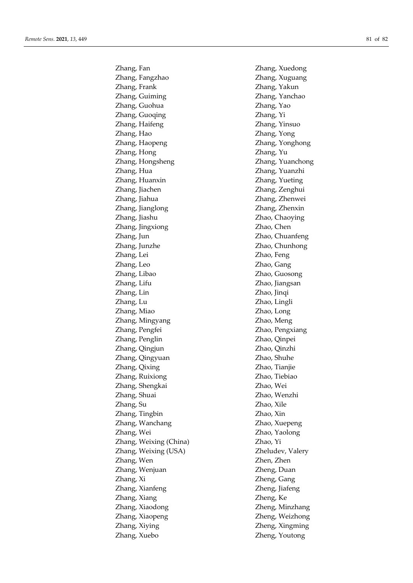Zhang, Fangzhao Zhang, Xuguang Zhang, Frank Zhang, Yakun Zhang, Guiming Zhang, Yanchao Zhang, Guohua Zhang, Yao Zhang, Guoqing Zhang, Yi Zhang, Haifeng Zhang, Yinsuo Zhang, Hao Zhang, Yong Zhang, Haopeng Zhang, Yonghong Zhang, Hong Zhang, Yu Zhang, Hongsheng Zhang, Yuanchong Zhang, Hua Zhang, Yuanzhi Zhang, Huanxin Zhang, Yueting Zhang, Jiachen Zhang, Zenghui Zhang, Jiahua Zhang, Zhenwei Zhang, Jianglong Zhang, Zhenxin Zhang, Jiashu Zhao, Chaoying Zhang, Jingxiong Zhao, Chen Zhang, Jun Zhao, Chuanfeng Zhang, Junzhe Zhao, Chunhong Zhang, Lei Zhao, Feng Zhang, Leo Zhao, Gang Zhang, Libao Zhao, Guosong Zhang, Lifu Zhao, Jiangsan Zhang, Lin Zhao, Jinqi Zhang, Lu Zhao, Lingli Zhang, Miao Zhao, Long Zhang, Mingyang Zhao, Meng Zhang, Pengfei Zhao, Pengxiang Zhang, Penglin Zhao, Qinpei Zhang, Qingjun Zhao, Qinzhi Zhang, Qingyuan Zhao, Shuhe Zhang, Qixing Zhao, Tianjie Zhang, Ruixiong Zhao, Tiebiao Zhang, Shengkai Zhao, Wei Zhang, Shuai Zhao, Wenzhi Zhang, Su Zhao, Xile Zhang, Tingbin Zhao, Xin Zhang, Wanchang Zhao, Xuepeng Zhang, Wei Zhao, Yaolong Zhang, Weixing (China) Zhao, Yi Zhang, Weixing (USA) Zheludev, Valery Zhang, Wen Zhen, Zhen Zhang, Wenjuan Zheng, Duan Zhang, Xi Zheng, Gang Zhang, Xianfeng Zheng, Jiafeng Zhang, Xiang Zheng, Ke Zhang, Xiaodong Zheng, Minzhang Zhang, Xiaopeng Zheng, Weizhong Zhang, Xiying Zheng, Xingming Zhang, Xuebo Zheng, Youtong

Zhang, Fan Zhang, Xuedong